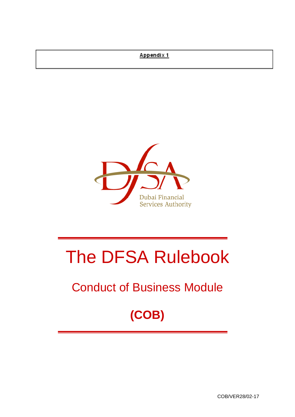# Appendix 1



# The DFSA Rulebook

# Conduct of Business Module

# **(COB)**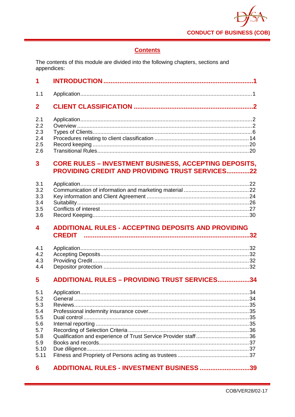

# **Contents**

The contents of this module are divided into the following chapters, sections and appendices:

| 1                                                                           |                                                                                                                        |     |
|-----------------------------------------------------------------------------|------------------------------------------------------------------------------------------------------------------------|-----|
| 1.1                                                                         |                                                                                                                        |     |
| $\mathbf{2}$                                                                |                                                                                                                        |     |
| 2.1<br>2.2<br>2.3<br>2.4<br>2.5<br>2.6                                      |                                                                                                                        |     |
| $\overline{\mathbf{3}}$                                                     | <b>CORE RULES - INVESTMENT BUSINESS, ACCEPTING DEPOSITS,</b><br><b>PROVIDING CREDIT AND PROVIDING TRUST SERVICES22</b> |     |
| 3.1<br>3.2<br>3.3<br>3.4<br>3.5<br>3.6                                      |                                                                                                                        |     |
| $\blacktriangle$                                                            | <b>ADDITIONAL RULES - ACCEPTING DEPOSITS AND PROVIDING</b>                                                             |     |
| 4.1<br>4.2<br>4.3<br>4.4                                                    |                                                                                                                        |     |
| 5                                                                           | <b>ADDITIONAL RULES - PROVIDING TRUST SERVICES34</b>                                                                   |     |
| 5.1<br>5.2<br>5.3<br>5.4<br>5.5<br>5.6<br>5.7<br>5.8<br>5.9<br>5.10<br>5.11 |                                                                                                                        | .34 |
| 6                                                                           | ADDITIONAL RULES - INVESTMENT BUSINESS 39                                                                              |     |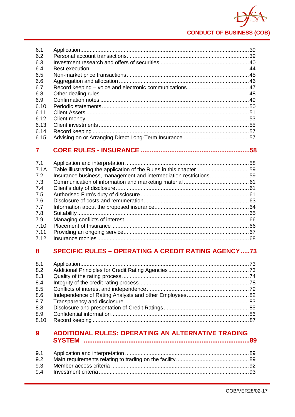

|      | .58 |
|------|-----|
| 6.15 |     |
| 6.14 |     |
| 6.13 |     |
| 6.12 |     |
| 6.11 |     |
| 6.10 |     |
| 6.9  |     |
| 6.8  |     |
| 6.7  |     |
| 6.6  |     |
| 6.5  |     |
| 6.4  |     |
| 6.3  |     |
| 6.2  |     |
| 6.1  |     |
|      |     |

| 7.1  |                                                                  |  |
|------|------------------------------------------------------------------|--|
|      |                                                                  |  |
| 7.1A |                                                                  |  |
| 7.2  | Insurance business, management and intermediation restrictions59 |  |
| 7.3  |                                                                  |  |
| 7.4  |                                                                  |  |
| 7.5  |                                                                  |  |
| 7.6  |                                                                  |  |
| 7.7  |                                                                  |  |
| 7.8  |                                                                  |  |
| 7.9  |                                                                  |  |
| 7.10 |                                                                  |  |
| 7.11 |                                                                  |  |
| 7.12 |                                                                  |  |

#### **SPECIFIC RULES - OPERATING A CREDIT RATING AGENCY .....73** 8

| 8.1  |  |
|------|--|
| 8.2  |  |
| 8.3  |  |
| 8.4  |  |
| 8.5  |  |
| 8.6  |  |
| 8.7  |  |
| 8.8  |  |
| 8.9  |  |
| 8.10 |  |
|      |  |

#### ADDITIONAL RULES: OPERATING AN ALTERNATIVE TRADING  $9<sup>°</sup>$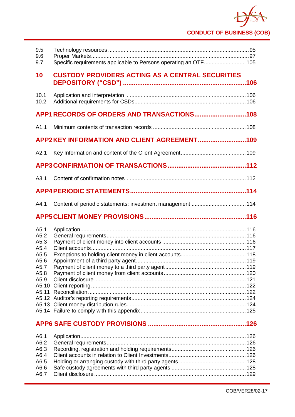# **CONDUCT OF BUSINESS (COB)**

| 9.5<br>9.6<br>9.7                                                    | Specific requirements applicable to Persons operating an OTF 105 |  |  |  |
|----------------------------------------------------------------------|------------------------------------------------------------------|--|--|--|
| 10                                                                   | <b>CUSTODY PROVIDERS ACTING AS A CENTRAL SECURITIES</b>          |  |  |  |
| 10.1<br>10.2                                                         |                                                                  |  |  |  |
|                                                                      |                                                                  |  |  |  |
| A1.1                                                                 |                                                                  |  |  |  |
|                                                                      | APP2KEY INFORMATION AND CLIENT AGREEMENT109                      |  |  |  |
| A2.1                                                                 |                                                                  |  |  |  |
|                                                                      |                                                                  |  |  |  |
| A3.1                                                                 |                                                                  |  |  |  |
|                                                                      |                                                                  |  |  |  |
| A4.1                                                                 |                                                                  |  |  |  |
|                                                                      |                                                                  |  |  |  |
|                                                                      |                                                                  |  |  |  |
| A5.1<br>A5.2<br>A5.3<br>A5.4<br>A5.5<br>A5.6<br>A5.7<br>A5.8<br>A5.9 |                                                                  |  |  |  |
|                                                                      |                                                                  |  |  |  |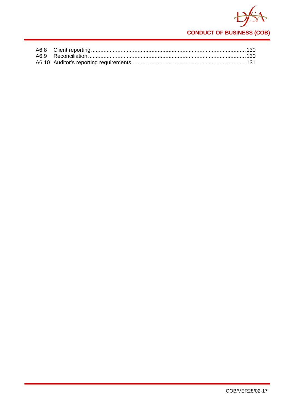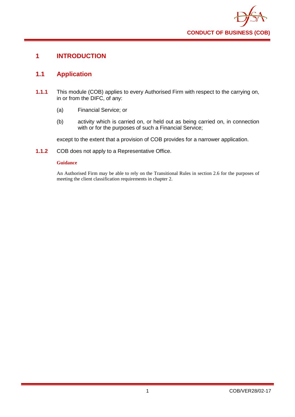

# <span id="page-5-0"></span>**1 INTRODUCTION**

# <span id="page-5-1"></span>**1.1 Application**

- **1.1.1** This module (COB) applies to every Authorised Firm with respect to the carrying on, in or from the DIFC, of any:
	- (a) Financial Service; or
	- (b) activity which is carried on, or held out as being carried on, in connection with or for the purposes of such a Financial Service:

except to the extent that a provision of COB provides for a narrower application.

**1.1.2** COB does not apply to a Representative Office.

#### **Guidance**

An Authorised Firm may be able to rely on the Transitional Rules in section 2.6 for the purposes of meeting the client classification requirements in chapter 2.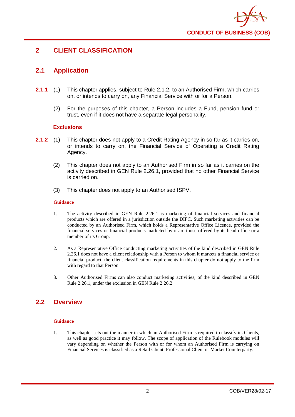

# <span id="page-6-0"></span>**2 CLIENT CLASSIFICATION**

# <span id="page-6-1"></span>**2.1 Application**

- **2.1.1** (1) This chapter applies, subject to Rule 2.1.2, to an Authorised Firm, which carries on, or intends to carry on, any Financial Service with or for a Person.
	- (2) For the purposes of this chapter, a Person includes a Fund, pension fund or trust, even if it does not have a separate legal personality.

#### **Exclusions**

- **2.1.2** (1) This chapter does not apply to a Credit Rating Agency in so far as it carries on, or intends to carry on, the Financial Service of Operating a Credit Rating Agency.
	- (2) This chapter does not apply to an Authorised Firm in so far as it carries on the activity described in GEN Rule 2.26.1, provided that no other Financial Service is carried on.
	- (3) This chapter does not apply to an Authorised ISPV.

#### **Guidance**

- 1. The activity described in GEN Rule 2.26.1 is marketing of financial services and financial products which are offered in a jurisdiction outside the DIFC. Such marketing activities can be conducted by an Authorised Firm, which holds a Representative Office Licence, provided the financial services or financial products marketed by it are those offered by its head office or a member of its Group.
- 2. As a Representative Office conducting marketing activities of the kind described in GEN Rule 2.26.1 does not have a client relationship with a Person to whom it markets a financial service or financial product, the client classification requirements in this chapter do not apply to the firm with regard to that Person.
- 3. Other Authorised Firms can also conduct marketing activities, of the kind described in GEN Rule 2.26.1, under the exclusion in GEN Rule 2.26.2.

# <span id="page-6-2"></span>**2.2 Overview**

#### **Guidance**

1. This chapter sets out the manner in which an Authorised Firm is required to classify its Clients, as well as good practice it may follow. The scope of application of the Rulebook modules will vary depending on whether the Person with or for whom an Authorised Firm is carrying on Financial Services is classified as a Retail Client, Professional Client or Market Counterparty.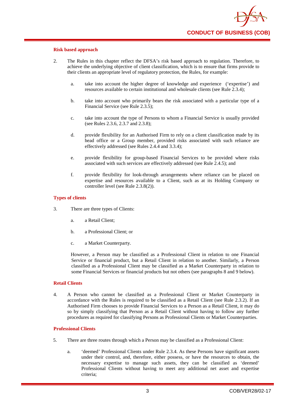#### **Risk based approach**

- 2. The Rules in this chapter reflect the DFSA's risk based approach to regulation. Therefore, to achieve the underlying objective of client classification, which is to ensure that firms provide to their clients an appropriate level of regulatory protection, the Rules, for example:
	- a. take into account the higher degree of knowledge and experience ('expertise') and resources available to certain institutional and wholesale clients (see Rule 2.3.4);
	- b. take into account who primarily bears the risk associated with a particular type of a Financial Service (see Rule 2.3.5);
	- c. take into account the type of Persons to whom a Financial Service is usually provided (see Rules 2.3.6, 2.3.7 and 2.3.8);
	- d. provide flexibility for an Authorised Firm to rely on a client classification made by its head office or a Group member, provided risks associated with such reliance are effectively addressed (see Rules 2.4.4 and 3.3.4);
	- e. provide flexibility for group-based Financial Services to be provided where risks associated with such services are effectively addressed (see Rule 2.4.5); and
	- f. provide flexibility for look-through arrangements where reliance can be placed on expertise and resources available to a Client, such as at its Holding Company or controller level (see Rule 2.3.8(2)).

#### **Types of clients**

- 3. There are three types of Clients:
	- a. a Retail Client;
	- b. a Professional Client; or
	- c. a Market Counterparty.

However, a Person may be classified as a Professional Client in relation to one Financial Service or financial product, but a Retail Client in relation to another. Similarly, a Person classified as a Professional Client may be classified as a Market Counterparty in relation to some Financial Services or financial products but not others (see paragraphs 8 and 9 below).

#### **Retail Clients**

4. A Person who cannot be classified as a Professional Client or Market Counterparty in accordance with the Rules is required to be classified as a Retail Client (see Rule 2.3.2). If an Authorised Firm chooses to provide Financial Services to a Person as a Retail Client, it may do so by simply classifying that Person as a Retail Client without having to follow any further procedures as required for classifying Persons as Professional Clients or Market Counterparties.

#### **Professional Clients**

- 5. There are three routes through which a Person may be classified as a Professional Client:
	- a. 'deemed' Professional Clients under Rule 2.3.4. As these Persons have significant assets under their control, and, therefore, either possess, or have the resources to obtain, the necessary expertise to manage such assets, they can be classified as 'deemed' Professional Clients without having to meet any additional net asset and expertise criteria;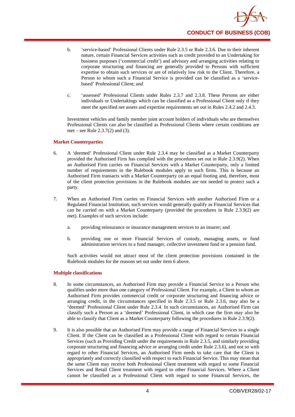

- b. 'service-based' Professional Clients under Rule 2.3.5 or Rule 2.3.6. Due to their inherent nature, certain Financial Services activities such as credit provided to an Undertaking for business purposes ('commercial credit') and advisory and arranging activities relating to corporate structuring and financing are generally provided to Persons with sufficient expertise to obtain such services or are of relatively low risk to the Client. Therefore, a Person to whom such a Financial Service is provided can be classified as a 'servicebased' Professional Client; and
- c. 'assessed' Professional Clients under Rules 2.3.7 and 2.3.8. These Persons are either individuals or Undertakings which can be classified as a Professional Client only if they meet the specified net assets and expertise requirements set out in Rules 2.4.2 and 2.4.3.

Investment vehicles and family member joint account holders of individuals who are themselves Professional Clients can also be classified as Professional Clients where certain conditions are met – see Rule 2.3.7(2) and (3).

#### **Market Counterparties**

- 6. A 'deemed' Professional Client under Rule 2.3.4 may be classified as a Market Counterparty provided the Authorised Firm has complied with the procedures set out in Rule 2.3.9(2). When an Authorised Firm carries on Financial Services with a Market Counterparty, only a limited number of requirements in the Rulebook modules apply to such firms. This is because an Authorised Firm transacts with a Market Counterparty on an equal footing and, therefore, most of the client protection provisions in the Rulebook modules are not needed to protect such a party.
- 7. When an Authorised Firm carries on Financial Services with another Authorised Firm or a Regulated Financial Institution, such services would generally qualify as Financial Services that can be carried on with a Market Counterparty (provided the procedures in Rule 2.3.9(2) are met). Examples of such services include:
	- a. providing reinsurance or insurance management services to an insurer; and
	- b. providing one or more Financial Services of custody, managing assets, or fund administration services to a fund manager, collective investment fund or a pension fund.

Such activities would not attract most of the client protection provisions contained in the Rulebook modules for the reasons set out under item 6 above.

#### **Multiple classifications**

- 8. In some circumstances, an Authorised Firm may provide a Financial Service to a Person who qualifies under more than one category of Professional Client. For example, a Client to whom an Authorised Firm provides commercial credit or corporate structuring and financing advice or arranging credit, in the circumstances specified in Rule 2.3.5 or Rule 2.3.6, may also be a 'deemed' Professional Client under Rule 2.3.4. In such circumstances, an Authorised Firm can classify such a Person as a 'deemed' Professional Client, in which case the firm may also be able to classify that Client as a Market Counterparty following the procedures in Rule 2.3.9(2).
- 9. It is also possible that an Authorised Firm may provide a range of Financial Services to a single Client. If the Client can be classified as a Professional Client with regard to certain Financial Services (such as Providing Credit under the requirements in Rule 2.3.5, and similarly providing corporate structuring and financing advice or arranging credit under Rule 2.3.6), and not so with regard to other Financial Services, an Authorised Firm needs to take care that the Client is appropriately and correctly classified with respect to each Financial Service. This may mean that the same Client may receive both Professional Client treatment with regard to some Financial Services and Retail Client treatment with regard to other Financial Services. Where a Client cannot be classified as a Professional Client with regard to some Financial Services, the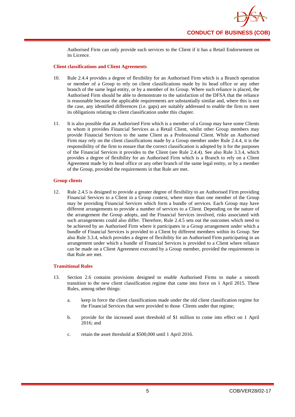

Authorised Firm can only provide such services to the Client if it has a Retail Endorsement on its Licence.

#### **Client classifications and Client Agreements**

- 10. Rule 2.4.4 provides a degree of flexibility for an Authorised Firm which is a Branch operation or member of a Group to rely on client classifications made by its head office or any other branch of the same legal entity, or by a member of its Group. Where such reliance is placed, the Authorised Firm should be able to demonstrate to the satisfaction of the DFSA that the reliance is reasonable because the applicable requirements are substantially similar and, where this is not the case, any identified differences (i.e. gaps) are suitably addressed to enable the firm to meet its obligations relating to client classification under this chapter.
- 11. It is also possible that an Authorised Firm which is a member of a Group may have some Clients to whom it provides Financial Services as a Retail Client, whilst other Group members may provide Financial Services to the same Client as a Professional Client. While an Authorised Firm may rely on the client classifications made by a Group member under Rule 2.4.4, it is the responsibility of the firm to ensure that the correct classification is adopted by it for the purposes of the Financial Services it provides to the Client (see Rule 2.4.4). See also Rule 3.3.4, which provides a degree of flexibility for an Authorised Firm which is a Branch to rely on a Client Agreement made by its head office or any other branch of the same legal entity, or by a member of the Group, provided the requirements in that Rule are met.

#### **Group clients**

12. Rule 2.4.5 is designed to provide a greater degree of flexibility to an Authorised Firm providing Financial Services to a Client in a Group context, where more than one member of the Group may be providing Financial Services which form a bundle of services. Each Group may have different arrangements to provide a number of services to a Client. Depending on the nature of the arrangement the Group adopts, and the Financial Services involved, risks associated with such arrangements could also differ. Therefore, Rule 2.4.5 sets out the outcomes which need to be achieved by an Authorised Firm where it participates in a Group arrangement under which a bundle of Financial Services is provided to a Client by different members within its Group. See also Rule 3.3.4, which provides a degree of flexibility for an Authorised Firm participating in an arrangement under which a bundle of Financial Services is provided to a Client where reliance can be made on a Client Agreement executed by a Group member, provided the requirements in that Rule are met.

#### **Transitional Rules**

- 13. Section 2.6 contains provisions designed to enable Authorised Firms to make a smooth transition to the new client classification regime that came into force on 1 April 2015. These Rules, among other things:
	- a. keep in force the client classifications made under the old client classification regime for the Financial Services that were provided to those Clients under that regime;
	- b. provide for the increased asset threshold of \$1 million to come into effect on 1 April 2016; and
	- c. retain the asset threshold at \$500,000 until 1 April 2016.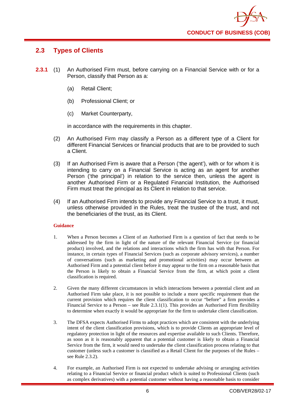

# <span id="page-10-0"></span>**2.3 Types of Clients**

- **2.3.1** (1) An Authorised Firm must, before carrying on a Financial Service with or for a Person, classify that Person as a:
	- (a) Retail Client;
	- (b) Professional Client; or
	- (c) Market Counterparty,

in accordance with the requirements in this chapter.

- (2) An Authorised Firm may classify a Person as a different type of a Client for different Financial Services or financial products that are to be provided to such a Client.
- (3) If an Authorised Firm is aware that a Person ('the agent'), with or for whom it is intending to carry on a Financial Service is acting as an agent for another Person ('the principal') in relation to the service then, unless the agent is another Authorised Firm or a Regulated Financial Institution, the Authorised Firm must treat the principal as its Client in relation to that service.
- (4) If an Authorised Firm intends to provide any Financial Service to a trust, it must, unless otherwise provided in the Rules, treat the trustee of the trust, and not the beneficiaries of the trust, as its Client.

#### **Guidance**

- 1. When a Person becomes a Client of an Authorised Firm is a question of fact that needs to be addressed by the firm in light of the nature of the relevant Financial Service (or financial product) involved, and the relations and interactions which the firm has with that Person. For instance, in certain types of Financial Services (such as corporate advisory services), a number of conversations (such as marketing and promotional activities) may occur between an Authorised Firm and a potential client before it may appear to the firm on a reasonable basis that the Person is likely to obtain a Financial Service from the firm, at which point a client classification is required.
- 2. Given the many different circumstances in which interactions between a potential client and an Authorised Firm take place, it is not possible to include a more specific requirement than the current provision which requires the client classification to occur "before" a firm provides a Financial Service to a Person – see Rule 2.3.1(1). This provides an Authorised Firm flexibility to determine when exactly it would be appropriate for the firm to undertake client classification.
- 3. The DFSA expects Authorised Firms to adopt practices which are consistent with the underlying intent of the client classification provisions, which is to provide Clients an appropriate level of regulatory protection in light of the resources and expertise available to such Clients. Therefore, as soon as it is reasonably apparent that a potential customer is likely to obtain a Financial Service from the firm, it would need to undertake the client classification process relating to that customer (unless such a customer is classified as a Retail Client for the purposes of the Rules – see Rule 2.3.2).
- 4. For example, an Authorised Firm is not expected to undertake advising or arranging activities relating to a Financial Service or financial product which is suited to Professional Clients (such as complex derivatives) with a potential customer without having a reasonable basis to consider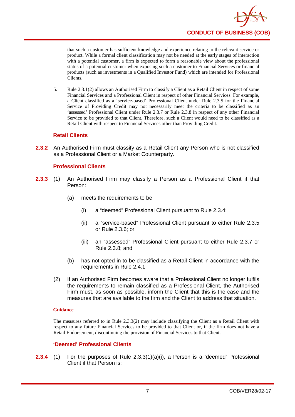

that such a customer has sufficient knowledge and experience relating to the relevant service or product. While a formal client classification may not be needed at the early stages of interaction with a potential customer, a firm is expected to form a reasonable view about the professional status of a potential customer when exposing such a customer to Financial Services or financial products (such as investments in a Qualified Investor Fund) which are intended for Professional Clients.

5. Rule 2.3.1(2) allows an Authorised Firm to classify a Client as a Retail Client in respect of some Financial Services and a Professional Client in respect of other Financial Services. For example, a Client classified as a 'service-based' Professional Client under Rule 2.3.5 for the Financial Service of Providing Credit may not necessarily meet the criteria to be classified as an 'assessed' Professional Client under Rule 2.3.7 or Rule 2.3.8 in respect of any other Financial Service to be provided to that Client. Therefore, such a Client would need to be classified as a Retail Client with respect to Financial Services other than Providing Credit.

# **Retail Clients**

**2.3.2** An Authorised Firm must classify as a Retail Client any Person who is not classified as a Professional Client or a Market Counterparty.

# **Professional Clients**

- **2.3.3** (1) An Authorised Firm may classify a Person as a Professional Client if that Person:
	- (a) meets the requirements to be:
		- (i) a "deemed" Professional Client pursuant to Rule 2.3.4;
		- (ii) a "service-based" Professional Client pursuant to either Rule 2.3.5 or Rule 2.3.6; or
		- (iii) an "assessed" Professional Client pursuant to either Rule 2.3.7 or Rule 2.3.8; and
	- (b) has not opted-in to be classified as a Retail Client in accordance with the requirements in Rule 2.4.1.
	- (2) If an Authorised Firm becomes aware that a Professional Client no longer fulfils the requirements to remain classified as a Professional Client, the Authorised Firm must, as soon as possible, inform the Client that this is the case and the measures that are available to the firm and the Client to address that situation.

#### **Guidance**

The measures referred to in Rule 2.3.3(2) may include classifying the Client as a Retail Client with respect to any future Financial Services to be provided to that Client or, if the firm does not have a Retail Endorsement, discontinuing the provision of Financial Services to that Client.

# **'Deemed' Professional Clients**

**2.3.4** (1) For the purposes of Rule 2.3.3(1)(a)(i), a Person is a 'deemed' Professional Client if that Person is: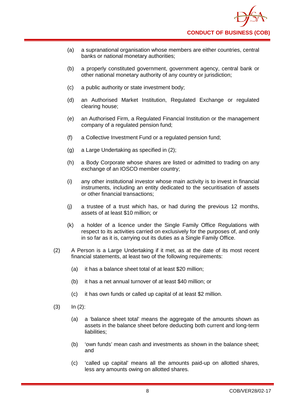- (a) a supranational organisation whose members are either countries, central banks or national monetary authorities;
- (b) a properly constituted government, government agency, central bank or other national monetary authority of any country or jurisdiction;
- (c) a public authority or state investment body;
- (d) an Authorised Market Institution, Regulated Exchange or regulated clearing house;
- (e) an Authorised Firm, a Regulated Financial Institution or the management company of a regulated pension fund;
- (f) a Collective Investment Fund or a regulated pension fund;
- (g) a Large Undertaking as specified in (2);
- (h) a Body Corporate whose shares are listed or admitted to trading on any exchange of an IOSCO member country;
- (i) any other institutional investor whose main activity is to invest in financial instruments, including an entity dedicated to the securitisation of assets or other financial transactions;
- (j) a trustee of a trust which has, or had during the previous 12 months, assets of at least \$10 million; or
- (k) a holder of a licence under the Single Family Office Regulations with respect to its activities carried on exclusively for the purposes of, and only in so far as it is, carrying out its duties as a Single Family Office.
- (2) A Person is a Large Undertaking if it met, as at the date of its most recent financial statements, at least two of the following requirements:
	- (a) it has a balance sheet total of at least \$20 million;
	- (b) it has a net annual turnover of at least \$40 million; or
	- (c) it has own funds or called up capital of at least \$2 million.
- $(3)$   $\ln (2)$ :
	- (a) a 'balance sheet total' means the aggregate of the amounts shown as assets in the balance sheet before deducting both current and long-term liabilities:
	- (b) 'own funds' mean cash and investments as shown in the balance sheet; and
	- (c) 'called up capital' means all the amounts paid-up on allotted shares, less any amounts owing on allotted shares.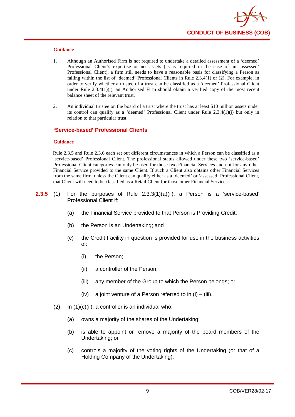

- 1. Although an Authorised Firm is not required to undertake a detailed assessment of a 'deemed' Professional Client's expertise or net assets (as is required in the case of an 'assessed' Professional Client), a firm still needs to have a reasonable basis for classifying a Person as falling within the list of 'deemed' Professional Clients in Rule 2.3.4(1) or (2). For example, in order to verify whether a trustee of a trust can be classified as a 'deemed' Professional Client under Rule 2.3.4(1)(j), an Authorised Firm should obtain a verified copy of the most recent balance sheet of the relevant trust.
- 2. An individual trustee on the board of a trust where the trust has at least \$10 million assets under its control can qualify as a 'deemed' Professional Client under Rule 2.3.4(1)(j) but only in relation to that particular trust.

#### **'Service-based' Professional Clients**

#### **Guidance**

Rule 2.3.5 and Rule 2.3.6 each set out different circumstances in which a Person can be classified as a 'service-based' Professional Client. The professional status allowed under these two 'service-based' Professional Client categories can only be used for those two Financial Services and not for any other Financial Service provided to the same Client. If such a Client also obtains other Financial Services from the same firm, unless the Client can qualify either as a 'deemed' or 'assessed' Professional Client, that Client will need to be classified as a Retail Client for those other Financial Services.

- **2.3.5** (1) For the purposes of Rule 2.3.3(1)(a)(ii), a Person is a 'service-based' Professional Client if:
	- (a) the Financial Service provided to that Person is Providing Credit;
	- (b) the Person is an Undertaking; and
	- (c) the Credit Facility in question is provided for use in the business activities of:
		- (i) the Person;
		- (ii) a controller of the Person;
		- (iii) any member of the Group to which the Person belongs; or
		- (iv) a joint venture of a Person referred to in  $(i) (iii)$ .
	- $(2)$  In  $(1)(c)(ii)$ , a controller is an individual who:
		- (a) owns a majority of the shares of the Undertaking;
		- (b) is able to appoint or remove a majority of the board members of the Undertaking; or
		- (c) controls a majority of the voting rights of the Undertaking (or that of a Holding Company of the Undertaking).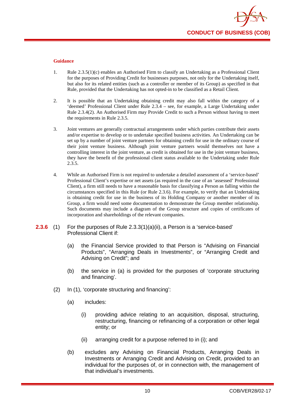

- 1. Rule 2.3.5(1)(c) enables an Authorised Firm to classify an Undertaking as a Professional Client for the purposes of Providing Credit for businesses purposes, not only for the Undertaking itself, but also for its related entities (such as a controller or member of its Group) as specified in that Rule, provided that the Undertaking has not opted-in to be classified as a Retail Client.
- 2. It is possible that an Undertaking obtaining credit may also fall within the category of a 'deemed' Professional Client under Rule 2.3.4 – see, for example, a Large Undertaking under Rule 2.3.4(2). An Authorised Firm may Provide Credit to such a Person without having to meet the requirements in Rule 2.3.5.
- 3. Joint ventures are generally contractual arrangements under which parties contribute their assets and/or expertise to develop or to undertake specified business activities. An Undertaking can be set up by a number of joint venture partners for obtaining credit for use in the ordinary course of their joint venture business. Although joint venture partners would themselves not have a controlling interest in the joint venture, as credit is obtained for use in the joint venture business, they have the benefit of the professional client status available to the Undertaking under Rule 2.3.5.
- 4. While an Authorised Firm is not required to undertake a detailed assessment of a 'service-based' Professional Client's expertise or net assets (as required in the case of an 'assessed' Professional Client), a firm still needs to have a reasonable basis for classifying a Person as falling within the circumstances specified in this Rule (or Rule 2.3.6). For example, to verify that an Undertaking is obtaining credit for use in the business of its Holding Company or another member of its Group, a firm would need some documentation to demonstrate the Group member relationship. Such documents may include a diagram of the Group structure and copies of certificates of incorporation and shareholdings of the relevant companies.
- **2.3.6** (1) For the purposes of Rule 2.3.3(1)(a)(ii), a Person is a 'service-based' Professional Client if:
	- (a) the Financial Service provided to that Person is "Advising on Financial Products", "Arranging Deals in Investments", or "Arranging Credit and Advising on Credit"; and
	- (b) the service in (a) is provided for the purposes of 'corporate structuring and financing'.
	- (2) In (1), 'corporate structuring and financing':
		- (a) includes:
			- (i) providing advice relating to an acquisition, disposal, structuring, restructuring, financing or refinancing of a corporation or other legal entity; or
			- (ii) arranging credit for a purpose referred to in (i); and
		- (b) excludes any Advising on Financial Products, Arranging Deals in Investments or Arranging Credit and Advising on Credit, provided to an individual for the purposes of, or in connection with, the management of that individual's investments.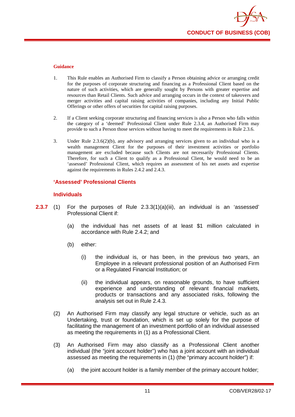

- 1. This Rule enables an Authorised Firm to classify a Person obtaining advice or arranging credit for the purposes of corporate structuring and financing as a Professional Client based on the nature of such activities, which are generally sought by Persons with greater expertise and resources than Retail Clients. Such advice and arranging occurs in the context of takeovers and merger activities and capital raising activities of companies, including any Initial Public Offerings or other offers of securities for capital raising purposes.
- 2. If a Client seeking corporate structuring and financing services is also a Person who falls within the category of a 'deemed' Professional Client under Rule 2.3.4, an Authorised Firm may provide to such a Person those services without having to meet the requirements in Rule 2.3.6.
- 3. Under Rule 2.3.6(2)(b), any advisory and arranging services given to an individual who is a wealth management Client for the purposes of their investment activities or portfolio management are excluded because such Clients are not necessarily Professional Clients. Therefore, for such a Client to qualify as a Professional Client, he would need to be an 'assessed' Professional Client, which requires an assessment of his net assets and expertise against the requirements in Rules 2.4.2 and 2.4.3.

#### **'Assessed' Professional Clients**

#### **Individuals**

- **2.3.7** (1) For the purposes of Rule 2.3.3(1)(a)(iii), an individual is an 'assessed' Professional Client if:
	- (a) the individual has net assets of at least \$1 million calculated in accordance with Rule 2.4.2; and
	- (b) either:
		- (i) the individual is, or has been, in the previous two years, an Employee in a relevant professional position of an Authorised Firm or a Regulated Financial Institution; or
		- (ii) the individual appears, on reasonable grounds, to have sufficient experience and understanding of relevant financial markets, products or transactions and any associated risks, following the analysis set out in Rule 2.4.3.
	- (2) An Authorised Firm may classify any legal structure or vehicle, such as an Undertaking, trust or foundation, which is set up solely for the purpose of facilitating the management of an investment portfolio of an individual assessed as meeting the requirements in (1) as a Professional Client.
	- (3) An Authorised Firm may also classify as a Professional Client another individual (the "joint account holder") who has a joint account with an individual assessed as meeting the requirements in (1) (the "primary account holder") if:
		- (a) the joint account holder is a family member of the primary account holder;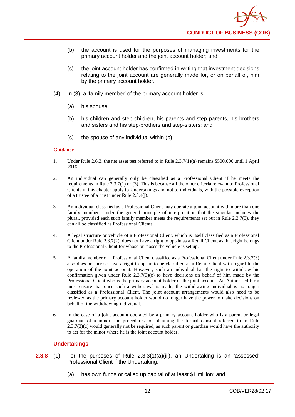- (b) the account is used for the purposes of managing investments for the primary account holder and the joint account holder; and
- (c) the joint account holder has confirmed in writing that investment decisions relating to the joint account are generally made for, or on behalf of, him by the primary account holder.
- (4) In (3), a 'family member' of the primary account holder is:
	- (a) his spouse;
	- (b) his children and step-children, his parents and step-parents, his brothers and sisters and his step-brothers and step-sisters; and
	- (c) the spouse of any individual within (b).

- 1. Under Rule 2.6.3, the net asset test referred to in Rule 2.3.7(1)(a) remains \$500,000 until 1 April 2016.
- 2. An individual can generally only be classified as a Professional Client if he meets the requirements in Rule 2.3.7(1) or (3). This is because all the other criteria relevant to Professional Clients in this chapter apply to Undertakings and not to individuals, with the possible exception of a trustee of a trust under Rule 2.3.4(j).
- 3. An individual classified as a Professional Client may operate a joint account with more than one family member. Under the general principle of interpretation that the singular includes the plural, provided each such family member meets the requirements set out in Rule 2.3.7(3), they can all be classified as Professional Clients.
- 4. A legal structure or vehicle of a Professional Client, which is itself classified as a Professional Client under Rule 2.3.7(2), does not have a right to opt-in as a Retail Client, as that right belongs to the Professional Client for whose purposes the vehicle is set up.
- 5. A family member of a Professional Client classified as a Professional Client under Rule 2.3.7(3) also does not per se have a right to opt-in to be classified as a Retail Client with regard to the operation of the joint account. However, such an individual has the right to withdraw his confirmation given under Rule  $2.3.7(3)(c)$  to have decisions on behalf of him made by the Professional Client who is the primary account holder of the joint account. An Authorised Firm must ensure that once such a withdrawal is made, the withdrawing individual is no longer classified as a Professional Client. The joint account arrangements would also need to be reviewed as the primary account holder would no longer have the power to make decisions on behalf of the withdrawing individual.
- 6. In the case of a joint account operated by a primary account holder who is a parent or legal guardian of a minor, the procedures for obtaining the formal consent referred to in Rule  $2.3.7(3)$ (c) would generally not be required, as such parent or guardian would have the authority to act for the minor where he is the joint account holder.

# **Undertakings**

- **2.3.8** (1) For the purposes of Rule 2.3.3(1)(a)(iii), an Undertaking is an 'assessed' Professional Client if the Undertaking:
	- (a) has own funds or called up capital of at least \$1 million; and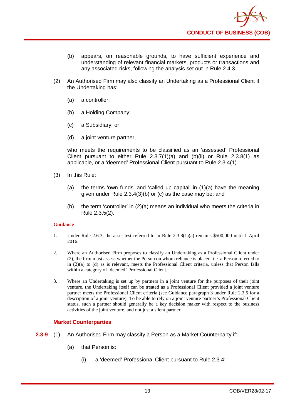

- (b) appears, on reasonable grounds, to have sufficient experience and understanding of relevant financial markets, products or transactions and any associated risks, following the analysis set out in Rule 2.4.3.
- (2) An Authorised Firm may also classify an Undertaking as a Professional Client if the Undertaking has:
	- (a) a controller;
	- (b) a Holding Company;
	- (c) a Subsidiary; or
	- (d) a joint venture partner,

who meets the requirements to be classified as an 'assessed' Professional Client pursuant to either Rule  $2.3.7(1)(a)$  and  $(b)(ii)$  or Rule  $2.3.8(1)$  as applicable, or a 'deemed' Professional Client pursuant to Rule 2.3.4(1).

- (3) In this Rule:
	- (a) the terms 'own funds' and 'called up capital' in (1)(a) have the meaning given under Rule 2.3.4(3)(b) or (c) as the case may be; and
	- (b) the term 'controller' in  $(2)(a)$  means an individual who meets the criteria in Rule 2.3.5(2).

#### **Guidance**

- 1. Under Rule 2.6.3, the asset test referred to in Rule 2.3.8(1)(a) remains \$500,000 until 1 April 2016.
- 2. Where an Authorised Firm proposes to classify an Undertaking as a Professional Client under (2), the firm must assess whether the Person on whom reliance is placed, i.e. a Person referred to in (2)(a) to (d) as is relevant, meets the Professional Client criteria, unless that Person falls within a category of 'deemed' Professional Client.
- 3. Where an Undertaking is set up by partners in a joint venture for the purposes of their joint venture, the Undertaking itself can be treated as a Professional Client provided a joint venture partner meets the Professional Client criteria (see Guidance paragraph 3 under Rule 2.3.5 for a description of a joint venture). To be able to rely on a joint venture partner's Professional Client status, such a partner should generally be a key decision maker with respect to the business activities of the joint venture, and not just a silent partner.

#### **Market Counterparties**

- **2.3.9** (1) An Authorised Firm may classify a Person as a Market Counterparty if:
	- (a) that Person is:
		- (i) a 'deemed' Professional Client pursuant to Rule 2.3.4;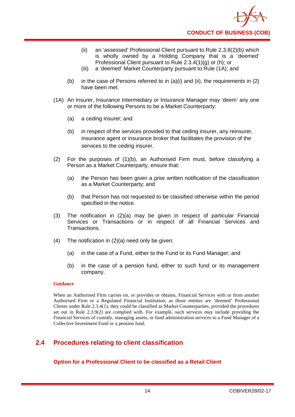- (ii) an 'assessed' Professional Client pursuant to Rule 2.3.8(2)(b) which is wholly owned by a Holding Company that is a 'deemed' Professional Client pursuant to Rule 2.3.4(1)(g) or (h); or
- (iii) a 'deemed' Market Counterparty pursuant to Rule (1A); and
- (b) in the case of Persons referred to in  $(a)(i)$  and  $(ii)$ , the requirements in  $(2)$ have been met.
- (1A) An Insurer, Insurance Intermediary or Insurance Manager may 'deem' any one or more of the following Persons to be a Market Counterparty:
	- (a) a ceding insurer; and
	- (b) in respect of the services provided to that ceding insurer, any reinsurer, insurance agent or insurance broker that facilitates the provision of the services to the ceding insurer.
- (2) For the purposes of (1)(b), an Authorised Firm must, before classifying a Person as a Market Counterparty, ensure that:
	- (a) the Person has been given a prior written notification of the classification as a Market Counterparty; and
	- (b) that Person has not requested to be classified otherwise within the period specified in the notice.
- (3) The notification in (2)(a) may be given in respect of particular Financial Services or Transactions or in respect of all Financial Services and Transactions.
- (4) The notification in (2)(a) need only be given:
	- (a) in the case of a Fund, either to the Fund or its Fund Manager; and
	- (b) in the case of a pension fund, either to such fund or its management company.

When an Authorised Firm carries on, or provides or obtains, Financial Services with or from another Authorised Firm or a Regulated Financial Institution, as those entities are 'deemed' Professional Clients under Rule 2.3.4(1), they could be classified as Market Counterparties, provided the procedures set out in Rule 2.3.9(2) are complied with. For example, such services may include providing the Financial Services of custody, managing assets, or fund administration services to a Fund Manager of a Collective Investment Fund or a pension fund.

# <span id="page-18-0"></span>**2.4 Procedures relating to client classification**

**Option for a Professional Client to be classified as a Retail Client**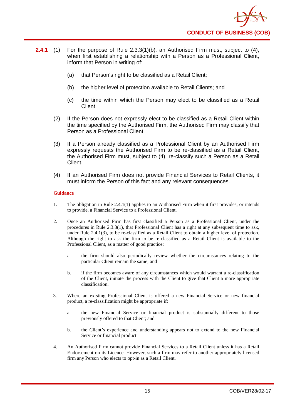

- **2.4.1** (1) For the purpose of Rule 2.3.3(1)(b), an Authorised Firm must, subject to (4), when first establishing a relationship with a Person as a Professional Client, inform that Person in writing of:
	- (a) that Person's right to be classified as a Retail Client;
	- (b) the higher level of protection available to Retail Clients; and
	- (c) the time within which the Person may elect to be classified as a Retail Client.
	- (2) If the Person does not expressly elect to be classified as a Retail Client within the time specified by the Authorised Firm, the Authorised Firm may classify that Person as a Professional Client.
	- (3) If a Person already classified as a Professional Client by an Authorised Firm expressly requests the Authorised Firm to be re-classified as a Retail Client, the Authorised Firm must, subject to (4), re-classify such a Person as a Retail Client.
	- (4) If an Authorised Firm does not provide Financial Services to Retail Clients, it must inform the Person of this fact and any relevant consequences.

- 1. The obligation in Rule 2.4.1(1) applies to an Authorised Firm when it first provides, or intends to provide, a Financial Service to a Professional Client.
- 2. Once an Authorised Firm has first classified a Person as a Professional Client, under the procedures in Rule 2.3.3(1), that Professional Client has a right at any subsequent time to ask, under Rule 2.4.1(3), to be re-classified as a Retail Client to obtain a higher level of protection. Although the right to ask the firm to be re-classified as a Retail Client is available to the Professional Client, as a matter of good practice:
	- a. the firm should also periodically review whether the circumstances relating to the particular Client remain the same; and
	- b. if the firm becomes aware of any circumstances which would warrant a re-classification of the Client, initiate the process with the Client to give that Client a more appropriate classification.
- 3. Where an existing Professional Client is offered a new Financial Service or new financial product, a re-classification might be appropriate if:
	- a. the new Financial Service or financial product is substantially different to those previously offered to that Client; and
	- b. the Client's experience and understanding appears not to extend to the new Financial Service or financial product.
- 4. An Authorised Firm cannot provide Financial Services to a Retail Client unless it has a Retail Endorsement on its Licence. However, such a firm may refer to another appropriately licensed firm any Person who elects to opt-in as a Retail Client.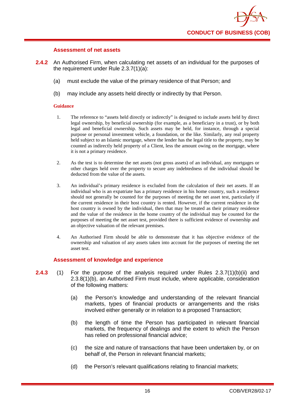#### **Assessment of net assets**

- **2.4.2** An Authorised Firm, when calculating net assets of an individual for the purposes of the requirement under Rule 2.3.7(1)(a):
	- (a) must exclude the value of the primary residence of that Person; and
	- (b) may include any assets held directly or indirectly by that Person.

#### **Guidance**

- 1. The reference to "assets held directly or indirectly" is designed to include assets held by direct legal ownership, by beneficial ownership (for example, as a beneficiary in a trust), or by both legal and beneficial ownership. Such assets may be held, for instance, through a special purpose or personal investment vehicle, a foundation, or the like. Similarly, any real property held subject to an Islamic mortgage, where the lender has the legal title to the property, may be counted as indirectly held property of a Client, less the amount owing on the mortgage, where it is not a primary residence.
- 2. As the test is to determine the net assets (not gross assets) of an individual, any mortgages or other charges held over the property to secure any indebtedness of the individual should be deducted from the value of the assets.
- 3. An individual's primary residence is excluded from the calculation of their net assets. If an individual who is an expatriate has a primary residence in his home country, such a residence should not generally be counted for the purposes of meeting the net asset test, particularly if the current residence in their host country is rented. However, if the current residence in the host country is owned by the individual, then that may be treated as their primary residence and the value of the residence in the home country of the individual may be counted for the purposes of meeting the net asset test, provided there is sufficient evidence of ownership and an objective valuation of the relevant premises.
- 4. An Authorised Firm should be able to demonstrate that it has objective evidence of the ownership and valuation of any assets taken into account for the purposes of meeting the net asset test.

# **Assessment of knowledge and experience**

- **2.4.3** (1) For the purpose of the analysis required under Rules 2.3.7(1)(b)(ii) and 2.3.8(1)(b), an Authorised Firm must include, where applicable, consideration of the following matters:
	- (a) the Person's knowledge and understanding of the relevant financial markets, types of financial products or arrangements and the risks involved either generally or in relation to a proposed Transaction;
	- (b) the length of time the Person has participated in relevant financial markets, the frequency of dealings and the extent to which the Person has relied on professional financial advice;
	- (c) the size and nature of transactions that have been undertaken by, or on behalf of, the Person in relevant financial markets;
	- (d) the Person's relevant qualifications relating to financial markets;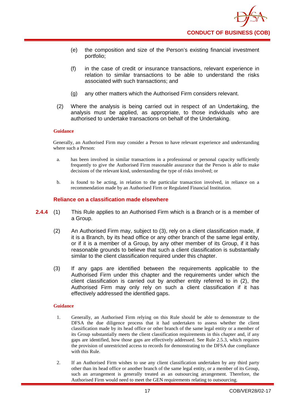

- (e) the composition and size of the Person's existing financial investment portfolio;
- (f) in the case of credit or insurance transactions, relevant experience in relation to similar transactions to be able to understand the risks associated with such transactions; and
- (g) any other matters which the Authorised Firm considers relevant.
- (2) Where the analysis is being carried out in respect of an Undertaking, the analysis must be applied, as appropriate, to those individuals who are authorised to undertake transactions on behalf of the Undertaking.

Generally, an Authorised Firm may consider a Person to have relevant experience and understanding where such a Person:

- a. has been involved in similar transactions in a professional or personal capacity sufficiently frequently to give the Authorised Firm reasonable assurance that the Person is able to make decisions of the relevant kind, understanding the type of risks involved; or
- b. is found to be acting, in relation to the particular transaction involved, in reliance on a recommendation made by an Authorised Firm or Regulated Financial Institution.

#### **Reliance on a classification made elsewhere**

- **2.4.4** (1) This Rule applies to an Authorised Firm which is a Branch or is a member of a Group.
	- (2) An Authorised Firm may, subject to (3), rely on a client classification made, if it is a Branch, by its head office or any other branch of the same legal entity, or if it is a member of a Group, by any other member of its Group, if it has reasonable grounds to believe that such a client classification is substantially similar to the client classification required under this chapter.
	- (3) If any gaps are identified between the requirements applicable to the Authorised Firm under this chapter and the requirements under which the client classification is carried out by another entity referred to in (2), the Authorised Firm may only rely on such a client classification if it has effectively addressed the identified gaps.

#### **Guidance**

- 1. Generally, an Authorised Firm relying on this Rule should be able to demonstrate to the DFSA the due diligence process that it had undertaken to assess whether the client classification made by its head office or other branch of the same legal entity or a member of its Group substantially meets the client classification requirements in this chapter and, if any gaps are identified, how those gaps are effectively addressed. See Rule 2.5.3, which requires the provision of unrestricted access to records for demonstrating to the DFSA due compliance with this Rule.
- 2. If an Authorised Firm wishes to use any client classification undertaken by any third party other than its head office or another branch of the same legal entity, or a member of its Group, such an arrangement is generally treated as an outsourcing arrangement. Therefore, the Authorised Firm would need to meet the GEN requirements relating to outsourcing.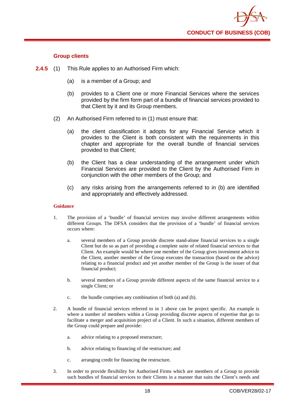

#### **Group clients**

- **2.4.5** (1) This Rule applies to an Authorised Firm which:
	- (a) is a member of a Group; and
	- (b) provides to a Client one or more Financial Services where the services provided by the firm form part of a bundle of financial services provided to that Client by it and its Group members.
	- (2) An Authorised Firm referred to in (1) must ensure that:
		- (a) the client classification it adopts for any Financial Service which it provides to the Client is both consistent with the requirements in this chapter and appropriate for the overall bundle of financial services provided to that Client;
		- (b) the Client has a clear understanding of the arrangement under which Financial Services are provided to the Client by the Authorised Firm in conjunction with the other members of the Group; and
		- (c) any risks arising from the arrangements referred to in (b) are identified and appropriately and effectively addressed.

#### **Guidance**

- 1. The provision of a 'bundle' of financial services may involve different arrangements within different Groups. The DFSA considers that the provision of a 'bundle' of financial services occurs where:
	- a. several members of a Group provide discrete stand-alone financial services to a single Client but do so as part of providing a complete suite of related financial services to that Client. An example would be where one member of the Group gives investment advice to the Client, another member of the Group executes the transaction (based on the advice) relating to a financial product and yet another member of the Group is the issuer of that financial product;
	- b. several members of a Group provide different aspects of the same financial service to a single Client; or
	- c. the bundle comprises any combination of both (a) and (b).
- 2. A bundle of financial services referred to in 1 above can be project specific. An example is where a number of members within a Group providing discrete aspects of expertise that go to facilitate a merger and acquisition project of a Client. In such a situation, different members of the Group could prepare and provide:
	- a. advice relating to a proposed restructure;
	- b. advice relating to financing of the restructure; and
	- c. arranging credit for financing the restructure.
- 3. In order to provide flexibility for Authorised Firms which are members of a Group to provide such bundles of financial services to their Clients in a manner that suits the Client's needs and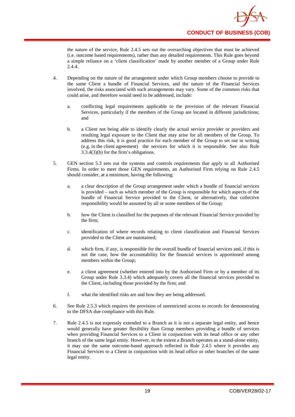

the nature of the service, Rule 2.4.5 sets out the overarching objectives that must be achieved (i.e. outcome based requirements), rather than any detailed requirements. This Rule goes beyond a simple reliance on a 'client classification' made by another member of a Group under Rule 2.4.4.

- 4. Depending on the nature of the arrangement under which Group members choose to provide to the same Client a bundle of Financial Services, and the nature of the Financial Services involved, the risks associated with such arrangements may vary. Some of the common risks that could arise, and therefore would need to be addressed, include:
	- a. conflicting legal requirements applicable to the provision of the relevant Financial Services, particularly if the members of the Group are located in different jurisdictions; and
	- b. a Client not being able to identify clearly the actual service provider or providers and resulting legal exposure to the Client that may arise for all members of the Group. To address this risk, it is good practice for each member of the Group to set out in writing (e.g. in the client agreement) the services for which it is responsible. See also Rule 3.3.4(3)(b) for the firm's obligations.
- 5. GEN section 5.3 sets out the systems and controls requirements that apply to all Authorised Firms. In order to meet those GEN requirements, an Authorised Firm relying on Rule 2.4.5 should consider, at a minimum, having the following:
	- a. a clear description of the Group arrangement under which a bundle of financial services is provided – such as which member of the Group is responsible for which aspects of the bundle of Financial Service provided to the Client, or alternatively, that collective responsibility would be assumed by all or some members of the Group;
	- b. how the Client is classified for the purposes of the relevant Financial Service provided by the firm;
	- c. identification of where records relating to client classification and Financial Services provided to the Client are maintained;
	- d. which firm, if any, is responsible for the overall bundle of financial services and, if this is not the case, how the accountability for the financial services is apportioned among members within the Group;
	- e. a client agreement (whether entered into by the Authorised Firm or by a member of its Group under Rule 3.3.4) which adequately covers all the financial services provided to the Client, including those provided by the firm; and
	- f. what the identified risks are and how they are being addressed.
- 6. See Rule 2.5.3 which requires the provision of unrestricted access to records for demonstrating to the DFSA due compliance with this Rule.
- 7. Rule 2.4.5 is not expressly extended to a Branch as it is not a separate legal entity, and hence would generally have greater flexibility than Group members providing a bundle of services when providing Financial Services to a Client in conjunction with its head office or any other branch of the same legal entity. However, to the extent a Branch operates as a stand-alone entity, it may use the same outcome-based approach reflected in Rule 2.4.5 where it provides any Financial Services to a Client in conjunction with its head office or other branches of the same legal entity.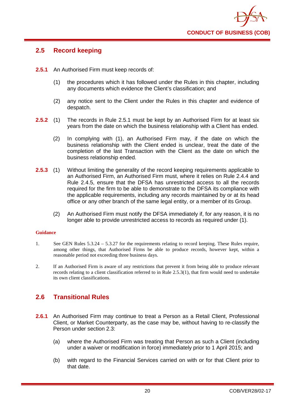

# <span id="page-24-0"></span>**2.5 Record keeping**

- **2.5.1** An Authorised Firm must keep records of:
	- (1) the procedures which it has followed under the Rules in this chapter, including any documents which evidence the Client's classification; and
	- (2) any notice sent to the Client under the Rules in this chapter and evidence of despatch.
- **2.5.2** (1) The records in Rule 2.5.1 must be kept by an Authorised Firm for at least six years from the date on which the business relationship with a Client has ended.
	- (2) In complying with (1), an Authorised Firm may, if the date on which the business relationship with the Client ended is unclear, treat the date of the completion of the last Transaction with the Client as the date on which the business relationship ended.
- **2.5.3** (1) Without limiting the generality of the record keeping requirements applicable to an Authorised Firm, an Authorised Firm must, where it relies on Rule 2.4.4 and Rule 2.4.5, ensure that the DFSA has unrestricted access to all the records required for the firm to be able to demonstrate to the DFSA its compliance with the applicable requirements, including any records maintained by or at its head office or any other branch of the same legal entity, or a member of its Group.
	- (2) An Authorised Firm must notify the DFSA immediately if, for any reason, it is no longer able to provide unrestricted access to records as required under (1).

#### **Guidance**

- 1. See GEN Rules 5.3.24 5.3.27 for the requirements relating to record keeping. These Rules require, among other things, that Authorised Firms be able to produce records, however kept, within a reasonable period not exceeding three business days.
- 2. If an Authorised Firm is aware of any restrictions that prevent it from being able to produce relevant records relating to a client classification referred to in Rule 2.5.3(1), that firm would need to undertake its own client classifications.

# <span id="page-24-1"></span>**2.6 Transitional Rules**

- 2.6.1 An Authorised Firm may continue to treat a Person as a Retail Client, Professional Client, or Market Counterparty, as the case may be, without having to re-classify the Person under section 2.3:
	- (a) where the Authorised Firm was treating that Person as such a Client (including under a waiver or modification in force) immediately prior to 1 April 2015; and
	- (b) with regard to the Financial Services carried on with or for that Client prior to that date.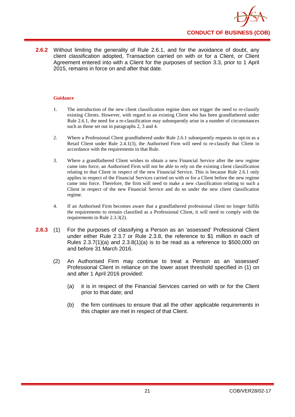

**2.6.2** Without limiting the generality of Rule 2.6.1, and for the avoidance of doubt, any client classification adopted, Transaction carried on with or for a Client, or Client Agreement entered into with a Client for the purposes of section 3.3, prior to 1 April 2015, remains in force on and after that date.

#### **Guidance**

- 1. The introduction of the new client classification regime does not trigger the need to re-classify existing Clients. However, with regard to an existing Client who has been grandfathered under Rule 2.6.1, the need for a re-classification may subsequently arise in a number of circumstances such as those set out in paragraphs 2, 3 and 4.
- 2. Where a Professional Client grandfathered under Rule 2.6.1 subsequently requests to opt-in as a Retail Client under Rule 2.4.1(3), the Authorised Firm will need to re-classify that Client in accordance with the requirements in that Rule.
- 3. Where a grandfathered Client wishes to obtain a new Financial Service after the new regime came into force, an Authorised Firm will not be able to rely on the existing client classification relating to that Client in respect of the new Financial Service. This is because Rule 2.6.1 only applies in respect of the Financial Services carried on with or for a Client before the new regime came into force. Therefore, the firm will need to make a new classification relating to such a Client in respect of the new Financial Service and do so under the new client classification regime.
- 4. If an Authorised Firm becomes aware that a grandfathered professional client no longer fulfils the requirements to remain classified as a Professional Client, it will need to comply with the requirements in Rule 2.3.3(2).
- **2.6.3** (1) For the purposes of classifying a Person as an 'assessed' Professional Client under either Rule 2.3.7 or Rule 2.3.8, the reference to \$1 million in each of Rules  $2.3.7(1)(a)$  and  $2.3.8(1)(a)$  is to be read as a reference to \$500,000 on and before 31 March 2016.
	- (2) An Authorised Firm may continue to treat a Person as an 'assessed' Professional Client in reliance on the lower asset threshold specified in (1) on and after 1 April 2016 provided:
		- (a) it is in respect of the Financial Services carried on with or for the Client prior to that date; and
		- (b) the firm continues to ensure that all the other applicable requirements in this chapter are met in respect of that Client.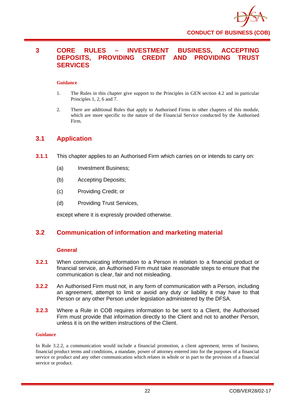

# <span id="page-26-0"></span>**3 CORE RULES – INVESTMENT BUSINESS, ACCEPTING DEPOSITS, PROVIDING CREDIT AND PROVIDING TRUST SERVICES**

#### **Guidance**

- 1. The Rules in this chapter give support to the Principles in GEN section 4.2 and in particular Principles 1, 2, 6 and 7.
- 2. There are additional Rules that apply to Authorised Firms in other chapters of this module, which are more specific to the nature of the Financial Service conducted by the Authorised Firm.

# <span id="page-26-1"></span>**3.1 Application**

- **3.1.1** This chapter applies to an Authorised Firm which carries on or intends to carry on:
	- (a) Investment Business;
	- (b) Accepting Deposits;
	- (c) Providing Credit; or
	- (d) Providing Trust Services,

except where it is expressly provided otherwise.

# <span id="page-26-2"></span>**3.2 Communication of information and marketing material**

#### **General**

- **3.2.1** When communicating information to a Person in relation to a financial product or financial service, an Authorised Firm must take reasonable steps to ensure that the communication is clear, fair and not misleading.
- **3.2.2** An Authorised Firm must not, in any form of communication with a Person, including an agreement, attempt to limit or avoid any duty or liability it may have to that Person or any other Person under legislation administered by the DFSA.
- **3.2.3** Where a Rule in COB requires information to be sent to a Client, the Authorised Firm must provide that information directly to the Client and not to another Person, unless it is on the written instructions of the Client.

#### **Guidance**

In Rule 3.2.2, a communication would include a financial promotion, a client agreement, terms of business, financial product terms and conditions, a mandate, power of attorney entered into for the purposes of a financial service or product and any other communication which relates in whole or in part to the provision of a financial service or product.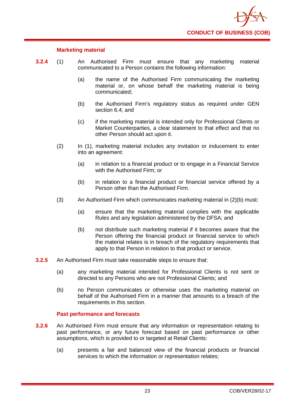

### **Marketing material**

- **3.2.4** (1) An Authorised Firm must ensure that any marketing material communicated to a Person contains the following information:
	- (a) the name of the Authorised Firm communicating the marketing material or, on whose behalf the marketing material is being communicated;
	- (b) the Authorised Firm's regulatory status as required under GEN section 6.4; and
	- (c) if the marketing material is intended only for Professional Clients or Market Counterparties, a clear statement to that effect and that no other Person should act upon it.
	- (2) In (1), marketing material includes any invitation or inducement to enter into an agreement:
		- (a) in relation to a financial product or to engage in a Financial Service with the Authorised Firm; or
		- (b) in relation to a financial product or financial service offered by a Person other than the Authorised Firm.
	- (3) An Authorised Firm which communicates marketing material in (2)(b) must:
		- (a) ensure that the marketing material complies with the applicable Rules and any legislation administered by the DFSA; and
		- (b) not distribute such marketing material if it becomes aware that the Person offering the financial product or financial service to which the material relates is in breach of the regulatory requirements that apply to that Person in relation to that product or service.
- **3.2.5** An Authorised Firm must take reasonable steps to ensure that:
	- (a) any marketing material intended for Professional Clients is not sent or directed to any Persons who are not Professional Clients; and
	- (b) no Person communicates or otherwise uses the marketing material on behalf of the Authorised Firm in a manner that amounts to a breach of the requirements in this section.

#### **Past performance and forecasts**

- **3.2.6** An Authorised Firm must ensure that any information or representation relating to past performance, or any future forecast based on past performance or other assumptions, which is provided to or targeted at Retail Clients:
	- (a) presents a fair and balanced view of the financial products or financial services to which the information or representation relates;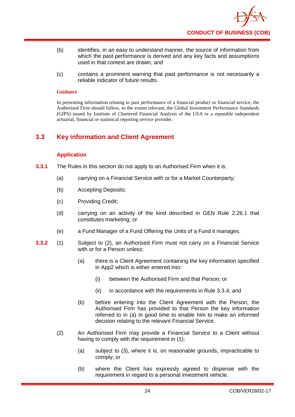

- (b) identifies, in an easy to understand manner, the source of information from which the past performance is derived and any key facts and assumptions used in that context are drawn; and
- (c) contains a prominent warning that past performance is not necessarily a reliable indicator of future results.

In presenting information relating to past performance of a financial product or financial service, the Authorised Firm should follow, to the extent relevant, the Global Investment Performance Standards (GIPS) issued by Institute of Chartered Financial Analysts of the USA or a reputable independent actuarial, financial or statistical reporting service provider.

# <span id="page-28-0"></span>**3.3 Key information and Client Agreement**

# **Application**

- **3.3.1** The Rules in this section do not apply to an Authorised Firm when it is:
	- (a) carrying on a Financial Service with or for a Market Counterparty;
	- (b) Accepting Deposits;
	- (c) Providing Credit;
	- (d) carrying on an activity of the kind described in GEN Rule 2.26.1 that constitutes marketing; or
	- (e) a Fund Manager of a Fund Offering the Units of a Fund it manages.
- **3.3.2** (1) Subject to (2), an Authorised Firm must not carry on a Financial Service with or for a Person unless:
	- (a) there is a Client Agreement containing the key information specified in App2 which is either entered into:
		- (i) between the Authorised Firm and that Person; or
		- (ii) in accordance with the requirements in Rule 3.3.4; and
	- (b) before entering into the Client Agreement with the Person, the Authorised Firm has provided to that Person the key information referred to in (a) in good time to enable him to make an informed decision relating to the relevant Financial Service.
	- (2) An Authorised Firm may provide a Financial Service to a Client without having to comply with the requirement in (1):
		- (a) subject to (3), where it is, on reasonable grounds, impracticable to comply; or
		- (b) where the Client has expressly agreed to dispense with the requirement in regard to a personal investment vehicle.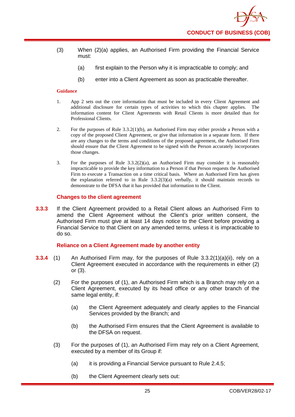- (3) When (2)(a) applies, an Authorised Firm providing the Financial Service must:
	- (a) first explain to the Person why it is impracticable to comply; and
	- (b) enter into a Client Agreement as soon as practicable thereafter.

- 1. App 2 sets out the core information that must be included in every Client Agreement and additional disclosure for certain types of activities to which this chapter applies. The information content for Client Agreements with Retail Clients is more detailed than for Professional Clients.
- 2. For the purposes of Rule 3.3.2(1)(b), an Authorised Firm may either provide a Person with a copy of the proposed Client Agreement, or give that information in a separate form. If there are any changes to the terms and conditions of the proposed agreement, the Authorised Firm should ensure that the Client Agreement to be signed with the Person accurately incorporates those changes.
- 3. For the purposes of Rule  $3.3.2(2)(a)$ , an Authorised Firm may consider it is reasonably impracticable to provide the key information to a Person if that Person requests the Authorised Firm to execute a Transaction on a time critical basis. Where an Authorised Firm has given the explanation referred to in Rule  $3.3.2(3)(a)$  verbally, it should maintain records to demonstrate to the DFSA that it has provided that information to the Client.

#### **Changes to the client agreement**

**3.3.3** If the Client Agreement provided to a Retail Client allows an Authorised Firm to amend the Client Agreement without the Client's prior written consent, the Authorised Firm must give at least 14 days notice to the Client before providing a Financial Service to that Client on any amended terms, unless it is impracticable to do so.

#### **Reliance on a Client Agreement made by another entity**

- **3.3.4** (1) An Authorised Firm may, for the purposes of Rule 3.3.2(1)(a)(ii), rely on a Client Agreement executed in accordance with the requirements in either (2) or (3).
	- (2) For the purposes of (1), an Authorised Firm which is a Branch may rely on a Client Agreement, executed by its head office or any other branch of the same legal entity, if:
		- (a) the Client Agreement adequately and clearly applies to the Financial Services provided by the Branch; and
		- (b) the Authorised Firm ensures that the Client Agreement is available to the DFSA on request.
	- (3) For the purposes of (1), an Authorised Firm may rely on a Client Agreement, executed by a member of its Group if:
		- (a) it is providing a Financial Service pursuant to Rule 2.4.5;
		- (b) the Client Agreement clearly sets out: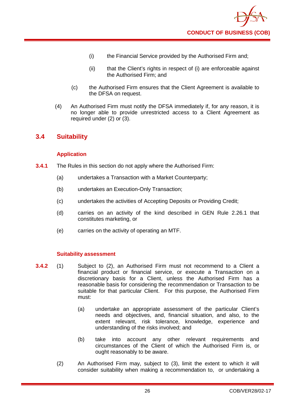

- (i) the Financial Service provided by the Authorised Firm and;
- (ii) that the Client's rights in respect of (i) are enforceable against the Authorised Firm; and
- (c) the Authorised Firm ensures that the Client Agreement is available to the DFSA on request.
- (4) An Authorised Firm must notify the DFSA immediately if, for any reason, it is no longer able to provide unrestricted access to a Client Agreement as required under (2) or (3).

# <span id="page-30-0"></span>**3.4 Suitability**

# **Application**

- **3.4.1** The Rules in this section do not apply where the Authorised Firm:
	- (a) undertakes a Transaction with a Market Counterparty;
	- (b) undertakes an Execution-Only Transaction;
	- (c) undertakes the activities of Accepting Deposits or Providing Credit;
	- (d) carries on an activity of the kind described in GEN Rule 2.26.1 that constitutes marketing, or
	- (e) carries on the activity of operating an MTF.

# **Suitability assessment**

- **3.4.2** (1) Subject to (2), an Authorised Firm must not recommend to a Client a financial product or financial service, or execute a Transaction on a discretionary basis for a Client, unless the Authorised Firm has a reasonable basis for considering the recommendation or Transaction to be suitable for that particular Client. For this purpose, the Authorised Firm must:
	- (a) undertake an appropriate assessment of the particular Client's needs and objectives, and, financial situation, and also, to the extent relevant, risk tolerance, knowledge, experience and understanding of the risks involved; and
	- (b) take into account any other relevant requirements and circumstances of the Client of which the Authorised Firm is, or ought reasonably to be aware.
	- (2) An Authorised Firm may, subject to (3), limit the extent to which it will consider suitability when making a recommendation to, or undertaking a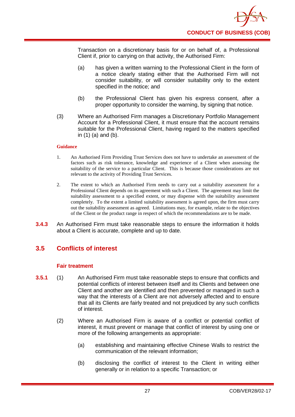

Transaction on a discretionary basis for or on behalf of, a Professional Client if, prior to carrying on that activity, the Authorised Firm:

- (a) has given a written warning to the Professional Client in the form of a notice clearly stating either that the Authorised Firm will not consider suitability, or will consider suitability only to the extent specified in the notice; and
- (b) the Professional Client has given his express consent, after a proper opportunity to consider the warning, by signing that notice.
- (3) Where an Authorised Firm manages a Discretionary Portfolio Management Account for a Professional Client, it must ensure that the account remains suitable for the Professional Client, having regard to the matters specified in (1) (a) and (b).

#### **Guidance**

- 1. An Authorised Firm Providing Trust Services does not have to undertake an assessment of the factors such as risk tolerance, knowledge and experience of a Client when assessing the suitability of the service to a particular Client. This is because those considerations are not relevant to the activity of Providing Trust Services.
- 2. The extent to which an Authorised Firm needs to carry out a suitability assessment for a Professional Client depends on its agreement with such a Client. The agreement may limit the suitability assessment to a specified extent, or may dispense with the suitability assessment completely. To the extent a limited suitability assessment is agreed upon, the firm must carry out the suitability assessment as agreed. Limitations may, for example, relate to the objectives of the Client or the product range in respect of which the recommendations are to be made.
- **3.4.3** An Authorised Firm must take reasonable steps to ensure the information it holds about a Client is accurate, complete and up to date.

# <span id="page-31-0"></span>**3.5 Conflicts of interest**

# **Fair treatment**

- **3.5.1** (1) An Authorised Firm must take reasonable steps to ensure that conflicts and potential conflicts of interest between itself and its Clients and between one Client and another are identified and then prevented or managed in such a way that the interests of a Client are not adversely affected and to ensure that all its Clients are fairly treated and not prejudiced by any such conflicts of interest.
	- (2) Where an Authorised Firm is aware of a conflict or potential conflict of interest, it must prevent or manage that conflict of interest by using one or more of the following arrangements as appropriate:
		- (a) establishing and maintaining effective Chinese Walls to restrict the communication of the relevant information;
		- (b) disclosing the conflict of interest to the Client in writing either generally or in relation to a specific Transaction; or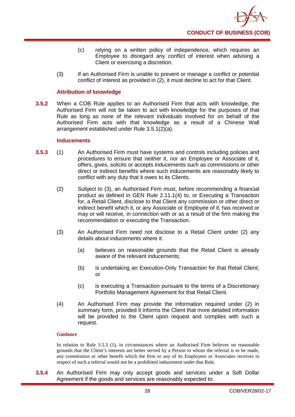- (c) relying on a written policy of independence, which requires an Employee to disregard any conflict of interest when advising a Client or exercising a discretion.
- (3) If an Authorised Firm is unable to prevent or manage a conflict or potential conflict of interest as provided in (2), it must decline to act for that Client.

# **Attribution of knowledge**

**3.5.2** When a COB Rule applies to an Authorised Firm that acts with knowledge, the Authorised Firm will not be taken to act with knowledge for the purposes of that Rule as long as none of the relevant individuals involved for on behalf of the Authorised Firm acts with that knowledge as a result of a Chinese Wall arrangement established under Rule 3.5.1(2)(a).

#### **Inducements**

- **3.5.3** (1) An Authorised Firm must have systems and controls including policies and procedures to ensure that neither it, nor an Employee or Associate of it, offers, gives, solicits or accepts inducements such as commissions or other direct or indirect benefits where such inducements are reasonably likely to conflict with any duty that it owes to its Clients.
	- (2) Subject to (3), an Authorised Firm must, before recommending a financial product as defined in GEN Rule 2.11.1(4) to, or Executing a Transaction for, a Retail Client, disclose to that Client any commission or other direct or indirect benefit which it, or any Associate or Employee of it, has received or may or will receive, in connection with or as a result of the firm making the recommendation or executing the Transaction.
	- (3) An Authorised Firm need not disclose to a Retail Client under (2) any details about inducements where it:
		- (a) believes on reasonable grounds that the Retail Client is already aware of the relevant inducements;
		- (b) is undertaking an Execution-Only Transaction for that Retail Client; or
		- (c) is executing a Transaction pursuant to the terms of a Discretionary Portfolio Management Agreement for that Retail Client.
	- (4) An Authorised Firm may provide the information required under (2) in summary form, provided it informs the Client that more detailed information will be provided to the Client upon request and complies with such a request.

#### **Guidance**

In relation to Rule 3.5.3 (1), in circumstances where an Authorised Firm believes on reasonable grounds that the Client's interests are better served by a Person to whom the referral is to be made, any commission or other benefit which the firm or any of its Employees or Associates receives in respect of such a referral would not be a prohibited inducement under that Rule.

**3.5.4** An Authorised Firm may only accept goods and services under a Soft Dollar Agreement if the goods and services are reasonably expected to: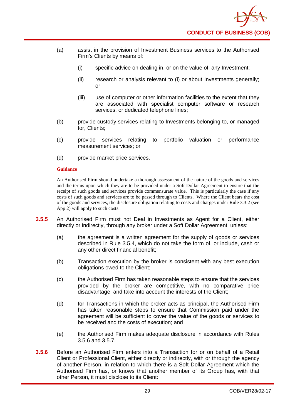- (a) assist in the provision of Investment Business services to the Authorised Firm's Clients by means of:
	- (i) specific advice on dealing in, or on the value of, any Investment;
	- (ii) research or analysis relevant to (i) or about Investments generally; or
	- (iii) use of computer or other information facilities to the extent that they are associated with specialist computer software or research services, or dedicated telephone lines;
- (b) provide custody services relating to Investments belonging to, or managed for, Clients;
- (c) provide services relating to portfolio valuation or performance measurement services; or
- (d) provide market price services.

An Authorised Firm should undertake a thorough assessment of the nature of the goods and services and the terms upon which they are to be provided under a Soft Dollar Agreement to ensure that the receipt of such goods and services provide commensurate value. This is particularly the case if any costs of such goods and services are to be passed through to Clients. Where the Client bears the cost of the goods and services, the disclosure obligation relating to costs and charges under Rule 3.3.2 (see App 2) will apply to such costs.

- **3.5.5** An Authorised Firm must not Deal in Investments as Agent for a Client, either directly or indirectly, through any broker under a Soft Dollar Agreement, unless:
	- (a) the agreement is a written agreement for the supply of goods or services described in Rule 3.5.4, which do not take the form of, or include, cash or any other direct financial benefit;
	- (b) Transaction execution by the broker is consistent with any best execution obligations owed to the Client;
	- (c) the Authorised Firm has taken reasonable steps to ensure that the services provided by the broker are competitive, with no comparative price disadvantage, and take into account the interests of the Client;
	- (d) for Transactions in which the broker acts as principal, the Authorised Firm has taken reasonable steps to ensure that Commission paid under the agreement will be sufficient to cover the value of the goods or services to be received and the costs of execution; and
	- (e) the Authorised Firm makes adequate disclosure in accordance with Rules 3.5.6 and 3.5.7.
- **3.5.6** Before an Authorised Firm enters into a Transaction for or on behalf of a Retail Client or Professional Client, either directly or indirectly, with or through the agency of another Person, in relation to which there is a Soft Dollar Agreement which the Authorised Firm has, or knows that another member of its Group has, with that other Person, it must disclose to its Client: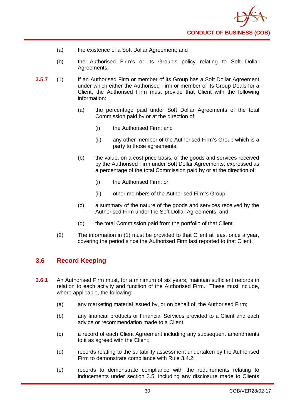- (a) the existence of a Soft Dollar Agreement; and
- (b) the Authorised Firm's or its Group's policy relating to Soft Dollar Agreements.
- **3.5.7** (1) If an Authorised Firm or member of its Group has a Soft Dollar Agreement under which either the Authorised Firm or member of its Group Deals for a Client, the Authorised Firm must provide that Client with the following information:
	- (a) the percentage paid under Soft Dollar Agreements of the total Commission paid by or at the direction of:
		- (i) the Authorised Firm; and
		- (ii) any other member of the Authorised Firm's Group which is a party to those agreements;
	- (b) the value, on a cost price basis, of the goods and services received by the Authorised Firm under Soft Dollar Agreements, expressed as a percentage of the total Commission paid by or at the direction of:
		- (i) the Authorised Firm; or
		- (ii) other members of the Authorised Firm's Group;
	- (c) a summary of the nature of the goods and services received by the Authorised Firm under the Soft Dollar Agreements; and
	- (d) the total Commission paid from the portfolio of that Client.
	- (2) The information in (1) must be provided to that Client at least once a year, covering the period since the Authorised Firm last reported to that Client.

# <span id="page-34-0"></span>**3.6 Record Keeping**

- **3.6.1** An Authorised Firm must, for a minimum of six years, maintain sufficient records in relation to each activity and function of the Authorised Firm. These must include, where applicable, the following:
	- (a) any marketing material issued by, or on behalf of, the Authorised Firm;
	- (b) any financial products or Financial Services provided to a Client and each advice or recommendation made to a Client,
	- (c) a record of each Client Agreement including any subsequent amendments to it as agreed with the Client;
	- (d) records relating to the suitability assessment undertaken by the Authorised Firm to demonstrate compliance with Rule 3.4.2;
	- (e) records to demonstrate compliance with the requirements relating to inducements under section 3.5, including any disclosure made to Clients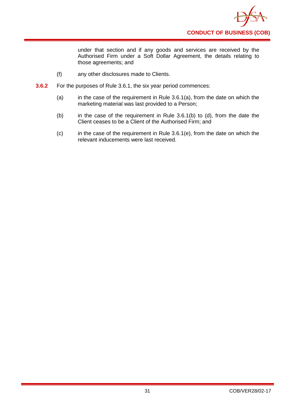

under that section and if any goods and services are received by the Authorised Firm under a Soft Dollar Agreement, the details relating to those agreements; and

- (f) any other disclosures made to Clients.
- **3.6.2** For the purposes of Rule 3.6.1, the six year period commences:
	- (a) in the case of the requirement in Rule  $3.6.1(a)$ , from the date on which the marketing material was last provided to a Person;
	- (b) in the case of the requirement in Rule 3.6.1(b) to (d), from the date the Client ceases to be a Client of the Authorised Firm; and
	- (c) in the case of the requirement in Rule 3.6.1(e), from the date on which the relevant inducements were last received.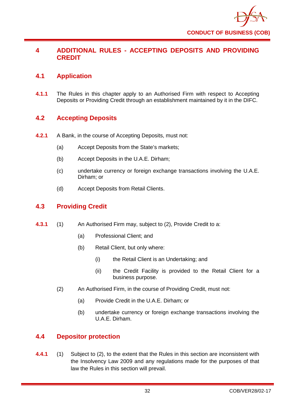

# **4 ADDITIONAL RULES - ACCEPTING DEPOSITS AND PROVIDING CREDIT**

# **4.1 Application**

**4.1.1** The Rules in this chapter apply to an Authorised Firm with respect to Accepting Deposits or Providing Credit through an establishment maintained by it in the DIFC.

# **4.2 Accepting Deposits**

- **4.2.1** A Bank, in the course of Accepting Deposits, must not:
	- (a) Accept Deposits from the State's markets;
	- (b) Accept Deposits in the U.A.E. Dirham;
	- (c) undertake currency or foreign exchange transactions involving the U.A.E. Dirham; or
	- (d) Accept Deposits from Retail Clients.

# **4.3 Providing Credit**

- **4.3.1** (1) An Authorised Firm may, subject to (2), Provide Credit to a:
	- (a) Professional Client; and
	- (b) Retail Client, but only where:
		- (i) the Retail Client is an Undertaking; and
		- (ii) the Credit Facility is provided to the Retail Client for a business purpose.
	- (2) An Authorised Firm, in the course of Providing Credit, must not:
		- (a) Provide Credit in the U.A.E. Dirham; or
		- (b) undertake currency or foreign exchange transactions involving the U.A.E. Dirham.

# **4.4 Depositor protection**

**4.4.1** (1) Subject to (2), to the extent that the Rules in this section are inconsistent with the Insolvency Law 2009 and any regulations made for the purposes of that law the Rules in this section will prevail.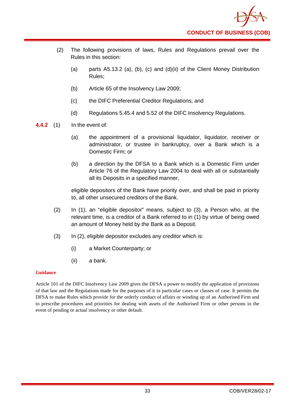- (2) The following provisions of laws, Rules and Regulations prevail over the Rules in this section:
	- (a) parts A5.13.2 (a), (b), (c) and (d)(ii) of the Client Money Distribution Rules;
	- (b) Article 65 of the Insolvency Law 2009;
	- (c) the DIFC Preferential Creditor Regulations; and
	- (d) Regulations 5.45.4 and 5.52 of the DIFC Insolvency Regulations.
- **4.4.2** (1) In the event of:
	- (a) the appointment of a provisional liquidator, liquidator, receiver or administrator, or trustee in bankruptcy, over a Bank which is a Domestic Firm; or
	- (b) a direction by the DFSA to a Bank which is a Domestic Firm under Article 76 of the Regulatory Law 2004 to deal with all or substantially all its Deposits in a specified manner,

eligible depositors of the Bank have priority over, and shall be paid in priority to, all other unsecured creditors of the Bank.

- (2) In (1), an "eligible depositor" means, subject to (3), a Person who, at the relevant time, is a creditor of a Bank referred to in (1) by virtue of being owed an amount of Money held by the Bank as a Deposit.
- (3) In (2), eligible depositor excludes any creditor which is:
	- (i) a Market Counterparty; or
	- (ii) a bank.

### **Guidance**

Article 101 of the DIFC Insolvency Law 2009 gives the DFSA a power to modify the application of provisions of that law and the Regulations made for the purposes of it in particular cases or classes of case. It permits the DFSA to make Rules which provide for the orderly conduct of affairs or winding up of an Authorised Firm and to prescribe procedures and priorities for dealing with assets of the Authorised Firm or other persons in the event of pending or actual insolvency or other default.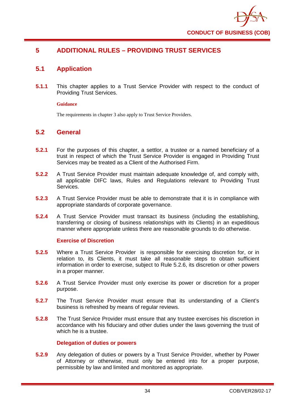

# **5 ADDITIONAL RULES – PROVIDING TRUST SERVICES**

# **5.1 Application**

**5.1.1** This chapter applies to a Trust Service Provider with respect to the conduct of Providing Trust Services.

### **Guidance**

The requirements in chapter 3 also apply to Trust Service Providers.

# **5.2 General**

- **5.2.1** For the purposes of this chapter, a settlor, a trustee or a named beneficiary of a trust in respect of which the Trust Service Provider is engaged in Providing Trust Services may be treated as a Client of the Authorised Firm.
- **5.2.2** A Trust Service Provider must maintain adequate knowledge of, and comply with, all applicable DIFC laws, Rules and Regulations relevant to Providing Trust Services.
- **5.2.3** A Trust Service Provider must be able to demonstrate that it is in compliance with appropriate standards of corporate governance.
- **5.2.4** A Trust Service Provider must transact its business (including the establishing, transferring or closing of business relationships with its Clients) in an expeditious manner where appropriate unless there are reasonable grounds to do otherwise.

### **Exercise of Discretion**

- **5.2.5** Where a Trust Service Provider is responsible for exercising discretion for, or in relation to, its Clients, it must take all reasonable steps to obtain sufficient information in order to exercise, subject to Rule 5.2.6, its discretion or other powers in a proper manner.
- **5.2.6** A Trust Service Provider must only exercise its power or discretion for a proper purpose.
- **5.2.7** The Trust Service Provider must ensure that its understanding of a Client's business is refreshed by means of regular reviews.
- **5.2.8** The Trust Service Provider must ensure that any trustee exercises his discretion in accordance with his fiduciary and other duties under the laws governing the trust of which he is a trustee.

### **Delegation of duties or powers**

**5.2.9** Any delegation of duties or powers by a Trust Service Provider, whether by Power of Attorney or otherwise, must only be entered into for a proper purpose, permissible by law and limited and monitored as appropriate.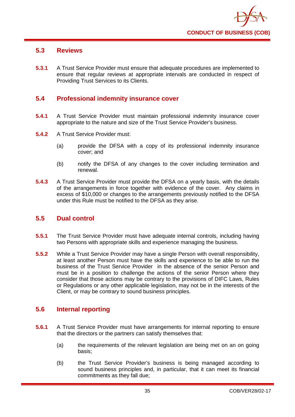

## **5.3 Reviews**

**5.3.1** A Trust Service Provider must ensure that adequate procedures are implemented to ensure that regular reviews at appropriate intervals are conducted in respect of Providing Trust Services to its Clients.

# **5.4 Professional indemnity insurance cover**

- **5.4.1** A Trust Service Provider must maintain professional indemnity insurance cover appropriate to the nature and size of the Trust Service Provider's business.
- **5.4.2** A Trust Service Provider must:
	- (a) provide the DFSA with a copy of its professional indemnity insurance cover; and
	- (b) notify the DFSA of any changes to the cover including termination and renewal.
- **5.4.3** A Trust Service Provider must provide the DFSA on a yearly basis, with the details of the arrangements in force together with evidence of the cover. Any claims in excess of \$10,000 or changes to the arrangements previously notified to the DFSA under this Rule must be notified to the DFSA as they arise.

## **5.5 Dual control**

- **5.5.1** The Trust Service Provider must have adequate internal controls, including having two Persons with appropriate skills and experience managing the business.
- **5.5.2** While a Trust Service Provider may have a single Person with overall responsibility, at least another Person must have the skills and experience to be able to run the business of the Trust Service Provider in the absence of the senior Person and must be in a position to challenge the actions of the senior Person where they consider that those actions may be contrary to the provisions of DIFC Laws, Rules or Regulations or any other applicable legislation, may not be in the interests of the Client, or may be contrary to sound business principles.

# **5.6 Internal reporting**

- **5.6.1** A Trust Service Provider must have arrangements for internal reporting to ensure that the directors or the partners can satisfy themselves that:
	- (a) the requirements of the relevant legislation are being met on an on going basis;
	- (b) the Trust Service Provider's business is being managed according to sound business principles and, in particular, that it can meet its financial commitments as they fall due;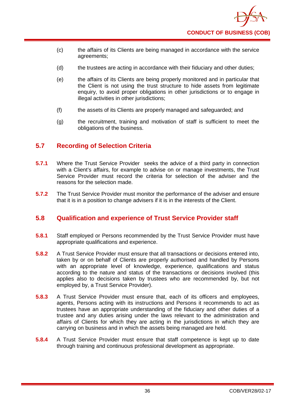

- (c) the affairs of its Clients are being managed in accordance with the service agreements;
- (d) the trustees are acting in accordance with their fiduciary and other duties;
- (e) the affairs of its Clients are being properly monitored and in particular that the Client is not using the trust structure to hide assets from legitimate enquiry, to avoid proper obligations in other jurisdictions or to engage in illegal activities in other jurisdictions;
- (f) the assets of its Clients are properly managed and safeguarded; and
- (g) the recruitment, training and motivation of staff is sufficient to meet the obligations of the business.

## **5.7 Recording of Selection Criteria**

- **5.7.1** Where the Trust Service Provider seeks the advice of a third party in connection with a Client's affairs, for example to advise on or manage investments, the Trust Service Provider must record the criteria for selection of the adviser and the reasons for the selection made.
- **5.7.2** The Trust Service Provider must monitor the performance of the adviser and ensure that it is in a position to change advisers if it is in the interests of the Client.

# **5.8 Qualification and experience of Trust Service Provider staff**

- **5.8.1** Staff employed or Persons recommended by the Trust Service Provider must have appropriate qualifications and experience.
- **5.8.2** A Trust Service Provider must ensure that all transactions or decisions entered into, taken by or on behalf of Clients are properly authorised and handled by Persons with an appropriate level of knowledge, experience, qualifications and status according to the nature and status of the transactions or decisions involved (this applies also to decisions taken by trustees who are recommended by, but not employed by, a Trust Service Provider).
- **5.8.3** A Trust Service Provider must ensure that, each of its officers and employees, agents, Persons acting with its instructions and Persons it recommends to act as trustees have an appropriate understanding of the fiduciary and other duties of a trustee and any duties arising under the laws relevant to the administration and affairs of Clients for which they are acting in the jurisdictions in which they are carrying on business and in which the assets being managed are held.
- **5.8.4** A Trust Service Provider must ensure that staff competence is kept up to date through training and continuous professional development as appropriate.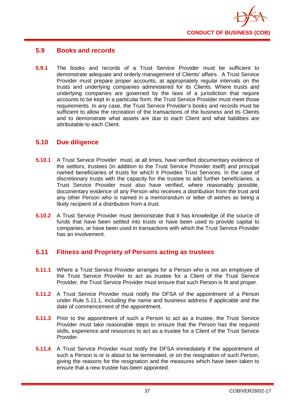

## **5.9 Books and records**

**5.9.1** The books and records of a Trust Service Provider must be sufficient to demonstrate adequate and orderly management of Clients' affairs. A Trust Service Provider must prepare proper accounts, at appropriately regular intervals on the trusts and underlying companies administered for its Clients. Where trusts and underlying companies are governed by the laws of a jurisdiction that require accounts to be kept in a particular form, the Trust Service Provider must meet those requirements. In any case, the Trust Service Provider's books and records must be sufficient to allow the recreation of the transactions of the business and its Clients and to demonstrate what assets are due to each Client and what liabilities are attributable to each Client.

## **5.10 Due diligence**

- **5.10.1** A Trust Service Provider must, at all times, have verified documentary evidence of the settlors, trustees (in addition to the Trust Service Provider itself) and principal named beneficiaries of trusts for which it Provides Trust Services. In the case of discretionary trusts with the capacity for the trustee to add further beneficiaries, a Trust Service Provider must also have verified, where reasonably possible, documentary evidence of any Person who receives a distribution from the trust and any other Person who is named in a memorandum or letter of wishes as being a likely recipient of a distribution from a trust.
- **5.10.2** A Trust Service Provider must demonstrate that it has knowledge of the source of funds that have been settled into trusts or have been used to provide capital to companies, or have been used in transactions with which the Trust Service Provider has an involvement.

# **5.11 Fitness and Propriety of Persons acting as trustees**

- **5.11.1** Where a Trust Service Provider arranges for a Person who is not an employee of the Trust Service Provider to act as trustee for a Client of the Trust Service Provider, the Trust Service Provider must ensure that such Person is fit and proper.
- **5.11.2** A Trust Service Provider must notify the DFSA of the appointment of a Person under Rule 5.11.1, including the name and business address if applicable and the date of commencement of the appointment.
- **5.11.3** Prior to the appointment of such a Person to act as a trustee, the Trust Service Provider must take reasonable steps to ensure that the Person has the required skills, experience and resources to act as a trustee for a Client of the Trust Service Provider.
- **5.11.4** A Trust Service Provider must notify the DFSA immediately if the appointment of such a Person is or is about to be terminated, or on the resignation of such Person. giving the reasons for the resignation and the measures which have been taken to ensure that a new trustee has been appointed.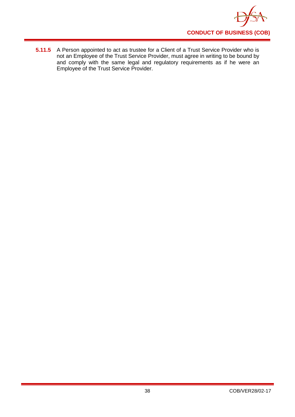

**5.11.5** A Person appointed to act as trustee for a Client of a Trust Service Provider who is not an Employee of the Trust Service Provider, must agree in writing to be bound by and comply with the same legal and regulatory requirements as if he were an Employee of the Trust Service Provider.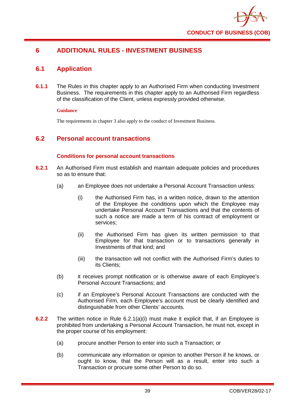

# **6 ADDITIONAL RULES - INVESTMENT BUSINESS**

# **6.1 Application**

**6.1.1** The Rules in this chapter apply to an Authorised Firm when conducting Investment Business. The requirements in this chapter apply to an Authorised Firm regardless of the classification of the Client, unless expressly provided otherwise.

### **Guidance**

The requirements in chapter 3 also apply to the conduct of Investment Business.

# **6.2 Personal account transactions**

### **Conditions for personal account transactions**

- **6.2.1** An Authorised Firm must establish and maintain adequate policies and procedures so as to ensure that:
	- (a) an Employee does not undertake a Personal Account Transaction unless:
		- (i) the Authorised Firm has, in a written notice, drawn to the attention of the Employee the conditions upon which the Employee may undertake Personal Account Transactions and that the contents of such a notice are made a term of his contract of employment or services;
		- (ii) the Authorised Firm has given its written permission to that Employee for that transaction or to transactions generally in Investments of that kind; and
		- (iii) the transaction will not conflict with the Authorised Firm's duties to its Clients;
	- (b) it receives prompt notification or is otherwise aware of each Employee's Personal Account Transactions; and
	- (c) if an Employee's Personal Account Transactions are conducted with the Authorised Firm, each Employee's account must be clearly identified and distinguishable from other Clients' accounts.
- **6.2.2** The written notice in Rule 6.2.1(a)(i) must make it explicit that, if an Employee is prohibited from undertaking a Personal Account Transaction, he must not, except in the proper course of his employment:
	- (a) procure another Person to enter into such a Transaction; or
	- (b) communicate any information or opinion to another Person if he knows, or ought to know, that the Person will as a result, enter into such a Transaction or procure some other Person to do so.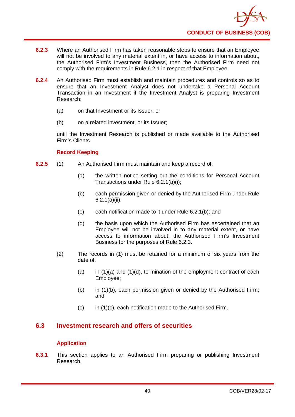- **6.2.3** Where an Authorised Firm has taken reasonable steps to ensure that an Employee will not be involved to any material extent in, or have access to information about, the Authorised Firm's Investment Business, then the Authorised Firm need not comply with the requirements in Rule 6.2.1 in respect of that Employee.
- **6.2.4** An Authorised Firm must establish and maintain procedures and controls so as to ensure that an Investment Analyst does not undertake a Personal Account Transaction in an Investment if the Investment Analyst is preparing Investment Research:
	- (a) on that Investment or its Issuer; or
	- (b) on a related investment, or its Issuer:

until the Investment Research is published or made available to the Authorised Firm's Clients.

## **Record Keeping**

- **6.2.5** (1) An Authorised Firm must maintain and keep a record of:
	- (a) the written notice setting out the conditions for Personal Account Transactions under Rule 6.2.1(a)(i);
	- (b) each permission given or denied by the Authorised Firm under Rule 6.2.1(a)(ii);
	- (c) each notification made to it under Rule 6.2.1(b); and
	- (d) the basis upon which the Authorised Firm has ascertained that an Employee will not be involved in to any material extent, or have access to information about, the Authorised Firm's Investment Business for the purposes of Rule 6.2.3.
	- (2) The records in (1) must be retained for a minimum of six years from the date of:
		- (a) in  $(1)(a)$  and  $(1)(d)$ , termination of the employment contract of each Employee;
		- (b) in (1)(b), each permission given or denied by the Authorised Firm; and
		- $(c)$  in  $(1)(c)$ , each notification made to the Authorised Firm.

# **6.3 Investment research and offers of securities**

### **Application**

**6.3.1** This section applies to an Authorised Firm preparing or publishing Investment Research.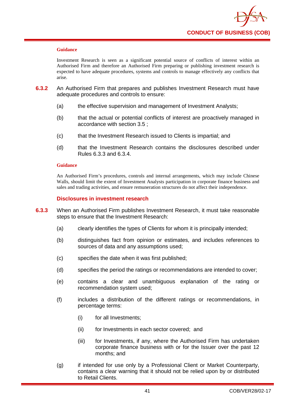

Investment Research is seen as a significant potential source of conflicts of interest within an Authorised Firm and therefore an Authorised Firm preparing or publishing investment research is expected to have adequate procedures, systems and controls to manage effectively any conflicts that arise.

- **6.3.2** An Authorised Firm that prepares and publishes Investment Research must have adequate procedures and controls to ensure:
	- (a) the effective supervision and management of Investment Analysts;
	- (b) that the actual or potential conflicts of interest are proactively managed in accordance with section 3.5 ;
	- (c) that the Investment Research issued to Clients is impartial; and
	- (d) that the Investment Research contains the disclosures described under Rules 6.3.3 and 6.3.4.

#### **Guidance**

An Authorised Firm's procedures, controls and internal arrangements, which may include Chinese Walls, should limit the extent of Investment Analysts participation in corporate finance business and sales and trading activities, and ensure remuneration structures do not affect their independence.

### **Disclosures in investment research**

- **6.3.3** When an Authorised Firm publishes Investment Research, it must take reasonable steps to ensure that the Investment Research:
	- (a) clearly identifies the types of Clients for whom it is principally intended;
	- (b) distinguishes fact from opinion or estimates, and includes references to sources of data and any assumptions used;
	- (c) specifies the date when it was first published;
	- (d) specifies the period the ratings or recommendations are intended to cover;
	- (e) contains a clear and unambiguous explanation of the rating or recommendation system used;
	- (f) includes a distribution of the different ratings or recommendations, in percentage terms:
		- (i) for all Investments;
		- (ii) for Investments in each sector covered; and
		- (iii) for Investments, if any, where the Authorised Firm has undertaken corporate finance business with or for the Issuer over the past 12 months; and
	- (g) if intended for use only by a Professional Client or Market Counterparty, contains a clear warning that it should not be relied upon by or distributed to Retail Clients.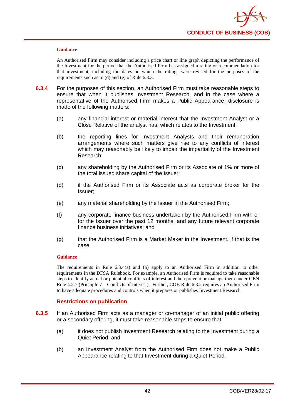

An Authorised Firm may consider including a price chart or line graph depicting the performance of the Investment for the period that the Authorised Firm has assigned a rating or recommendation for that investment, including the dates on which the ratings were revised for the purposes of the requirements such as in (d) and (e) of Rule 6.3.3.

- **6.3.4** For the purposes of this section, an Authorised Firm must take reasonable steps to ensure that when it publishes Investment Research, and in the case where a representative of the Authorised Firm makes a Public Appearance, disclosure is made of the following matters:
	- (a) any financial interest or material interest that the Investment Analyst or a Close Relative of the analyst has, which relates to the Investment;
	- (b) the reporting lines for Investment Analysts and their remuneration arrangements where such matters give rise to any conflicts of interest which may reasonably be likely to impair the impartiality of the Investment Research;
	- (c) any shareholding by the Authorised Firm or its Associate of 1% or more of the total issued share capital of the Issuer;
	- (d) if the Authorised Firm or its Associate acts as corporate broker for the Issuer;
	- (e) any material shareholding by the Issuer in the Authorised Firm;
	- (f) any corporate finance business undertaken by the Authorised Firm with or for the Issuer over the past 12 months, and any future relevant corporate finance business initiatives; and
	- (g) that the Authorised Firm is a Market Maker in the Investment, if that is the case.

### **Guidance**

The requirements in Rule 6.3.4(a) and (b) apply to an Authorised Firm in addition to other requirements in the DFSA Rulebook. For example, an Authorised Firm is required to take reasonable steps to identify actual or potential conflicts of interest and then prevent or manage them under GEN Rule 4.2.7 (Principle 7 – Conflicts of Interest). Further, COB Rule 6.3.2 requires an Authorised Firm to have adequate procedures and controls when it prepares or publishes Investment Research.

### **Restrictions on publication**

- **6.3.5** If an Authorised Firm acts as a manager or co-manager of an initial public offering or a secondary offering, it must take reasonable steps to ensure that:
	- (a) it does not publish Investment Research relating to the Investment during a Quiet Period; and
	- (b) an Investment Analyst from the Authorised Firm does not make a Public Appearance relating to that Investment during a Quiet Period.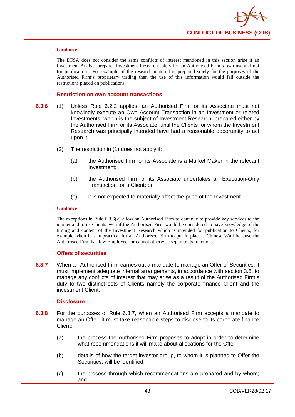

The DFSA does not consider the same conflicts of interest mentioned in this section arise if an Investment Analyst prepares Investment Research solely for an Authorised Firm's own use and not for publication. For example, if the research material is prepared solely for the purposes of the Authorised Firm's proprietary trading then the use of this information would fall outside the restrictions placed on publications.

#### **Restriction on own account transactions**

- **6.3.6** (1) Unless Rule 6.2.2 applies, an Authorised Firm or its Associate must not knowingly execute an Own Account Transaction in an Investment or related Investments, which is the subject of Investment Research, prepared either by the Authorised Firm or its Associate, until the Clients for whom the Investment Research was principally intended have had a reasonable opportunity to act upon it.
	- (2) The restriction in (1) does not apply if:
		- (a) the Authorised Firm or its Associate is a Market Maker in the relevant Investment;
		- (b) the Authorised Firm or its Associate undertakes an Execution-Only Transaction for a Client; or
		- (c) it is not expected to materially affect the price of the Investment.

#### **Guidance**

The exceptions in Rule 6.3.6(2) allow an Authorised Firm to continue to provide key services to the market and to its Clients even if the Authorised Firm would be considered to have knowledge of the timing and content of the Investment Research which is intended for publication to Clients, for example when it is impractical for an Authorised Firm to put in place a Chinese Wall because the Authorised Firm has few Employees or cannot otherwise separate its functions.

#### **Offers of securities**

**6.3.7** When an Authorised Firm carries out a mandate to manage an Offer of Securities, it must implement adequate internal arrangements, in accordance with section 3.5, to manage any conflicts of interest that may arise as a result of the Authorised Firm's duty to two distinct sets of Clients namely the corporate finance Client and the investment Client.

### **Disclosure**

- **6.3.8** For the purposes of Rule 6.3.7, when an Authorised Firm accepts a mandate to manage an Offer, it must take reasonable steps to disclose to its corporate finance Client:
	- (a) the process the Authorised Firm proposes to adopt in order to determine what recommendations it will make about allocations for the Offer;
	- (b) details of how the target investor group, to whom it is planned to Offer the Securities, will be identified;
	- (c) the process through which recommendations are prepared and by whom; and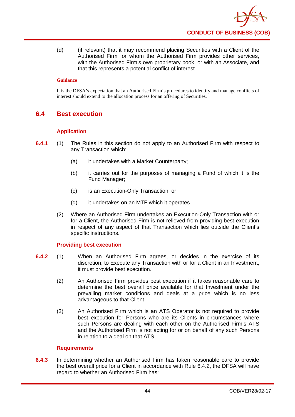(d) (if relevant) that it may recommend placing Securities with a Client of the Authorised Firm for whom the Authorised Firm provides other services, with the Authorised Firm's own proprietary book, or with an Associate, and that this represents a potential conflict of interest.

### **Guidance**

It is the DFSA's expectation that an Authorised Firm's procedures to identify and manage conflicts of interest should extend to the allocation process for an offering of Securities.

# **6.4 Best execution**

## **Application**

- **6.4.1** (1) The Rules in this section do not apply to an Authorised Firm with respect to any Transaction which:
	- (a) it undertakes with a Market Counterparty;
	- (b) it carries out for the purposes of managing a Fund of which it is the Fund Manager;
	- (c) is an Execution-Only Transaction; or
	- (d) it undertakes on an MTF which it operates.
	- (2) Where an Authorised Firm undertakes an Execution-Only Transaction with or for a Client, the Authorised Firm is not relieved from providing best execution in respect of any aspect of that Transaction which lies outside the Client's specific instructions.

### **Providing best execution**

- **6.4.2** (1) When an Authorised Firm agrees, or decides in the exercise of its discretion, to Execute any Transaction with or for a Client in an Investment, it must provide best execution.
	- (2) An Authorised Firm provides best execution if it takes reasonable care to determine the best overall price available for that Investment under the prevailing market conditions and deals at a price which is no less advantageous to that Client.
	- (3) An Authorised Firm which is an ATS Operator is not required to provide best execution for Persons who are its Clients in circumstances where such Persons are dealing with each other on the Authorised Firm's ATS and the Authorised Firm is not acting for or on behalf of any such Persons in relation to a deal on that ATS.

### **Requirements**

**6.4.3** In determining whether an Authorised Firm has taken reasonable care to provide the best overall price for a Client in accordance with Rule 6.4.2, the DFSA will have regard to whether an Authorised Firm has: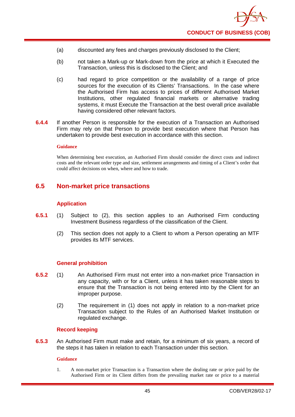

- (a) discounted any fees and charges previously disclosed to the Client;
- (b) not taken a Mark-up or Mark-down from the price at which it Executed the Transaction, unless this is disclosed to the Client; and
- (c) had regard to price competition or the availability of a range of price sources for the execution of its Clients' Transactions. In the case where the Authorised Firm has access to prices of different Authorised Market Institutions, other regulated financial markets or alternative trading systems, it must Execute the Transaction at the best overall price available having considered other relevant factors.
- **6.4.4** If another Person is responsible for the execution of a Transaction an Authorised Firm may rely on that Person to provide best execution where that Person has undertaken to provide best execution in accordance with this section.

When determining best execution, an Authorised Firm should consider the direct costs and indirect costs and the relevant order type and size, settlement arrangements and timing of a Client's order that could affect decisions on when, where and how to trade.

## **6.5 Non-market price transactions**

### **Application**

- **6.5.1** (1) Subject to (2), this section applies to an Authorised Firm conducting Investment Business regardless of the classification of the Client.
	- (2) This section does not apply to a Client to whom a Person operating an MTF provides its MTF services.

### **General prohibition**

- **6.5.2** (1) An Authorised Firm must not enter into a non-market price Transaction in any capacity, with or for a Client, unless it has taken reasonable steps to ensure that the Transaction is not being entered into by the Client for an improper purpose.
	- (2) The requirement in (1) does not apply in relation to a non-market price Transaction subject to the Rules of an Authorised Market Institution or regulated exchange.

### **Record keeping**

**6.5.3** An Authorised Firm must make and retain, for a minimum of six years, a record of the steps it has taken in relation to each Transaction under this section.

### **Guidance**

1. A non-market price Transaction is a Transaction where the dealing rate or price paid by the Authorised Firm or its Client differs from the prevailing market rate or price to a material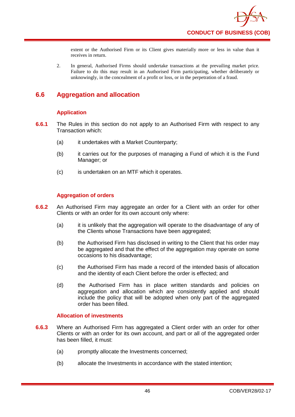

extent or the Authorised Firm or its Client gives materially more or less in value than it receives in return.

2. In general, Authorised Firms should undertake transactions at the prevailing market price. Failure to do this may result in an Authorised Firm participating, whether deliberately or unknowingly, in the concealment of a profit or loss, or in the perpetration of a fraud.

# **6.6 Aggregation and allocation**

## **Application**

- **6.6.1** The Rules in this section do not apply to an Authorised Firm with respect to any Transaction which:
	- (a) it undertakes with a Market Counterparty;
	- (b) it carries out for the purposes of managing a Fund of which it is the Fund Manager; or
	- (c) is undertaken on an MTF which it operates.

### **Aggregation of orders**

- **6.6.2** An Authorised Firm may aggregate an order for a Client with an order for other Clients or with an order for its own account only where:
	- (a) it is unlikely that the aggregation will operate to the disadvantage of any of the Clients whose Transactions have been aggregated;
	- (b) the Authorised Firm has disclosed in writing to the Client that his order may be aggregated and that the effect of the aggregation may operate on some occasions to his disadvantage;
	- (c) the Authorised Firm has made a record of the intended basis of allocation and the identity of each Client before the order is effected; and
	- (d) the Authorised Firm has in place written standards and policies on aggregation and allocation which are consistently applied and should include the policy that will be adopted when only part of the aggregated order has been filled.

### **Allocation of investments**

- **6.6.3** Where an Authorised Firm has aggregated a Client order with an order for other Clients or with an order for its own account, and part or all of the aggregated order has been filled, it must:
	- (a) promptly allocate the Investments concerned;
	- (b) allocate the Investments in accordance with the stated intention;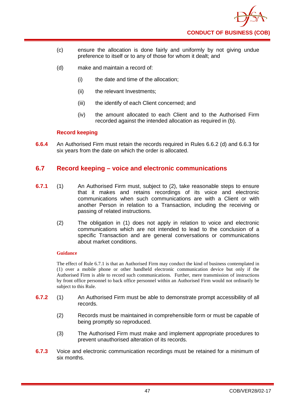

- (c) ensure the allocation is done fairly and uniformly by not giving undue preference to itself or to any of those for whom it dealt; and
- (d) make and maintain a record of:
	- (i) the date and time of the allocation;
	- (ii) the relevant Investments:
	- (iii) the identify of each Client concerned; and
	- (iv) the amount allocated to each Client and to the Authorised Firm recorded against the intended allocation as required in (b).

### **Record keeping**

**6.6.4** An Authorised Firm must retain the records required in Rules 6.6.2 (d) and 6.6.3 for six years from the date on which the order is allocated.

## **6.7 Record keeping – voice and electronic communications**

- **6.7.1** (1) An Authorised Firm must, subject to (2), take reasonable steps to ensure that it makes and retains recordings of its voice and electronic communications when such communications are with a Client or with another Person in relation to a Transaction, including the receiving or passing of related instructions.
	- (2) The obligation in (1) does not apply in relation to voice and electronic communications which are not intended to lead to the conclusion of a specific Transaction and are general conversations or communications about market conditions.

#### **Guidance**

The effect of Rule 6.7.1 is that an Authorised Firm may conduct the kind of business contemplated in (1) over a mobile phone or other handheld electronic communication device but only if the Authorised Firm is able to record such communications. Further, mere transmission of instructions by front office personnel to back office personnel within an Authorised Firm would not ordinarily be subject to this Rule.

- **6.7.2** (1) An Authorised Firm must be able to demonstrate prompt accessibility of all records.
	- (2) Records must be maintained in comprehensible form or must be capable of being promptly so reproduced.
	- (3) The Authorised Firm must make and implement appropriate procedures to prevent unauthorised alteration of its records.
- **6.7.3** Voice and electronic communication recordings must be retained for a minimum of six months.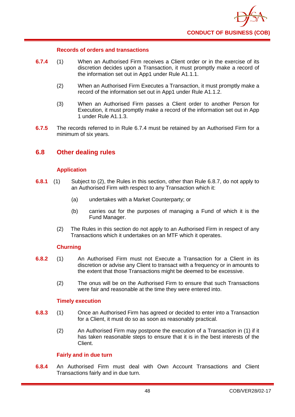

### **Records of orders and transactions**

- **6.7.4** (1) When an Authorised Firm receives a Client order or in the exercise of its discretion decides upon a Transaction, it must promptly make a record of the information set out in App1 under Rule A1.1.1.
	- (2) When an Authorised Firm Executes a Transaction, it must promptly make a record of the information set out in App1 under Rule A1.1.2.
	- (3) When an Authorised Firm passes a Client order to another Person for Execution, it must promptly make a record of the information set out in App 1 under Rule A1.1.3.
- **6.7.5** The records referred to in Rule 6.7.4 must be retained by an Authorised Firm for a minimum of six years.

## **6.8 Other dealing rules**

### **Application**

- **6.8.1** (1) Subject to (2), the Rules in this section, other than Rule 6.8.7, do not apply to an Authorised Firm with respect to any Transaction which it:
	- (a) undertakes with a Market Counterparty; or
	- (b) carries out for the purposes of managing a Fund of which it is the Fund Manager.
	- (2) The Rules in this section do not apply to an Authorised Firm in respect of any Transactions which it undertakes on an MTF which it operates.

### **Churning**

- **6.8.2** (1) An Authorised Firm must not Execute a Transaction for a Client in its discretion or advise any Client to transact with a frequency or in amounts to the extent that those Transactions might be deemed to be excessive.
	- (2) The onus will be on the Authorised Firm to ensure that such Transactions were fair and reasonable at the time they were entered into.

### **Timely execution**

- **6.8.3** (1) Once an Authorised Firm has agreed or decided to enter into a Transaction for a Client, it must do so as soon as reasonably practical.
	- (2) An Authorised Firm may postpone the execution of a Transaction in (1) if it has taken reasonable steps to ensure that it is in the best interests of the Client.

### **Fairly and in due turn**

**6.8.4** An Authorised Firm must deal with Own Account Transactions and Client Transactions fairly and in due turn.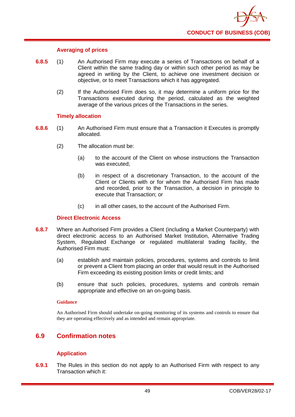

### **Averaging of prices**

- **6.8.5** (1) An Authorised Firm may execute a series of Transactions on behalf of a Client within the same trading day or within such other period as may be agreed in writing by the Client, to achieve one investment decision or objective, or to meet Transactions which it has aggregated.
	- (2) If the Authorised Firm does so, it may determine a uniform price for the Transactions executed during the period, calculated as the weighted average of the various prices of the Transactions in the series.

### **Timely allocation**

- **6.8.6** (1) An Authorised Firm must ensure that a Transaction it Executes is promptly allocated.
	- (2) The allocation must be:
		- (a) to the account of the Client on whose instructions the Transaction was executed;
		- (b) in respect of a discretionary Transaction, to the account of the Client or Clients with or for whom the Authorised Firm has made and recorded, prior to the Transaction, a decision in principle to execute that Transaction; or
		- (c) in all other cases, to the account of the Authorised Firm.

### **Direct Electronic Access**

- **6.8.7** Where an Authorised Firm provides a Client (including a Market Counterparty) with direct electronic access to an Authorised Market Institution, Alternative Trading System, Regulated Exchange or regulated multilateral trading facility, the Authorised Firm must:
	- (a) establish and maintain policies, procedures, systems and controls to limit or prevent a Client from placing an order that would result in the Authorised Firm exceeding its existing position limits or credit limits; and
	- (b) ensure that such policies, procedures, systems and controls remain appropriate and effective on an on-going basis.

#### **Guidance**

An Authorised Firm should undertake on-going monitoring of its systems and controls to ensure that they are operating effectively and as intended and remain appropriate.

# **6.9 Confirmation notes**

### **Application**

**6.9.1** The Rules in this section do not apply to an Authorised Firm with respect to any Transaction which it: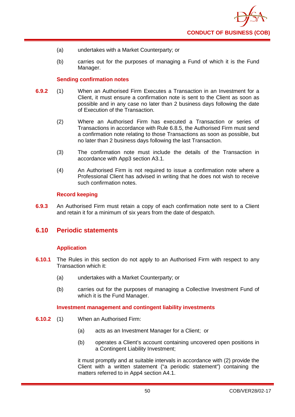- (a) undertakes with a Market Counterparty; or
- (b) carries out for the purposes of managing a Fund of which it is the Fund Manager.

### **Sending confirmation notes**

- **6.9.2** (1) When an Authorised Firm Executes a Transaction in an Investment for a Client, it must ensure a confirmation note is sent to the Client as soon as possible and in any case no later than 2 business days following the date of Execution of the Transaction.
	- (2) Where an Authorised Firm has executed a Transaction or series of Transactions in accordance with Rule 6.8.5, the Authorised Firm must send a confirmation note relating to those Transactions as soon as possible, but no later than 2 business days following the last Transaction.
	- (3) The confirmation note must include the details of the Transaction in accordance with App3 section A3.1.
	- (4) An Authorised Firm is not required to issue a confirmation note where a Professional Client has advised in writing that he does not wish to receive such confirmation notes.

### **Record keeping**

**6.9.3** An Authorised Firm must retain a copy of each confirmation note sent to a Client and retain it for a minimum of six years from the date of despatch.

## **6.10 Periodic statements**

### **Application**

- **6.10.1** The Rules in this section do not apply to an Authorised Firm with respect to any Transaction which it:
	- (a) undertakes with a Market Counterparty; or
	- (b) carries out for the purposes of managing a Collective Investment Fund of which it is the Fund Manager.

### **Investment management and contingent liability investments**

- **6.10.2** (1) When an Authorised Firm:
	- (a) acts as an Investment Manager for a Client; or
	- (b) operates a Client's account containing uncovered open positions in a Contingent Liability Investment;

it must promptly and at suitable intervals in accordance with (2) provide the Client with a written statement ("a periodic statement") containing the matters referred to in App4 section A4.1.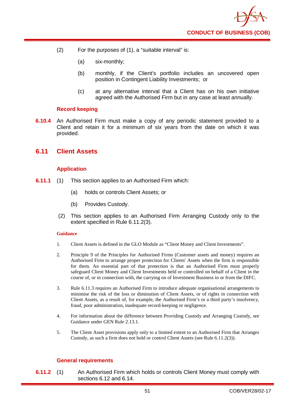- (2) For the purposes of (1), a "suitable interval" is:
	- (a) six-monthly;
	- (b) monthly, if the Client's portfolio includes an uncovered open position in Contingent Liability Investments; or
	- (c) at any alternative interval that a Client has on his own initiative agreed with the Authorised Firm but in any case at least annually.

### **Record keeping**

**6.10.4** An Authorised Firm must make a copy of any periodic statement provided to a Client and retain it for a minimum of six years from the date on which it was provided.

## **6.11 Client Assets**

### **Application**

- **6.11.1** (1) This section applies to an Authorised Firm which:
	- (a) holds or controls Client Assets; or
	- (b) Provides Custody.
	- (2) This section applies to an Authorised Firm Arranging Custody only to the extent specified in Rule 6.11.2(3).

#### **Guidance**

- 1. Client Assets is defined in the GLO Module as "Client Money and Client Investments".
- 2. Principle 9 of the Principles for Authorised Firms (Customer assets and money) requires an Authorised Firm to arrange proper protection for Clients' Assets when the firm is responsible for them. An essential part of that protection is that an Authorised Firm must properly safeguard Client Money and Client Investments held or controlled on behalf of a Client in the course of, or in connection with, the carrying on of Investment Business in or from the DIFC.
- 3. Rule 6.11.3 requires an Authorised Firm to introduce adequate organisational arrangements to minimise the risk of the loss or diminution of Client Assets, or of rights in connection with Client Assets, as a result of, for example, the Authorised Firm's or a third party's insolvency, fraud, poor administration, inadequate record-keeping or negligence.
- 4. For information about the difference between Providing Custody and Arranging Custody, see Guidance under GEN Rule 2.13.1.
- 5. The Client Asset provisions apply only to a limited extent to an Authorised Firm that Arranges Custody, as such a firm does not hold or control Client Assets (see Rule 6.11.2(3)).

### **General requirements**

**6.11.2** (1) An Authorised Firm which holds or controls Client Money must comply with sections 6.12 and 6.14.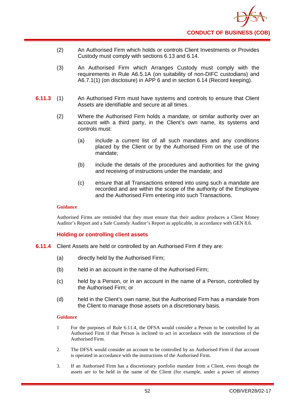- (2) An Authorised Firm which holds or controls Client Investments or Provides Custody must comply with sections 6.13 and 6.14.
- (3) An Authorised Firm which Arranges Custody must comply with the requirements in Rule A6.5.1A (on suitability of non-DIFC custodians) and A6.7.1(1) (on disclosure) in APP 6 and in section 6.14 (Record keeping).
- **6.11.3** (1) An Authorised Firm must have systems and controls to ensure that Client Assets are identifiable and secure at all times.
	- (2) Where the Authorised Firm holds a mandate, or similar authority over an account with a third party, in the Client's own name, its systems and controls must:
		- (a) include a current list of all such mandates and any conditions placed by the Client or by the Authorised Firm on the use of the mandate;
		- (b) include the details of the procedures and authorities for the giving and receiving of instructions under the mandate; and
		- (c) ensure that all Transactions entered into using such a mandate are recorded and are within the scope of the authority of the Employee and the Authorised Firm entering into such Transactions.

Authorised Firms are reminded that they must ensure that their auditor produces a Client Money Auditor's Report and a Safe Custody Auditor's Report as applicable, in accordance with GEN 8.6.

### **Holding or controlling client assets**

- **6.11.4** Client Assets are held or controlled by an Authorised Firm if they are:
	- (a) directly held by the Authorised Firm;
	- (b) held in an account in the name of the Authorised Firm;
	- (c) held by a Person, or in an account in the name of a Person, controlled by the Authorised Firm; or
	- (d) held in the Client's own name, but the Authorised Firm has a mandate from the Client to manage those assets on a discretionary basis.

#### **Guidance**

- 1 For the purposes of Rule 6.11.4, the DFSA would consider a Person to be controlled by an Authorised Firm if that Person is inclined to act in accordance with the instructions of the Authorised Firm.
- 2. The DFSA would consider an account to be controlled by an Authorised Firm if that account is operated in accordance with the instructions of the Authorised Firm.
- 3. If an Authorised Firm has a discretionary portfolio mandate from a Client, even though the assets are to be held in the name of the Client (for example, under a power of attorney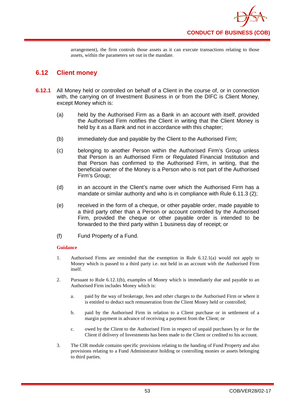

arrangement), the firm controls those assets as it can execute transactions relating to those assets, within the parameters set out in the mandate.

# **6.12 Client money**

- **6.12.1** All Money held or controlled on behalf of a Client in the course of, or in connection with, the carrying on of Investment Business in or from the DIFC is Client Money, except Money which is:
	- (a) held by the Authorised Firm as a Bank in an account with itself, provided the Authorised Firm notifies the Client in writing that the Client Money is held by it as a Bank and not in accordance with this chapter;
	- (b) immediately due and payable by the Client to the Authorised Firm;
	- (c) belonging to another Person within the Authorised Firm's Group unless that Person is an Authorised Firm or Regulated Financial Institution and that Person has confirmed to the Authorised Firm, in writing, that the beneficial owner of the Money is a Person who is not part of the Authorised Firm's Group;
	- (d) in an account in the Client's name over which the Authorised Firm has a mandate or similar authority and who is in compliance with Rule 6.11.3 (2);
	- (e) received in the form of a cheque, or other payable order, made payable to a third party other than a Person or account controlled by the Authorised Firm, provided the cheque or other payable order is intended to be forwarded to the third party within 1 business day of receipt; or
	- (f) Fund Property of a Fund.

### **Guidance**

- 1. Authorised Firms are reminded that the exemption in Rule 6.12.1(a) would not apply to Money which is passed to a third party i.e. not held in an account with the Authorised Firm itself.
- 2. Pursuant to Rule 6.12.1(b), examples of Money which is immediately due and payable to an Authorised Firm includes Money which is:
	- a. paid by the way of brokerage, fees and other charges to the Authorised Firm or where it is entitled to deduct such remuneration from the Client Money held or controlled;
	- b. paid by the Authorised Firm in relation to a Client purchase or in settlement of a margin payment in advance of receiving a payment from the Client; or
	- c. owed by the Client to the Authorised Firm in respect of unpaid purchases by or for the Client if delivery of Investments has been made to the Client or credited to his account.
- 3. The CIR module contains specific provisions relating to the handing of Fund Property and also provisions relating to a Fund Administrator holding or controlling monies or assets belonging to third parties.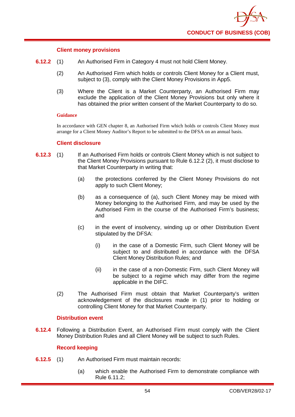

### **Client money provisions**

- **6.12.2** (1) An Authorised Firm in Category 4 must not hold Client Money.
	- (2) An Authorised Firm which holds or controls Client Money for a Client must, subject to (3), comply with the Client Money Provisions in App5.
	- (3) Where the Client is a Market Counterparty, an Authorised Firm may exclude the application of the Client Money Provisions but only where it has obtained the prior written consent of the Market Counterparty to do so.

#### **Guidance**

In accordance with GEN chapter 8, an Authorised Firm which holds or controls Client Money must arrange for a Client Money Auditor's Report to be submitted to the DFSA on an annual basis.

### **Client disclosure**

- **6.12.3** (1) If an Authorised Firm holds or controls Client Money which is not subject to the Client Money Provisions pursuant to Rule 6.12.2 (2), it must disclose to that Market Counterparty in writing that:
	- (a) the protections conferred by the Client Money Provisions do not apply to such Client Money;
	- (b) as a consequence of (a), such Client Money may be mixed with Money belonging to the Authorised Firm, and may be used by the Authorised Firm in the course of the Authorised Firm's business; and
	- (c) in the event of insolvency, winding up or other Distribution Event stipulated by the DFSA:
		- (i) in the case of a Domestic Firm, such Client Money will be subject to and distributed in accordance with the DFSA Client Money Distribution Rules; and
		- (ii) in the case of a non-Domestic Firm, such Client Money will be subject to a regime which may differ from the regime applicable in the DIFC.
	- (2) The Authorised Firm must obtain that Market Counterparty's written acknowledgement of the disclosures made in (1) prior to holding or controlling Client Money for that Market Counterparty.

### **Distribution event**

**6.12.4** Following a Distribution Event, an Authorised Firm must comply with the Client Money Distribution Rules and all Client Money will be subject to such Rules.

### **Record keeping**

- **6.12.5** (1) An Authorised Firm must maintain records:
	- (a) which enable the Authorised Firm to demonstrate compliance with Rule 6.11.2;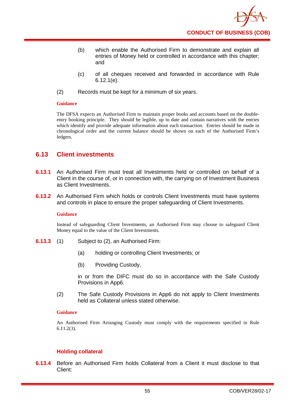- (b) which enable the Authorised Firm to demonstrate and explain all entries of Money held or controlled in accordance with this chapter; and
- (c) of all cheques received and forwarded in accordance with Rule 6.12.1(e).
- (2) Records must be kept for a minimum of six years.

The DFSA expects an Authorised Firm to maintain proper books and accounts based on the doubleentry booking principle. They should be legible, up to date and contain narratives with the entries which identify and provide adequate information about each transaction. Entries should be made in chronological order and the current balance should be shown on each of the Authorised Firm's ledgers.

# **6.13 Client investments**

- **6.13.1** An Authorised Firm must treat all Investments held or controlled on behalf of a Client in the course of, or in connection with, the carrying on of Investment Business as Client Investments.
- **6.13.2** An Authorised Firm which holds or controls Client Investments must have systems and controls in place to ensure the proper safeguarding of Client Investments.

### **Guidance**

Instead of safeguarding Client Investments, an Authorised Firm may choose to safeguard Client Money equal to the value of the Client Investments.

- **6.13.3** (1) Subject to (2), an Authorised Firm:
	- (a) holding or controlling Client Investments; or
	- (b) Providing Custody,

in or from the DIFC must do so in accordance with the Safe Custody Provisions in App6.

(2) The Safe Custody Provisions in App6 do not apply to Client Investments held as Collateral unless stated otherwise.

### **Guidance**

An Authorised Firm Arranging Custody must comply with the requirements specified in Rule 6.11.2(3).

### **Holding collateral**

**6.13.4** Before an Authorised Firm holds Collateral from a Client it must disclose to that Client: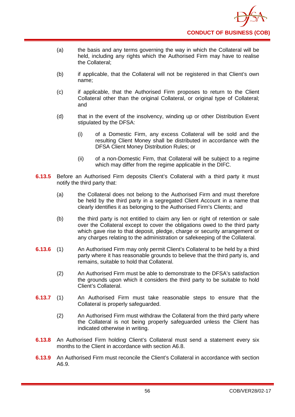

- (a) the basis and any terms governing the way in which the Collateral will be held, including any rights which the Authorised Firm may have to realise the Collateral;
- (b) if applicable, that the Collateral will not be registered in that Client's own name;
- (c) if applicable, that the Authorised Firm proposes to return to the Client Collateral other than the original Collateral, or original type of Collateral; and
- (d) that in the event of the insolvency, winding up or other Distribution Event stipulated by the DFSA:
	- (i) of a Domestic Firm, any excess Collateral will be sold and the resulting Client Money shall be distributed in accordance with the DFSA Client Money Distribution Rules; or
	- (ii) of a non-Domestic Firm, that Collateral will be subject to a regime which may differ from the regime applicable in the DIFC.
- **6.13.5** Before an Authorised Firm deposits Client's Collateral with a third party it must notify the third party that:
	- (a) the Collateral does not belong to the Authorised Firm and must therefore be held by the third party in a segregated Client Account in a name that clearly identifies it as belonging to the Authorised Firm's Clients; and
	- (b) the third party is not entitled to claim any lien or right of retention or sale over the Collateral except to cover the obligations owed to the third party which gave rise to that deposit, pledge, charge or security arrangement or any charges relating to the administration or safekeeping of the Collateral.
- **6.13.6** (1) An Authorised Firm may only permit Client's Collateral to be held by a third party where it has reasonable grounds to believe that the third party is, and remains, suitable to hold that Collateral.
	- (2) An Authorised Firm must be able to demonstrate to the DFSA's satisfaction the grounds upon which it considers the third party to be suitable to hold Client's Collateral.
- **6.13.7** (1) An Authorised Firm must take reasonable steps to ensure that the Collateral is properly safeguarded.
	- (2) An Authorised Firm must withdraw the Collateral from the third party where the Collateral is not being properly safeguarded unless the Client has indicated otherwise in writing.
- **6.13.8** An Authorised Firm holding Client's Collateral must send a statement every six months to the Client in accordance with section A6.8.
- **6.13.9** An Authorised Firm must reconcile the Client's Collateral in accordance with section A6.9.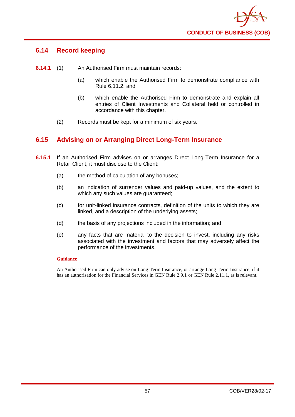

# **6.14 Record keeping**

- **6.14.1** (1) An Authorised Firm must maintain records:
	- (a) which enable the Authorised Firm to demonstrate compliance with Rule 6.11.2; and
	- (b) which enable the Authorised Firm to demonstrate and explain all entries of Client Investments and Collateral held or controlled in accordance with this chapter.
	- (2) Records must be kept for a minimum of six years.

# **6.15 Advising on or Arranging Direct Long-Term Insurance**

- **6.15.1** If an Authorised Firm advises on or arranges Direct Long-Term Insurance for a Retail Client, it must disclose to the Client:
	- (a) the method of calculation of any bonuses;
	- (b) an indication of surrender values and paid-up values, and the extent to which any such values are quaranteed:
	- (c) for unit-linked insurance contracts, definition of the units to which they are linked, and a description of the underlying assets;
	- (d) the basis of any projections included in the information; and
	- (e) any facts that are material to the decision to invest, including any risks associated with the investment and factors that may adversely affect the performance of the investments.

### **Guidance**

An Authorised Firm can only advise on Long-Term Insurance, or arrange Long-Term Insurance, if it has an authorisation for the Financial Services in GEN Rule 2.9.1 or GEN Rule 2.11.1, as is relevant.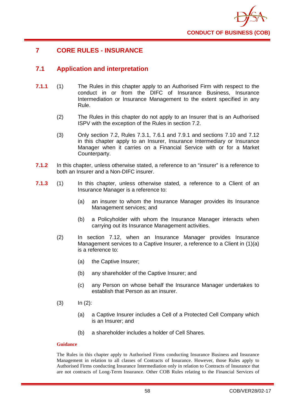

# **7 CORE RULES - INSURANCE**

## **7.1 Application and interpretation**

- **7.1.1** (1) The Rules in this chapter apply to an Authorised Firm with respect to the conduct in or from the DIFC of Insurance Business, Insurance Intermediation or Insurance Management to the extent specified in any Rule.
	- (2) The Rules in this chapter do not apply to an Insurer that is an Authorised ISPV with the exception of the Rules in section 7.2.
	- (3) Only section 7.2, Rules 7.3.1, 7.6.1 and 7.9.1 and sections 7.10 and 7.12 in this chapter apply to an Insurer, Insurance Intermediary or Insurance Manager when it carries on a Financial Service with or for a Market Counterparty.
- **7.1.2** In this chapter, unless otherwise stated, a reference to an "insurer" is a reference to both an Insurer and a Non-DIFC insurer.
- **7.1.3** (1) In this chapter, unless otherwise stated, a reference to a Client of an Insurance Manager is a reference to:
	- (a) an insurer to whom the Insurance Manager provides its Insurance Management services; and
	- (b) a Policyholder with whom the Insurance Manager interacts when carrying out its Insurance Management activities.
	- (2) In section 7.12, when an Insurance Manager provides Insurance Management services to a Captive Insurer, a reference to a Client in (1)(a) is a reference to:
		- (a) the Captive Insurer;
		- (b) any shareholder of the Captive Insurer; and
		- (c) any Person on whose behalf the Insurance Manager undertakes to establish that Person as an insurer.
	- $(3)$   $\ln (2)$ :
		- (a) a Captive Insurer includes a Cell of a Protected Cell Company which is an Insurer; and
		- (b) a shareholder includes a holder of Cell Shares.

### **Guidance**

The Rules in this chapter apply to Authorised Firms conducting Insurance Business and Insurance Management in relation to all classes of Contracts of Insurance. However, those Rules apply to Authorised Firms conducting Insurance Intermediation only in relation to Contracts of Insurance that are not contracts of Long-Term Insurance. Other COB Rules relating to the Financial Services of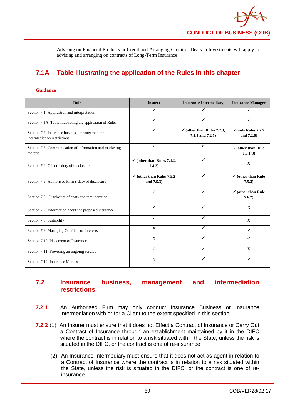Advising on Financial Products or Credit and Arranging Credit or Deals in Investments will apply to advising and arranging on contracts of Long-Term Insurance.

# **7.1A Table illustrating the application of the Rules in this chapter**

#### **Guidance**

| <b>Rule</b>                                                                    | <b>Insurer</b>                                      | <b>Insurance Intermediary</b>                             | <b>Insurance Manager</b>                         |
|--------------------------------------------------------------------------------|-----------------------------------------------------|-----------------------------------------------------------|--------------------------------------------------|
| Section 7.1: Application and interpretation                                    |                                                     |                                                           |                                                  |
| Section 7.1A: Table illustrating the application of Rules                      |                                                     |                                                           |                                                  |
| Section 7.2: Insurance business, management and<br>intermediation restrictions | ✓                                                   | $\checkmark$ (other than Rules 7.2.3,<br>7.2.4 and 7.2.5) | $\sqrt{\text{(only Rules 7.2.2)}}$<br>and 7.2.6) |
| Section 7.3: Communication of information and marketing<br>material            | ✓                                                   |                                                           | $\checkmark$ (other than Rule)<br>7.3.1(3)       |
| Section 7.4: Client's duty of disclosure                                       | $\checkmark$ (other than Rules 7.4.2,<br>7.4.3)     |                                                           | X                                                |
| Section 7.5: Authorised Firm's duty of disclosure                              | $\checkmark$ (other than Rules 7.5.2)<br>and 7.5.3) | ✓                                                         | $\checkmark$ (other than Rule<br>7.5.3)          |
| Section 7.6: Disclosure of costs and remuneration                              |                                                     | ✓                                                         | $\checkmark$ (other than Rule<br>7.6.2)          |
| Section 7.7: Information about the proposed insurance                          | ✓                                                   | ✓                                                         | $\mathbf{x}$                                     |
| Section 7.8: Suitability                                                       | √                                                   | ✓                                                         | X                                                |
| Section 7.9: Managing Conflicts of Interests                                   | X                                                   |                                                           | ✓                                                |
| Section 7.10: Placement of Insurance                                           | $\mathbf{x}$                                        |                                                           |                                                  |
| Section 7.11: Providing an ongoing service                                     | ✓                                                   | ✓                                                         | X                                                |
| Section 7.12: Insurance Monies                                                 | $\mathbf{x}$                                        | ✓                                                         | ✓                                                |

# **7.2 Insurance business, management and intermediation restrictions**

- **7.2.1** An Authorised Firm may only conduct Insurance Business or Insurance Intermediation with or for a Client to the extent specified in this section.
- **7.2.2** (1) An Insurer must ensure that it does not Effect a Contract of Insurance or Carry Out a Contract of Insurance through an establishment maintained by it in the DIFC where the contract is in relation to a risk situated within the State, unless the risk is situated in the DIFC, or the contract is one of re-insurance.
	- (2) An Insurance Intermediary must ensure that it does not act as agent in relation to a Contract of Insurance where the contract is in relation to a risk situated within the State, unless the risk is situated in the DIFC, or the contract is one of reinsurance.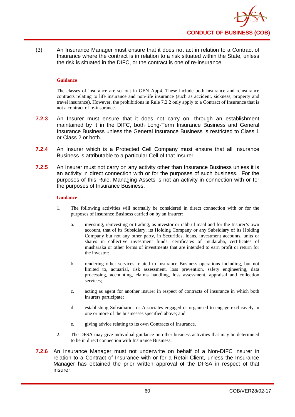

(3) An Insurance Manager must ensure that it does not act in relation to a Contract of Insurance where the contract is in relation to a risk situated within the State, unless the risk is situated in the DIFC, or the contract is one of re-insurance.

#### **Guidance**

The classes of insurance are set out in GEN App4. These include both insurance and reinsurance contracts relating to life insurance and non-life insurance (such as accident, sickness, property and travel insurance). However, the prohibitions in Rule 7.2.2 only apply to a Contract of Insurance that is not a contract of re-insurance.

- **7.2.3** An Insurer must ensure that it does not carry on, through an establishment maintained by it in the DIFC, both Long-Term Insurance Business and General Insurance Business unless the General Insurance Business is restricted to Class 1 or Class 2 or both.
- **7.2.4** An Insurer which is a Protected Cell Company must ensure that all Insurance Business is attributable to a particular Cell of that Insurer.
- **7.2.5** An Insurer must not carry on any activity other than Insurance Business unless it is an activity in direct connection with or for the purposes of such business. For the purposes of this Rule, Managing Assets is not an activity in connection with or for the purposes of Insurance Business.

#### **Guidance**

- 1. The following activities will normally be considered in direct connection with or for the purposes of Insurance Business carried on by an Insurer:
	- a. investing, reinvesting or trading, as investor or rabb ul maal and for the Insurer's own account, that of its Subsidiary, its Holding Company or any Subsidiary of its Holding Company but not any other party, in Securities, loans, investment accounts, units or shares in collective investment funds, certificates of mudaraba, certificates of musharaka or other forms of investments that are intended to earn profit or return for the investor;
	- b. rendering other services related to Insurance Business operations including, but not limited to, actuarial, risk assessment, loss prevention, safety engineering, data processing, accounting, claims handling, loss assessment, appraisal and collection services:
	- c. acting as agent for another insurer in respect of contracts of insurance in which both insurers participate;
	- d. establishing Subsidiaries or Associates engaged or organised to engage exclusively in one or more of the businesses specified above; and
	- e. giving advice relating to its own Contracts of Insurance.
- 2. The DFSA may give individual guidance on other business activities that may be determined to be in direct connection with Insurance Business.
- **7.2.6** An Insurance Manager must not underwrite on behalf of a Non-DIFC insurer in relation to a Contract of Insurance with or for a Retail Client, unless the Insurance Manager has obtained the prior written approval of the DFSA in respect of that insurer.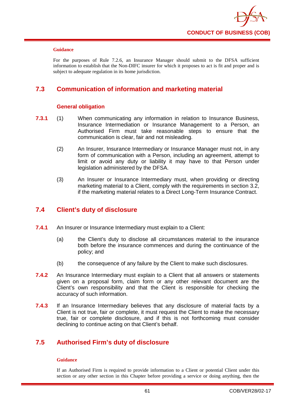

For the purposes of Rule 7.2.6, an Insurance Manager should submit to the DFSA sufficient information to establish that the Non-DIFC insurer for which it proposes to act is fit and proper and is subject to adequate regulation in its home jurisdiction.

# **7.3 Communication of information and marketing material**

### **General obligation**

- **7.3.1** (1) When communicating any information in relation to Insurance Business, Insurance Intermediation or Insurance Management to a Person, an Authorised Firm must take reasonable steps to ensure that the communication is clear, fair and not misleading.
	- (2) An Insurer, Insurance Intermediary or Insurance Manager must not, in any form of communication with a Person, including an agreement, attempt to limit or avoid any duty or liability it may have to that Person under legislation administered by the DFSA.
	- (3) An Insurer or Insurance Intermediary must, when providing or directing marketing material to a Client, comply with the requirements in section 3.2, if the marketing material relates to a Direct Long-Term Insurance Contract.

# **7.4 Client's duty of disclosure**

- **7.4.1** An Insurer or Insurance Intermediary must explain to a Client:
	- (a) the Client's duty to disclose all circumstances material to the insurance both before the insurance commences and during the continuance of the policy; and
	- (b) the consequence of any failure by the Client to make such disclosures.
- **7.4.2** An Insurance Intermediary must explain to a Client that all answers or statements given on a proposal form, claim form or any other relevant document are the Client's own responsibility and that the Client is responsible for checking the accuracy of such information.
- **7.4.3** If an Insurance Intermediary believes that any disclosure of material facts by a Client is not true, fair or complete, it must request the Client to make the necessary true, fair or complete disclosure, and if this is not forthcoming must consider declining to continue acting on that Client's behalf.

# **7.5 Authorised Firm's duty of disclosure**

### **Guidance**

If an Authorised Firm is required to provide information to a Client or potential Client under this section or any other section in this Chapter before providing a service or doing anything, then the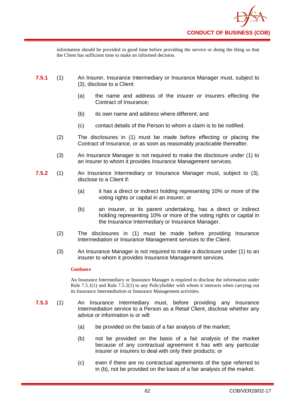information should be provided in good time before providing the service or doing the thing so that the Client has sufficient time to make an informed decision.

- **7.5.1** (1) An Insurer, Insurance Intermediary or Insurance Manager must, subject to (3), disclose to a Client:
	- (a) the name and address of the insurer or insurers effecting the Contract of Insurance;
	- (b) its own name and address where different; and
	- (c) contact details of the Person to whom a claim is to be notified.
	- (2) The disclosures in (1) must be made before effecting or placing the Contract of Insurance, or as soon as reasonably practicable thereafter.
	- (3) An Insurance Manager is not required to make the disclosure under (1) to an insurer to whom it provides Insurance Management services.
- **7.5.2** (1) An Insurance Intermediary or Insurance Manager must, subject to (3), disclose to a Client if:
	- (a) it has a direct or indirect holding representing 10% or more of the voting rights or capital in an insurer; or
	- (b) an insurer, or its parent undertaking, has a direct or indirect holding representing 10% or more of the voting rights or capital in the Insurance Intermediary or Insurance Manager.
	- (2) The disclosures in (1) must be made before providing Insurance Intermediation or Insurance Management services to the Client.
	- (3) An Insurance Manager is not required to make a disclosure under (1) to an insurer to whom it provides Insurance Management services.

### **Guidance**

An Insurance Intermediary or Insurance Manager is required to disclose the information under Rule 7.5.1(1) and Rule 7.5.2(1) to any Policyholder with whom it interacts when carrying out its Insurance Intermediation or Insurance Management activities.

- **7.5.3** (1) An Insurance Intermediary must, before providing any Insurance Intermediation service to a Person as a Retail Client, disclose whether any advice or information is or will:
	- (a) be provided on the basis of a fair analysis of the market;
	- (b) not be provided on the basis of a fair analysis of the market because of any contractual agreement it has with any particular insurer or insurers to deal with only their products; or
	- (c) even if there are no contractual agreements of the type referred to in (b), not be provided on the basis of a fair analysis of the market.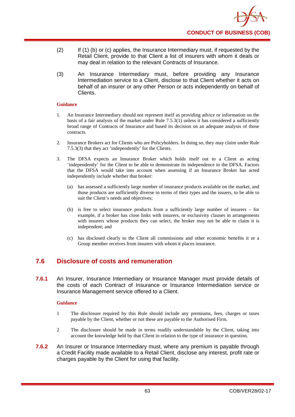- (2) If (1) (b) or (c) applies, the Insurance Intermediary must, if requested by the Retail Client, provide to that Client a list of insurers with whom it deals or may deal in relation to the relevant Contracts of Insurance.
- (3) An Insurance Intermediary must, before providing any Insurance Intermediation service to a Client, disclose to that Client whether it acts on behalf of an insurer or any other Person or acts independently on behalf of Clients.

- 1. An Insurance Intermediary should not represent itself as providing advice or information on the basis of a fair analysis of the market under Rule  $7.5.3(1)$  unless it has considered a sufficiently broad range of Contracts of Insurance and based its decision on an adequate analysis of those contracts.
- 2. Insurance Brokers act for Clients who are Policyholders. In doing so, they may claim under Rule 7.5.3(3) that they act 'independently' for the Clients.
- 3. The DFSA expects an Insurance Broker which holds itself out to a Client as acting 'independently' for the Client to be able to demonstrate its independence to the DFSA. Factors that the DFSA would take into account when assessing if an Insurance Broker has acted independently include whether that broker:
	- (a) has assessed a sufficiently large number of insurance products available on the market, and those products are sufficiently diverse in terms of their types and the issuers, to be able to suit the Client's needs and objectives;
	- (b) is free to select insurance products from a sufficiently large number of insurers for example, if a broker has close links with insurers, or exclusivity clauses in arrangements with insurers whose products they can select, the broker may not be able to claim it is independent; and
	- (c) has disclosed clearly to the Client all commissions and other economic benefits it or a Group member receives from insurers with whom it places insurance.

# **7.6 Disclosure of costs and remuneration**

**7.6.1** An Insurer, Insurance Intermediary or Insurance Manager must provide details of the costs of each Contract of Insurance or Insurance Intermediation service or Insurance Management service offered to a Client.

### **Guidance**

- 1 The disclosure required by this Rule should include any premiums, fees, charges or taxes payable by the Client, whether or not these are payable to the Authorised Firm.
- 2 The disclosure should be made in terms readily understandable by the Client, taking into account the knowledge held by that Client in relation to the type of insurance in question.
- **7.6.2** An Insurer or Insurance Intermediary must, where any premium is payable through a Credit Facility made available to a Retail Client, disclose any interest, profit rate or charges payable by the Client for using that facility.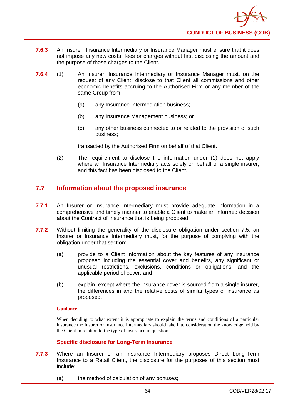

- **7.6.3** An Insurer, Insurance Intermediary or Insurance Manager must ensure that it does not impose any new costs, fees or charges without first disclosing the amount and the purpose of those charges to the Client.
- **7.6.4** (1) An Insurer, Insurance Intermediary or Insurance Manager must, on the request of any Client, disclose to that Client all commissions and other economic benefits accruing to the Authorised Firm or any member of the same Group from:
	- (a) any Insurance Intermediation business;
	- (b) any Insurance Management business; or
	- (c) any other business connected to or related to the provision of such business;

transacted by the Authorised Firm on behalf of that Client.

(2) The requirement to disclose the information under (1) does not apply where an Insurance Intermediary acts solely on behalf of a single insurer, and this fact has been disclosed to the Client.

# **7.7 Information about the proposed insurance**

- **7.7.1** An Insurer or Insurance Intermediary must provide adequate information in a comprehensive and timely manner to enable a Client to make an informed decision about the Contract of Insurance that is being proposed.
- **7.7.2** Without limiting the generality of the disclosure obligation under section 7.5, an Insurer or Insurance Intermediary must, for the purpose of complying with the obligation under that section:
	- (a) provide to a Client information about the key features of any insurance proposed including the essential cover and benefits, any significant or unusual restrictions, exclusions, conditions or obligations, and the applicable period of cover; and
	- (b) explain, except where the insurance cover is sourced from a single insurer, the differences in and the relative costs of similar types of insurance as proposed.

### **Guidance**

When deciding to what extent it is appropriate to explain the terms and conditions of a particular insurance the Insurer or Insurance Intermediary should take into consideration the knowledge held by the Client in relation to the type of insurance in question.

### **Specific disclosure for Long-Term Insurance**

- **7.7.3** Where an Insurer or an Insurance Intermediary proposes Direct Long-Term Insurance to a Retail Client, the disclosure for the purposes of this section must include:
	- (a) the method of calculation of any bonuses;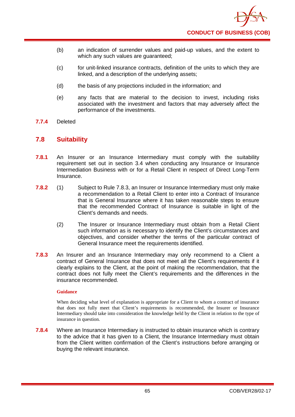- (b) an indication of surrender values and paid-up values, and the extent to which any such values are guaranteed;
- (c) for unit-linked insurance contracts, definition of the units to which they are linked, and a description of the underlying assets;
- (d) the basis of any projections included in the information; and
- (e) any facts that are material to the decision to invest, including risks associated with the investment and factors that may adversely affect the performance of the investments.
- **7.7.4** Deleted

## **7.8 Suitability**

- **7.8.1** An Insurer or an Insurance Intermediary must comply with the suitability requirement set out in section 3.4 when conducting any Insurance or Insurance Intermediation Business with or for a Retail Client in respect of Direct Long-Term Insurance.
- **7.8.2** (1) Subject to Rule 7.8.3, an Insurer or Insurance Intermediary must only make a recommendation to a Retail Client to enter into a Contract of Insurance that is General Insurance where it has taken reasonable steps to ensure that the recommended Contract of Insurance is suitable in light of the Client's demands and needs.
	- (2) The Insurer or Insurance Intermediary must obtain from a Retail Client such information as is necessary to identify the Client's circumstances and objectives, and consider whether the terms of the particular contract of General Insurance meet the requirements identified.
- **7.8.3** An Insurer and an Insurance Intermediary may only recommend to a Client a contract of General Insurance that does not meet all the Client's requirements if it clearly explains to the Client, at the point of making the recommendation, that the contract does not fully meet the Client's requirements and the differences in the insurance recommended.

### **Guidance**

When deciding what level of explanation is appropriate for a Client to whom a contract of insurance that does not fully meet that Client's requirements is recommended, the Insurer or Insurance Intermediary should take into consideration the knowledge held by the Client in relation to the type of insurance in question.

**7.8.4** Where an Insurance Intermediary is instructed to obtain insurance which is contrary to the advice that it has given to a Client, the Insurance Intermediary must obtain from the Client written confirmation of the Client's instructions before arranging or buying the relevant insurance.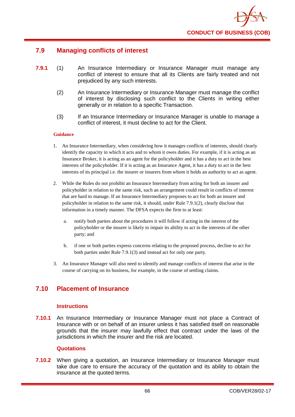

# **7.9 Managing conflicts of interest**

- **7.9.1** (1) An Insurance Intermediary or Insurance Manager must manage any conflict of interest to ensure that all its Clients are fairly treated and not prejudiced by any such interests.
	- (2) An Insurance Intermediary or Insurance Manager must manage the conflict of interest by disclosing such conflict to the Clients in writing either generally or in relation to a specific Transaction.
	- (3) If an Insurance Intermediary or Insurance Manager is unable to manage a conflict of interest, it must decline to act for the Client.

### **Guidance**

- 1. An Insurance Intermediary, when considering how it manages conflicts of interests, should clearly identify the capacity in which it acts and to whom it owes duties. For example, if it is acting as an Insurance Broker, it is acting as an agent for the policyholder and it has a duty to act in the best interests of the policyholder. If it is acting as an Insurance Agent, it has a duty to act in the best interests of its principal i.e. the insurer or insurers from whom it holds an authority to act as agent.
- 2. While the Rules do not prohibit an Insurance Intermediary from acting for both an insurer and policyholder in relation to the same risk, such an arrangement could result in conflicts of interest that are hard to manage. If an Insurance Intermediary proposes to act for both an insurer and policyholder in relation to the same risk, it should, under Rule 7.9.1(2), clearly disclose that information in a timely manner. The DFSA expects the firm to at least:
	- a. notify both parties about the procedures it will follow if acting in the interest of the policyholder or the insurer is likely to impair its ability to act in the interests of the other party; and
	- b. if one or both parties express concerns relating to the proposed process, decline to act for both parties under Rule 7.9.1(3) and instead act for only one party.
- 3. An Insurance Manager will also need to identify and manage conflicts of interest that arise in the course of carrying on its business, for example, in the course of settling claims.

# **7.10 Placement of Insurance**

### **Instructions**

**7.10.1** An Insurance Intermediary or Insurance Manager must not place a Contract of Insurance with or on behalf of an insurer unless it has satisfied itself on reasonable grounds that the insurer may lawfully effect that contract under the laws of the jurisdictions in which the insurer and the risk are located.

### **Quotations**

**7.10.2** When giving a quotation, an Insurance Intermediary or Insurance Manager must take due care to ensure the accuracy of the quotation and its ability to obtain the insurance at the quoted terms.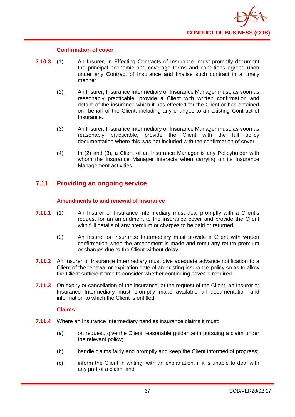

### **Confirmation of cover**

- **7.10.3** (1) An Insurer, in Effecting Contracts of Insurance, must promptly document the principal economic and coverage terms and conditions agreed upon under any Contract of Insurance and finalise such contract in a timely manner.
	- (2) An Insurer, Insurance Intermediary or Insurance Manager must, as soon as reasonably practicable, provide a Client with written confirmation and details of the insurance which it has effected for the Client or has obtained on behalf of the Client, including any changes to an existing Contract of Insurance.
	- (3) An Insurer, Insurance Intermediary or Insurance Manager must, as soon as reasonably practicable, provide the Client with the full policy documentation where this was not included with the confirmation of cover.
	- (4) In (2) and (3), a Client of an Insurance Manager is any Policyholder with whom the Insurance Manager interacts when carrying on its Insurance Management activities.

# **7.11 Providing an ongoing service**

### **Amendments to and renewal of insurance**

- **7.11.1** (1) An Insurer or Insurance Intermediary must deal promptly with a Client's request for an amendment to the insurance cover and provide the Client with full details of any premium or charges to be paid or returned.
	- (2) An Insurer or Insurance Intermediary must provide a Client with written confirmation when the amendment is made and remit any return premium or charges due to the Client without delay.
- **7.11.2** An Insurer or Insurance Intermediary must give adequate advance notification to a Client of the renewal or expiration date of an existing insurance policy so as to allow the Client sufficient time to consider whether continuing cover is required.
- **7.11.3** On expiry or cancellation of the insurance, at the request of the Client, an Insurer or Insurance Intermediary must promptly make available all documentation and information to which the Client is entitled.

### **Claims**

- **7.11.4** Where an Insurance Intermediary handles insurance claims it must:
	- (a) on request, give the Client reasonable guidance in pursuing a claim under the relevant policy;
	- (b) handle claims fairly and promptly and keep the Client informed of progress;
	- (c) inform the Client in writing, with an explanation, if it is unable to deal with any part of a claim; and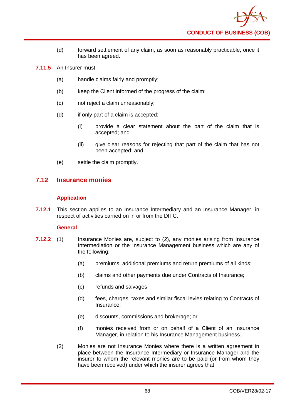- (d) forward settlement of any claim, as soon as reasonably practicable, once it has been agreed.
- **7.11.5** An Insurer must:
	- (a) handle claims fairly and promptly;
	- (b) keep the Client informed of the progress of the claim;
	- (c) not reject a claim unreasonably;
	- (d) if only part of a claim is accepted:
		- (i) provide a clear statement about the part of the claim that is accepted; and
		- (ii) give clear reasons for rejecting that part of the claim that has not been accepted; and
	- (e) settle the claim promptly.

# **7.12 Insurance monies**

## **Application**

**7.12.1** This section applies to an Insurance Intermediary and an Insurance Manager, in respect of activities carried on in or from the DIFC.

## **General**

- **7.12.2** (1) Insurance Monies are, subject to (2), any monies arising from Insurance Intermediation or the Insurance Management business which are any of the following:
	- (a) premiums, additional premiums and return premiums of all kinds;
	- (b) claims and other payments due under Contracts of Insurance;
	- (c) refunds and salvages;
	- (d) fees, charges, taxes and similar fiscal levies relating to Contracts of Insurance;
	- (e) discounts, commissions and brokerage; or
	- (f) monies received from or on behalf of a Client of an Insurance Manager, in relation to his Insurance Management business.
	- (2) Monies are not Insurance Monies where there is a written agreement in place between the Insurance Intermediary or Insurance Manager and the insurer to whom the relevant monies are to be paid (or from whom they have been received) under which the insurer agrees that: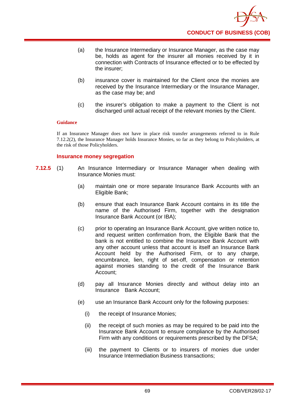- (a) the Insurance Intermediary or Insurance Manager, as the case may be, holds as agent for the insurer all monies received by it in connection with Contracts of Insurance effected or to be effected by the insurer;
- (b) insurance cover is maintained for the Client once the monies are received by the Insurance Intermediary or the Insurance Manager, as the case may be; and
- (c) the insurer's obligation to make a payment to the Client is not discharged until actual receipt of the relevant monies by the Client.

If an Insurance Manager does not have in place risk transfer arrangements referred to in Rule 7.12.2(2), the Insurance Manager holds Insurance Monies, so far as they belong to Policyholders, at the risk of those Policyholders.

## **Insurance money segregation**

- **7.12.5** (1) An Insurance Intermediary or Insurance Manager when dealing with Insurance Monies must:
	- (a) maintain one or more separate Insurance Bank Accounts with an Eligible Bank;
	- (b) ensure that each Insurance Bank Account contains in its title the name of the Authorised Firm, together with the designation Insurance Bank Account (or IBA);
	- (c) prior to operating an Insurance Bank Account, give written notice to, and request written confirmation from, the Eligible Bank that the bank is not entitled to combine the Insurance Bank Account with any other account unless that account is itself an Insurance Bank Account held by the Authorised Firm, or to any charge, encumbrance, lien, right of set-off, compensation or retention against monies standing to the credit of the Insurance Bank Account;
	- (d) pay all Insurance Monies directly and without delay into an Insurance Bank Account;
	- (e) use an Insurance Bank Account only for the following purposes:
		- (i) the receipt of Insurance Monies;
		- (ii) the receipt of such monies as may be required to be paid into the Insurance Bank Account to ensure compliance by the Authorised Firm with any conditions or requirements prescribed by the DFSA;
		- (iii) the payment to Clients or to insurers of monies due under Insurance Intermediation Business transactions;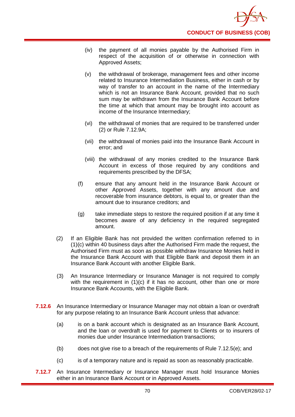

- (iv) the payment of all monies payable by the Authorised Firm in respect of the acquisition of or otherwise in connection with Approved Assets;
- (v) the withdrawal of brokerage, management fees and other income related to Insurance Intermediation Business, either in cash or by way of transfer to an account in the name of the Intermediary which is not an Insurance Bank Account, provided that no such sum may be withdrawn from the Insurance Bank Account before the time at which that amount may be brought into account as income of the Insurance Intermediary;
- (vi) the withdrawal of monies that are required to be transferred under (2) or Rule 7.12.9A;
- (vii) the withdrawal of monies paid into the Insurance Bank Account in error; and
- (viii) the withdrawal of any monies credited to the Insurance Bank Account in excess of those required by any conditions and requirements prescribed by the DFSA;
- (f) ensure that any amount held in the Insurance Bank Account or other Approved Assets, together with any amount due and recoverable from insurance debtors, is equal to, or greater than the amount due to insurance creditors; and
- (g) take immediate steps to restore the required position if at any time it becomes aware of any deficiency in the required segregated amount.
- (2) If an Eligible Bank has not provided the written confirmation referred to in (1)(c) within 40 business days after the Authorised Firm made the request, the Authorised Firm must as soon as possible withdraw Insurance Monies held in the Insurance Bank Account with that Eligible Bank and deposit them in an Insurance Bank Account with another Eligible Bank.
- (3) An Insurance Intermediary or Insurance Manager is not required to comply with the requirement in  $(1)(c)$  if it has no account, other than one or more Insurance Bank Accounts, with the Eligible Bank.
- **7.12.6** An Insurance Intermediary or Insurance Manager may not obtain a loan or overdraft for any purpose relating to an Insurance Bank Account unless that advance:
	- (a) is on a bank account which is designated as an Insurance Bank Account, and the loan or overdraft is used for payment to Clients or to insurers of monies due under Insurance Intermediation transactions;
	- (b) does not give rise to a breach of the requirements of Rule 7.12.5(e); and
	- (c) is of a temporary nature and is repaid as soon as reasonably practicable.
- **7.12.7** An Insurance Intermediary or Insurance Manager must hold Insurance Monies either in an Insurance Bank Account or in Approved Assets.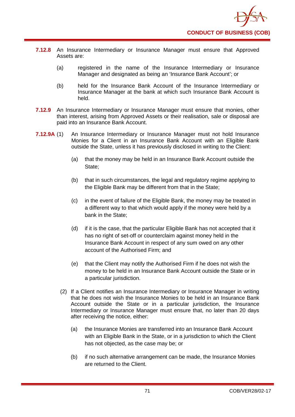

- **7.12.8** An Insurance Intermediary or Insurance Manager must ensure that Approved Assets are:
	- (a) registered in the name of the Insurance Intermediary or Insurance Manager and designated as being an 'Insurance Bank Account'; or
	- (b) held for the Insurance Bank Account of the Insurance Intermediary or Insurance Manager at the bank at which such Insurance Bank Account is held.
- **7.12.9** An Insurance Intermediary or Insurance Manager must ensure that monies, other than interest, arising from Approved Assets or their realisation, sale or disposal are paid into an Insurance Bank Account.
- **7.12.9A** (1) An Insurance Intermediary or Insurance Manager must not hold Insurance Monies for a Client in an Insurance Bank Account with an Eligible Bank outside the State, unless it has previously disclosed in writing to the Client:
	- (a) that the money may be held in an Insurance Bank Account outside the State:
	- (b) that in such circumstances, the legal and regulatory regime applying to the Eligible Bank may be different from that in the State;
	- (c) in the event of failure of the Eligible Bank, the money may be treated in a different way to that which would apply if the money were held by a bank in the State;
	- (d) if it is the case, that the particular Eligible Bank has not accepted that it has no right of set-off or counterclaim against money held in the Insurance Bank Account in respect of any sum owed on any other account of the Authorised Firm; and
	- (e) that the Client may notify the Authorised Firm if he does not wish the money to be held in an Insurance Bank Account outside the State or in a particular jurisdiction.
	- (2) If a Client notifies an Insurance Intermediary or Insurance Manager in writing that he does not wish the Insurance Monies to be held in an Insurance Bank Account outside the State or in a particular jurisdiction, the Insurance Intermediary or Insurance Manager must ensure that, no later than 20 days after receiving the notice, either:
		- (a) the Insurance Monies are transferred into an Insurance Bank Account with an Eligible Bank in the State, or in a jurisdiction to which the Client has not objected, as the case may be; or
		- (b) if no such alternative arrangement can be made, the Insurance Monies are returned to the Client.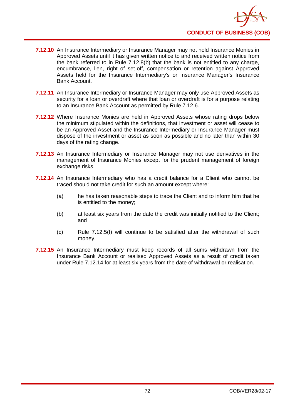- **7.12.10** An Insurance Intermediary or Insurance Manager may not hold Insurance Monies in Approved Assets until it has given written notice to and received written notice from the bank referred to in Rule 7.12.8(b) that the bank is not entitled to any charge, encumbrance, lien, right of set-off, compensation or retention against Approved Assets held for the Insurance Intermediary's or Insurance Manager's Insurance Bank Account.
- **7.12.11** An Insurance Intermediary or Insurance Manager may only use Approved Assets as security for a loan or overdraft where that loan or overdraft is for a purpose relating to an Insurance Bank Account as permitted by Rule 7.12.6.
- **7.12.12** Where Insurance Monies are held in Approved Assets whose rating drops below the minimum stipulated within the definitions, that investment or asset will cease to be an Approved Asset and the Insurance Intermediary or Insurance Manager must dispose of the investment or asset as soon as possible and no later than within 30 days of the rating change.
- **7.12.13** An Insurance Intermediary or Insurance Manager may not use derivatives in the management of Insurance Monies except for the prudent management of foreign exchange risks.
- **7.12.14** An Insurance Intermediary who has a credit balance for a Client who cannot be traced should not take credit for such an amount except where:
	- (a) he has taken reasonable steps to trace the Client and to inform him that he is entitled to the money;
	- (b) at least six years from the date the credit was initially notified to the Client; and
	- (c) Rule 7.12.5(f) will continue to be satisfied after the withdrawal of such money.
- **7.12.15** An Insurance Intermediary must keep records of all sums withdrawn from the Insurance Bank Account or realised Approved Assets as a result of credit taken under Rule 7.12.14 for at least six years from the date of withdrawal or realisation.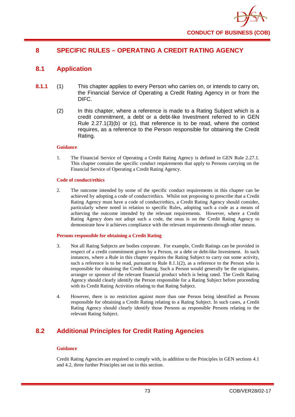

# **8 SPECIFIC RULES – OPERATING A CREDIT RATING AGENCY**

# **8.1 Application**

- **8.1.1** (1) This chapter applies to every Person who carries on, or intends to carry on, the Financial Service of Operating a Credit Rating Agency in or from the DIFC.
	- (2) In this chapter, where a reference is made to a Rating Subject which is a credit commitment, a debt or a debt-like Investment referred to in GEN Rule 2.27.1(3)(b) or (c), that reference is to be read, where the context requires, as a reference to the Person responsible for obtaining the Credit Rating.

#### **Guidance**

1. The Financial Service of Operating a Credit Rating Agency is defined in GEN Rule 2.27.1. This chapter contains the specific conduct requirements that apply to Persons carrying on the Financial Service of Operating a Credit Rating Agency.

#### **Code of conduct/ethics**

2. The outcome intended by some of the specific conduct requirements in this chapter can be achieved by adopting a code of conduct/ethics. Whilst not proposing to prescribe that a Credit Rating Agency must have a code of conduct/ethics, a Credit Rating Agency should consider, particularly where noted in relation to specific Rules, adopting such a code as a means of achieving the outcome intended by the relevant requirements. However, where a Credit Rating Agency does not adopt such a code, the onus is on the Credit Rating Agency to demonstrate how it achieves compliance with the relevant requirements through other means.

#### **Persons responsible for obtaining a Credit Rating**

- 3. Not all Rating Subjects are bodies corporate. For example, Credit Ratings can be provided in respect of a credit commitment given by a Person, or a debt or debt-like Investment. In such instances, where a Rule in this chapter requires the Rating Subject to carry out some activity, such a reference is to be read, pursuant to Rule  $8.1.1(2)$ , as a reference to the Person who is responsible for obtaining the Credit Rating. Such a Person would generally be the originator, arranger or sponsor of the relevant financial product which is being rated. The Credit Rating Agency should clearly identify the Person responsible for a Rating Subject before proceeding with its Credit Rating Activities relating to that Rating Subject.
- 4. However, there is no restriction against more than one Person being identified as Persons responsible for obtaining a Credit Rating relating to a Rating Subject. In such cases, a Credit Rating Agency should clearly identify those Persons as responsible Persons relating to the relevant Rating Subject.

# **8.2 Additional Principles for Credit Rating Agencies**

#### **Guidance**

Credit Rating Agencies are required to comply with, in addition to the Principles in GEN sections 4.1 and 4.2, three further Principles set out in this section.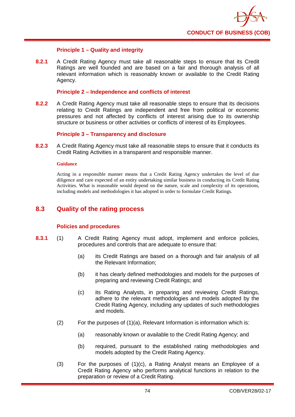

## **Principle 1 – Quality and integrity**

**8.2.1** A Credit Rating Agency must take all reasonable steps to ensure that its Credit Ratings are well founded and are based on a fair and thorough analysis of all relevant information which is reasonably known or available to the Credit Rating Agency.

### **Principle 2 – Independence and conflicts of interest**

**8.2.2** A Credit Rating Agency must take all reasonable steps to ensure that its decisions relating to Credit Ratings are independent and free from political or economic pressures and not affected by conflicts of interest arising due to its ownership structure or business or other activities or conflicts of interest of its Employees.

## **Principle 3 – Transparency and disclosure**

**8.2.3** A Credit Rating Agency must take all reasonable steps to ensure that it conducts its Credit Rating Activities in a transparent and responsible manner.

#### **Guidance**

Acting in a responsible manner means that a Credit Rating Agency undertakes the level of due diligence and care expected of an entity undertaking similar business in conducting its Credit Rating Activities. What is reasonable would depend on the nature, scale and complexity of its operations, including models and methodologies it has adopted in order to formulate Credit Ratings.

# **8.3 Quality of the rating process**

## **Policies and procedures**

- **8.3.1** (1) A Credit Rating Agency must adopt, implement and enforce policies, procedures and controls that are adequate to ensure that:
	- (a) its Credit Ratings are based on a thorough and fair analysis of all the Relevant Information;
	- (b) it has clearly defined methodologies and models for the purposes of preparing and reviewing Credit Ratings; and
	- (c) its Rating Analysts, in preparing and reviewing Credit Ratings, adhere to the relevant methodologies and models adopted by the Credit Rating Agency, including any updates of such methodologies and models.
	- (2) For the purposes of (1)(a), Relevant Information is information which is:
		- (a) reasonably known or available to the Credit Rating Agency; and
		- (b) required, pursuant to the established rating methodologies and models adopted by the Credit Rating Agency.
	- (3) For the purposes of (1)(c), a Rating Analyst means an Employee of a Credit Rating Agency who performs analytical functions in relation to the preparation or review of a Credit Rating.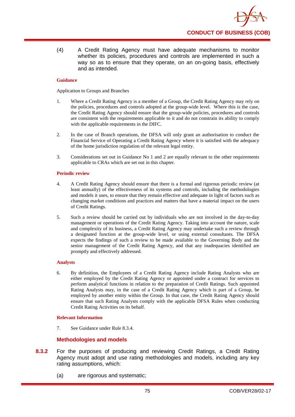(4) A Credit Rating Agency must have adequate mechanisms to monitor whether its policies, procedures and controls are implemented in such a way so as to ensure that they operate, on an on-going basis, effectively and as intended.

## **Guidance**

Application to Groups and Branches

- 1. Where a Credit Rating Agency is a member of a Group, the Credit Rating Agency may rely on the policies, procedures and controls adopted at the group-wide level. Where this is the case, the Credit Rating Agency should ensure that the group-wide policies, procedures and controls are consistent with the requirements applicable to it and do not constrain its ability to comply with the applicable requirements in the DIFC.
- 2. In the case of Branch operations, the DFSA will only grant an authorisation to conduct the Financial Service of Operating a Credit Rating Agency where it is satisfied with the adequacy of the home jurisdiction regulation of the relevant legal entity.
- 3. Considerations set out in Guidance No 1 and 2 are equally relevant to the other requirements applicable to CRAs which are set out in this chapter.

#### **Periodic review**

- 4. A Credit Rating Agency should ensure that there is a formal and rigorous periodic review (at least annually) of the effectiveness of its systems and controls, including the methodologies and models it uses, to ensure that they remain effective and adequate in light of factors such as changing market conditions and practices and matters that have a material impact on the users of Credit Ratings.
- 5. Such a review should be carried out by individuals who are not involved in the day-to-day management or operations of the Credit Rating Agency. Taking into account the nature, scale and complexity of its business, a Credit Rating Agency may undertake such a review through a designated function at the group-wide level, or using external consultants. The DFSA expects the findings of such a review to be made available to the Governing Body and the senior management of the Credit Rating Agency, and that any inadequacies identified are promptly and effectively addressed.

## **Analysts**

6. By definition, the Employees of a Credit Rating Agency include Rating Analysts who are either employed by the Credit Rating Agency or appointed under a contract for services to perform analytical functions in relation to the preparation of Credit Ratings. Such appointed Rating Analysts may, in the case of a Credit Rating Agency which is part of a Group, be employed by another entity within the Group. In that case, the Credit Rating Agency should ensure that such Rating Analysts comply with the applicable DFSA Rules when conducting Credit Rating Activities on its behalf.

## **Relevant Information**

7. See Guidance under Rule 8.3.4.

## **Methodologies and models**

- **8.3.2** For the purposes of producing and reviewing Credit Ratings, a Credit Rating Agency must adopt and use rating methodologies and models, including any key rating assumptions, which:
	- (a) are rigorous and systematic;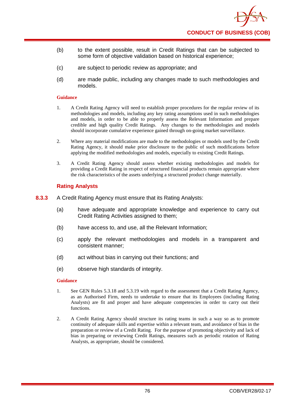

- (b) to the extent possible, result in Credit Ratings that can be subjected to some form of objective validation based on historical experience;
- (c) are subject to periodic review as appropriate; and
- (d) are made public, including any changes made to such methodologies and models.

- 1. A Credit Rating Agency will need to establish proper procedures for the regular review of its methodologies and models, including any key rating assumptions used in such methodologies and models, in order to be able to properly assess the Relevant Information and prepare credible and high quality Credit Ratings. Any changes to the methodologies and models should incorporate cumulative experience gained through on-going market surveillance.
- 2. Where any material modifications are made to the methodologies or models used by the Credit Rating Agency, it should make prior disclosure to the public of such modifications before applying the modified methodologies and models, especially to existing Credit Ratings.
- 3. A Credit Rating Agency should assess whether existing methodologies and models for providing a Credit Rating in respect of structured financial products remain appropriate where the risk characteristics of the assets underlying a structured product change materially.

## **Rating Analysts**

- **8.3.3** A Credit Rating Agency must ensure that its Rating Analysts:
	- (a) have adequate and appropriate knowledge and experience to carry out Credit Rating Activities assigned to them;
	- (b) have access to, and use, all the Relevant Information;
	- (c) apply the relevant methodologies and models in a transparent and consistent manner;
	- (d) act without bias in carrying out their functions; and
	- (e) observe high standards of integrity.

#### **Guidance**

- 1. See GEN Rules 5.3.18 and 5.3.19 with regard to the assessment that a Credit Rating Agency, as an Authorised Firm, needs to undertake to ensure that its Employees (including Rating Analysts) are fit and proper and have adequate competencies in order to carry out their functions.
- 2. A Credit Rating Agency should structure its rating teams in such a way so as to promote continuity of adequate skills and expertise within a relevant team, and avoidance of bias in the preparation or review of a Credit Rating. For the purpose of promoting objectivity and lack of bias in preparing or reviewing Credit Ratings, measures such as periodic rotation of Rating Analysts, as appropriate, should be considered.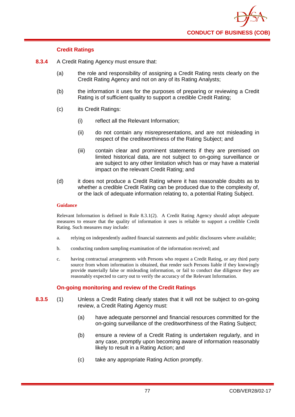

## **Credit Ratings**

- **8.3.4** A Credit Rating Agency must ensure that:
	- (a) the role and responsibility of assigning a Credit Rating rests clearly on the Credit Rating Agency and not on any of its Rating Analysts;
	- (b) the information it uses for the purposes of preparing or reviewing a Credit Rating is of sufficient quality to support a credible Credit Rating;
	- (c) its Credit Ratings:
		- (i) reflect all the Relevant Information;
		- (ii) do not contain any misrepresentations, and are not misleading in respect of the creditworthiness of the Rating Subject; and
		- (iii) contain clear and prominent statements if they are premised on limited historical data, are not subject to on-going surveillance or are subject to any other limitation which has or may have a material impact on the relevant Credit Rating; and
	- (d) it does not produce a Credit Rating where it has reasonable doubts as to whether a credible Credit Rating can be produced due to the complexity of, or the lack of adequate information relating to, a potential Rating Subject.

#### **Guidance**

Relevant Information is defined in Rule 8.3.1(2). A Credit Rating Agency should adopt adequate measures to ensure that the quality of information it uses is reliable to support a credible Credit Rating. Such measures may include:

- a. relying on independently audited financial statements and public disclosures where available;
- b. conducting random sampling examination of the information received; and
- c. having contractual arrangements with Persons who request a Credit Rating, or any third party source from whom information is obtained, that render such Persons liable if they knowingly provide materially false or misleading information, or fail to conduct due diligence they are reasonably expected to carry out to verify the accuracy of the Relevant Information.

## **On-going monitoring and review of the Credit Ratings**

- **8.3.5** (1) Unless a Credit Rating clearly states that it will not be subject to on-going review, a Credit Rating Agency must:
	- (a) have adequate personnel and financial resources committed for the on-going surveillance of the creditworthiness of the Rating Subject;
	- (b) ensure a review of a Credit Rating is undertaken regularly, and in any case, promptly upon becoming aware of information reasonably likely to result in a Rating Action; and
	- (c) take any appropriate Rating Action promptly.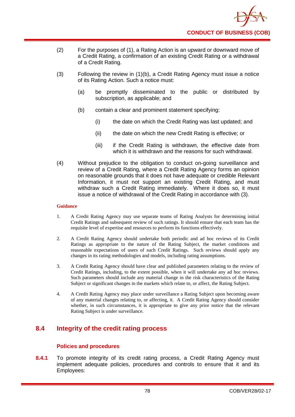

- (2) For the purposes of (1), a Rating Action is an upward or downward move of a Credit Rating, a confirmation of an existing Credit Rating or a withdrawal of a Credit Rating.
- (3) Following the review in (1)(b), a Credit Rating Agency must issue a notice of its Rating Action. Such a notice must:
	- (a) be promptly disseminated to the public or distributed by subscription, as applicable; and
	- (b) contain a clear and prominent statement specifying:
		- (i) the date on which the Credit Rating was last updated; and
		- (ii) the date on which the new Credit Rating is effective; or
		- (iii) if the Credit Rating is withdrawn, the effective date from which it is withdrawn and the reasons for such withdrawal.
- (4) Without prejudice to the obligation to conduct on-going surveillance and review of a Credit Rating, where a Credit Rating Agency forms an opinion on reasonable grounds that it does not have adequate or credible Relevant Information, it must not support an existing Credit Rating, and must withdraw such a Credit Rating immediately. Where it does so, it must issue a notice of withdrawal of the Credit Rating in accordance with (3).

- 1. A Credit Rating Agency may use separate teams of Rating Analysts for determining initial Credit Ratings and subsequent review of such ratings. It should ensure that each team has the requisite level of expertise and resources to perform its functions effectively.
- 2. A Credit Rating Agency should undertake both periodic and ad hoc reviews of its Credit Ratings as appropriate to the nature of the Rating Subject, the market conditions and reasonable expectations of users of such Credit Ratings. Such reviews should apply any changes in its rating methodologies and models, including rating assumptions.
- 3. A Credit Rating Agency should have clear and published parameters relating to the review of Credit Ratings, including, to the extent possible, when it will undertake any ad hoc reviews. Such parameters should include any material change in the risk characteristics of the Rating Subject or significant changes in the markets which relate to, or affect, the Rating Subject.
- 4. A Credit Rating Agency may place under surveillance a Rating Subject upon becoming aware of any material changes relating to, or affecting, it. A Credit Rating Agency should consider whether, in such circumstances, it is appropriate to give any prior notice that the relevant Rating Subject is under surveillance.

# **8.4 Integrity of the credit rating process**

## **Polic**i**es and procedures**

**8.4.1** To promote integrity of its credit rating process, a Credit Rating Agency must implement adequate policies, procedures and controls to ensure that it and its Employees: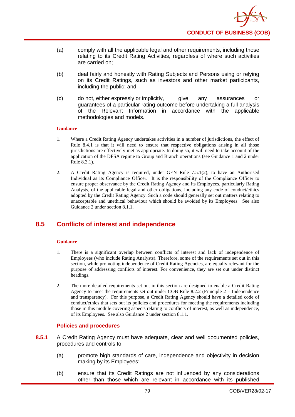

- (a) comply with all the applicable legal and other requirements, including those relating to its Credit Rating Activities, regardless of where such activities are carried on;
- (b) deal fairly and honestly with Rating Subjects and Persons using or relying on its Credit Ratings, such as investors and other market participants, including the public; and
- (c) do not, either expressly or implicitly, give any assurances or guarantees of a particular rating outcome before undertaking a full analysis of the Relevant Information in accordance with the applicable methodologies and models.

- 1. Where a Credit Rating Agency undertakes activities in a number of jurisdictions, the effect of Rule 8.4.1 is that it will need to ensure that respective obligations arising in all those jurisdictions are effectively met as appropriate. In doing so, it will need to take account of the application of the DFSA regime to Group and Branch operations (see Guidance 1 and 2 under Rule 8.3.1).
- 2. A Credit Rating Agency is required, under GEN Rule 7.5.1(2), to have an Authorised Individual as its Compliance Officer. It is the responsibility of the Compliance Officer to ensure proper observance by the Credit Rating Agency and its Employees, particularly Rating Analysts, of the applicable legal and other obligations, including any code of conduct/ethics adopted by the Credit Rating Agency. Such a code should generally set out matters relating to unacceptable and unethical behaviour which should be avoided by its Employees. See also Guidance 2 under section 8.1.1.

# **8.5 Conflicts of interest and independence**

#### **Guidance**

- 1. There is a significant overlap between conflicts of interest and lack of independence of Employees (who include Rating Analysts). Therefore, some of the requirements set out in this section, while promoting independence of Credit Rating Agencies, are equally relevant for the purpose of addressing conflicts of interest. For convenience, they are set out under distinct headings.
- 2. The more detailed requirements set out in this section are designed to enable a Credit Rating Agency to meet the requirements set out under COB Rule 8.2.2 (Principle 2 – Independence and transparency). For this purpose, a Credit Rating Agency should have a detailed code of conduct/ethics that sets out its policies and procedures for meeting the requirements including those in this module covering aspects relating to conflicts of interest, as well as independence, of its Employees. See also Guidance 2 under section 8.1.1.

## **Policies and procedures**

- **8.5.1** A Credit Rating Agency must have adequate, clear and well documented policies, procedures and controls to:
	- (a) promote high standards of care, independence and objectivity in decision making by its Employees;
	- (b) ensure that its Credit Ratings are not influenced by any considerations other than those which are relevant in accordance with its published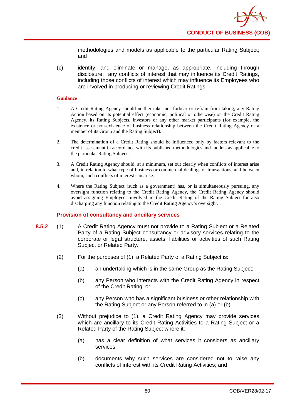methodologies and models as applicable to the particular Rating Subject; and

(c) identify, and eliminate or manage, as appropriate, including through disclosure, any conflicts of interest that may influence its Credit Ratings, including those conflicts of interest which may influence its Employees who are involved in producing or reviewing Credit Ratings.

### **Guidance**

- 1. A Credit Rating Agency should neither take, nor forbear or refrain from taking, any Rating Action based on its potential effect (economic, political or otherwise) on the Credit Rating Agency, its Rating Subjects, investors or any other market participants (for example, the existence or non-existence of business relationship between the Credit Rating Agency or a member of its Group and the Rating Subject).
- 2. The determination of a Credit Rating should be influenced only by factors relevant to the credit assessment in accordance with its published methodologies and models as applicable to the particular Rating Subject.
- 3. A Credit Rating Agency should, at a minimum, set out clearly when conflicts of interest arise and, in relation to what type of business or commercial dealings or transactions, and between whom, such conflicts of interest can arise.
- 4. Where the Rating Subject (such as a government) has, or is simultaneously pursuing, any oversight function relating to the Credit Rating Agency, the Credit Rating Agency should avoid assigning Employees involved in the Credit Rating of the Rating Subject for also discharging any function relating to the Credit Rating Agency's oversight.

## **Provision of consultancy and ancillary services**

- **8.5.2** (1) A Credit Rating Agency must not provide to a Rating Subject or a Related Party of a Rating Subject consultancy or advisory services relating to the corporate or legal structure, assets, liabilities or activities of such Rating Subject or Related Party.
	- (2) For the purposes of (1), a Related Party of a Rating Subject is:
		- (a) an undertaking which is in the same Group as the Rating Subject;
		- (b) any Person who interacts with the Credit Rating Agency in respect of the Credit Rating; or
		- (c) any Person who has a significant business or other relationship with the Rating Subject or any Person referred to in (a) or (b).
	- (3) Without prejudice to (1), a Credit Rating Agency may provide services which are ancillary to its Credit Rating Activities to a Rating Subject or a Related Party of the Rating Subject where it:
		- (a) has a clear definition of what services it considers as ancillary services;
		- (b) documents why such services are considered not to raise any conflicts of interest with its Credit Rating Activities; and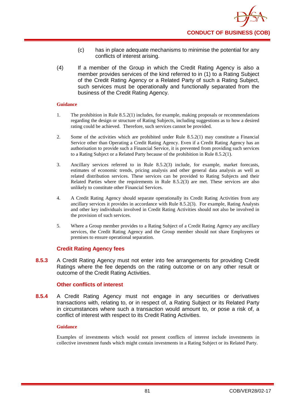- (c) has in place adequate mechanisms to minimise the potential for any conflicts of interest arising.
- (4) If a member of the Group in which the Credit Rating Agency is also a member provides services of the kind referred to in (1) to a Rating Subject of the Credit Rating Agency or a Related Party of such a Rating Subject, such services must be operationally and functionally separated from the business of the Credit Rating Agency.

- 1. The prohibition in Rule 8.5.2(1) includes, for example, making proposals or recommendations regarding the design or structure of Rating Subjects, including suggestions as to how a desired rating could be achieved. Therefore, such services cannot be provided.
- 2. Some of the activities which are prohibited under Rule 8.5.2(1) may constitute a Financial Service other than Operating a Credit Rating Agency. Even if a Credit Rating Agency has an authorisation to provide such a Financial Service, it is prevented from providing such services to a Rating Subject or a Related Party because of the prohibition in Rule 8.5.2(1).
- 3. Ancillary services referred to in Rule 8.5.2(3) include, for example, market forecasts, estimates of economic trends, pricing analysis and other general data analysis as well as related distribution services. These services can be provided to Rating Subjects and their Related Parties where the requirements in Rule 8.5.2(3) are met. These services are also unlikely to constitute other Financial Services.
- 4. A Credit Rating Agency should separate operationally its Credit Rating Activities from any ancillary services it provides in accordance with Rule 8.5.2(3). For example, Rating Analysts and other key individuals involved in Credit Rating Activities should not also be involved in the provision of such services.
- 5. Where a Group member provides to a Rating Subject of a Credit Rating Agency any ancillary services, the Credit Rating Agency and the Group member should not share Employees or premises to ensure operational separation.

## **Credit Rating Agency fees**

**8.5.3** A Credit Rating Agency must not enter into fee arrangements for providing Credit Ratings where the fee depends on the rating outcome or on any other result or outcome of the Credit Rating Activities.

## **Other conflicts of interest**

**8.5.4** A Credit Rating Agency must not engage in any securities or derivatives transactions with, relating to, or in respect of, a Rating Subject or its Related Party in circumstances where such a transaction would amount to, or pose a risk of, a conflict of interest with respect to its Credit Rating Activities.

## **Guidance**

Examples of investments which would not present conflicts of interest include investments in collective investment funds which might contain investments in a Rating Subject or its Related Party.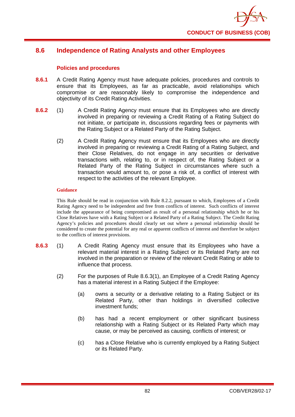

# **8.6 Independence of Rating Analysts and other Employees**

## **Policies and procedures**

- **8.6.1** A Credit Rating Agency must have adequate policies, procedures and controls to ensure that its Employees, as far as practicable, avoid relationships which compromise or are reasonably likely to compromise the independence and objectivity of its Credit Rating Activities.
- **8.6.2** (1) A Credit Rating Agency must ensure that its Employees who are directly involved in preparing or reviewing a Credit Rating of a Rating Subject do not initiate, or participate in, discussions regarding fees or payments with the Rating Subject or a Related Party of the Rating Subject.
	- (2) A Credit Rating Agency must ensure that its Employees who are directly involved in preparing or reviewing a Credit Rating of a Rating Subject, and their Close Relatives, do not engage in any securities or derivative transactions with, relating to, or in respect of, the Rating Subject or a Related Party of the Rating Subject in circumstances where such a transaction would amount to, or pose a risk of, a conflict of interest with respect to the activities of the relevant Employee.

#### **Guidance**

This Rule should be read in conjunction with Rule 8.2.2, pursuant to which, Employees of a Credit Rating Agency need to be independent and free from conflicts of interest. Such conflicts of interest include the appearance of being compromised as result of a personal relationship which he or his Close Relatives have with a Rating Subject or a Related Party of a Rating Subject. The Credit Rating Agency's policies and procedures should clearly set out where a personal relationship should be considered to create the potential for any real or apparent conflicts of interest and therefore be subject to the conflicts of interest provisions.

- **8.6.3** (1) A Credit Rating Agency must ensure that its Employees who have a relevant material interest in a Rating Subject or its Related Party are not involved in the preparation or review of the relevant Credit Rating or able to influence that process.
	- (2) For the purposes of Rule 8.6.3(1), an Employee of a Credit Rating Agency has a material interest in a Rating Subject if the Employee:
		- (a) owns a security or a derivative relating to a Rating Subject or its Related Party, other than holdings in diversified collective investment funds;
		- (b) has had a recent employment or other significant business relationship with a Rating Subject or its Related Party which may cause, or may be perceived as causing, conflicts of interest; or
		- (c) has a Close Relative who is currently employed by a Rating Subject or its Related Party.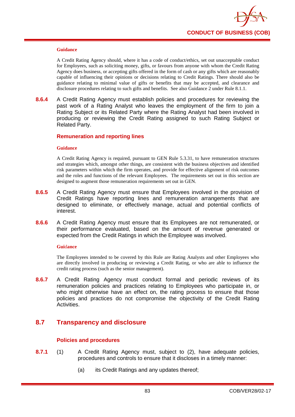

A Credit Rating Agency should, where it has a code of conduct/ethics, set out unacceptable conduct for Employees, such as soliciting money, gifts, or favours from anyone with whom the Credit Rating Agency does business, or accepting gifts offered in the form of cash or any gifts which are reasonably capable of influencing their opinions or decisions relating to Credit Ratings. There should also be guidance relating to minimal value of gifts or benefits that may be accepted, and clearance and disclosure procedures relating to such gifts and benefits. See also Guidance 2 under Rule 8.1.1.

**8.6.4** A Credit Rating Agency must establish policies and procedures for reviewing the past work of a Rating Analyst who leaves the employment of the firm to join a Rating Subject or its Related Party where the Rating Analyst had been involved in producing or reviewing the Credit Rating assigned to such Rating Subject or Related Party.

## **Remuneration and reporting lines**

#### **Guidance**

A Credit Rating Agency is required, pursuant to GEN Rule 5.3.31, to have remuneration structures and strategies which, amongst other things, are consistent with the business objectives and identified risk parameters within which the firm operates, and provide for effective alignment of risk outcomes and the roles and functions of the relevant Employees. The requirements set out in this section are designed to augment those remuneration requirements set out in GEN.

- **8.6.5** A Credit Rating Agency must ensure that Employees involved in the provision of Credit Ratings have reporting lines and remuneration arrangements that are designed to eliminate, or effectively manage, actual and potential conflicts of interest.
- **8.6.6** A Credit Rating Agency must ensure that its Employees are not remunerated, or their performance evaluated, based on the amount of revenue generated or expected from the Credit Ratings in which the Employee was involved.

#### **Gui**d**ance**

The Employees intended to be covered by this Rule are Rating Analysts and other Employees who are directly involved in producing or reviewing a Credit Rating, or who are able to influence the credit rating process (such as the senior management).

**8.6.7** A Credit Rating Agency must conduct formal and periodic reviews of its remuneration policies and practices relating to Employees who participate in, or who might otherwise have an effect on, the rating process to ensure that those policies and practices do not compromise the objectivity of the Credit Rating Activities.

# **8.7 Transparency and disclosure**

## **Policies and procedures**

- **8.7.1** (1) A Credit Rating Agency must, subject to (2), have adequate policies, procedures and controls to ensure that it discloses in a timely manner:
	- (a) its Credit Ratings and any updates thereof;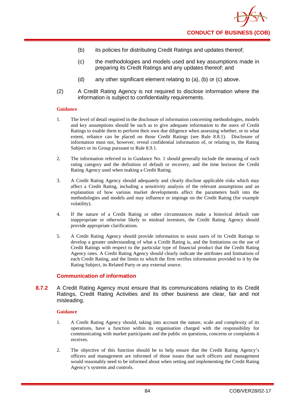- (b) its policies for distributing Credit Ratings and updates thereof;
- (c) the methodologies and models used and key assumptions made in preparing its Credit Ratings and any updates thereof; and
- (d) any other significant element relating to (a), (b) or (c) above.
- (2) A Credit Rating Agency is not required to disclose information where the information is subject to confidentiality requirements.

- 1. The level of detail required in the disclosure of information concerning methodologies, models and key assumptions should be such as to give adequate information to the users of Credit Ratings to enable them to perform their own due diligence when assessing whether, or to what extent, reliance can be placed on those Credit Ratings (see Rule 8.8.1). Disclosure of information must not, however, reveal confidential information of, or relating to, the Rating Subject or its Group pursuant to Rule 8.9.1.
- 2. The information referred to in Guidance No. 1 should generally include the meaning of each rating category and the definition of default or recovery, and the time horizon the Credit Rating Agency used when making a Credit Rating.
- 3. A Credit Rating Agency should adequately and clearly disclose applicable risks which may affect a Credit Rating, including a sensitivity analysis of the relevant assumptions and an explanation of how various market developments affect the parameters built into the methodologies and models and may influence or impinge on the Credit Rating (for example volatility).
- 4. If the nature of a Credit Rating or other circumstances make a historical default rate inappropriate or otherwise likely to mislead investors, the Credit Rating Agency should provide appropriate clarifications.
- 5. A Credit Rating Agency should provide information to assist users of its Credit Ratings to develop a greater understanding of what a Credit Rating is, and the limitations on the use of Credit Ratings with respect to the particular type of financial product that the Credit Rating Agency rates. A Credit Rating Agency should clearly indicate the attributes and limitations of each Credit Rating, and the limits to which the firm verifies information provided to it by the Rating Subject, its Related Party or any external source.

## **Communication of information**

**8.7.2** A Credit Rating Agency must ensure that its communications relating to its Credit Ratings, Credit Rating Activities and its other business are clear, fair and not misleading.

#### **Guidance**

- 1. A Credit Rating Agency should, taking into account the nature, scale and complexity of its operations, have a function within its organisation charged with the responsibility for communicating with market participants and the public on questions, concerns or complaints it receives.
- 2. The objective of this function should be to help ensure that the Credit Rating Agency's officers and management are informed of those issues that such officers and management would reasonably need to be informed about when setting and implementing the Credit Rating Agency's systems and controls.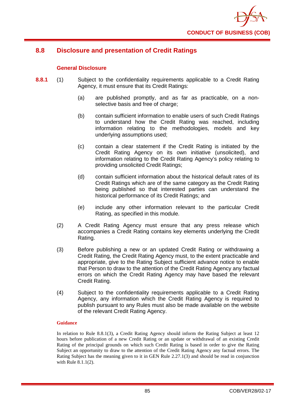

# **8.8 Disclosure and presentation of Credit Ratings**

## **General Disclosure**

- **8.8.1** (1) Subject to the confidentiality requirements applicable to a Credit Rating Agency, it must ensure that its Credit Ratings:
	- (a) are published promptly, and as far as practicable, on a nonselective basis and free of charge;
	- (b) contain sufficient information to enable users of such Credit Ratings to understand how the Credit Rating was reached, including information relating to the methodologies, models and key underlying assumptions used;
	- (c) contain a clear statement if the Credit Rating is initiated by the Credit Rating Agency on its own initiative (unsolicited), and information relating to the Credit Rating Agency's policy relating to providing unsolicited Credit Ratings;
	- (d) contain sufficient information about the historical default rates of its Credit Ratings which are of the same category as the Credit Rating being published so that interested parties can understand the historical performance of its Credit Ratings; and
	- (e) include any other information relevant to the particular Credit Rating, as specified in this module.
	- (2) A Credit Rating Agency must ensure that any press release which accompanies a Credit Rating contains key elements underlying the Credit Rating.
	- (3) Before publishing a new or an updated Credit Rating or withdrawing a Credit Rating, the Credit Rating Agency must, to the extent practicable and appropriate, give to the Rating Subject sufficient advance notice to enable that Person to draw to the attention of the Credit Rating Agency any factual errors on which the Credit Rating Agency may have based the relevant Credit Rating.
	- (4) Subject to the confidentiality requirements applicable to a Credit Rating Agency, any information which the Credit Rating Agency is required to publish pursuant to any Rules must also be made available on the website of the relevant Credit Rating Agency.

#### **Guidance**

In relation to Rule 8.8.1(3), a Credit Rating Agency should inform the Rating Subject at least 12 hours before publication of a new Credit Rating or an update or withdrawal of an existing Credit Rating of the principal grounds on which such Credit Rating is based in order to give the Rating Subject an opportunity to draw to the attention of the Credit Rating Agency any factual errors. The Rating Subject has the meaning given to it in GEN Rule 2.27.1(3) and should be read in conjunction with Rule 8.1.1(2).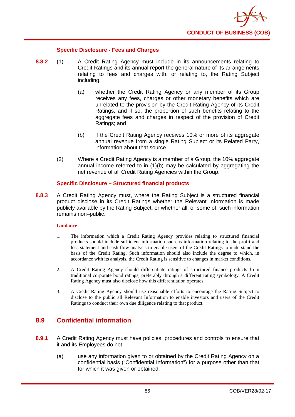

## **Specific Disclosure - Fees and Charges**

- **8.8.2** (1) A Credit Rating Agency must include in its announcements relating to Credit Ratings and its annual report the general nature of its arrangements relating to fees and charges with, or relating to, the Rating Subject including:
	- (a) whether the Credit Rating Agency or any member of its Group receives any fees, charges or other monetary benefits which are unrelated to the provision by the Credit Rating Agency of its Credit Ratings, and if so, the proportion of such benefits relating to the aggregate fees and charges in respect of the provision of Credit Ratings; and
	- (b) if the Credit Rating Agency receives 10% or more of its aggregate annual revenue from a single Rating Subject or its Related Party, information about that source.
	- (2) Where a Credit Rating Agency is a member of a Group, the 10% aggregate annual income referred to in (1)(b) may be calculated by aggregating the net revenue of all Credit Rating Agencies within the Group.

## **Specific Disclosure – Structured financial products**

**8.8.3** A Credit Rating Agency must, where the Rating Subject is a structured financial product disclose in its Credit Ratings whether the Relevant Information is made publicly available by the Rating Subject, or whether all, or some of, such information remains non–public.

## **Guidance**

- 1. The information which a Credit Rating Agency provides relating to structured financial products should include sufficient information such as information relating to the profit and loss statement and cash flow analysis to enable users of the Credit Ratings to understand the basis of the Credit Rating. Such information should also include the degree to which, in accordance with its analysis, the Credit Rating is sensitive to changes in market conditions.
- 2. A Credit Rating Agency should differentiate ratings of structured finance products from traditional corporate bond ratings, preferably through a different rating symbology. A Credit Rating Agency must also disclose how this differentiation operates.
- 3. A Credit Rating Agency should use reasonable efforts to encourage the Rating Subject to disclose to the public all Relevant Information to enable investors and users of the Credit Ratings to conduct their own due diligence relating to that product.

# **8.9 Confidential information**

- **8.9.1** A Credit Rating Agency must have policies, procedures and controls to ensure that it and its Employees do not:
	- (a) use any information given to or obtained by the Credit Rating Agency on a confidential basis ("Confidential Information") for a purpose other than that for which it was given or obtained;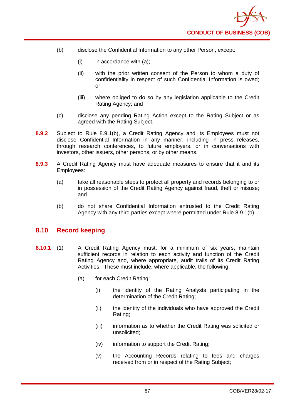- (b) disclose the Confidential Information to any other Person, except:
	- $(i)$  in accordance with  $(a)$ ;
	- (ii) with the prior written consent of the Person to whom a duty of confidentiality in respect of such Confidential Information is owed; or
	- (iii) where obliged to do so by any legislation applicable to the Credit Rating Agency; and
- (c) disclose any pending Rating Action except to the Rating Subject or as agreed with the Rating Subject.
- **8.9.2** Subject to Rule 8.9.1(b), a Credit Rating Agency and its Employees must not disclose Confidential Information in any manner, including in press releases, through research conferences, to future employers, or in conversations with investors, other issuers, other persons, or by other means.
- **8.9.3** A Credit Rating Agency must have adequate measures to ensure that it and its Employees:
	- (a) take all reasonable steps to protect all property and records belonging to or in possession of the Credit Rating Agency against fraud, theft or misuse; and
	- (b) do not share Confidential Information entrusted to the Credit Rating Agency with any third parties except where permitted under Rule 8.9.1(b).

# **8.10 Record keeping**

- **8.10.1** (1) A Credit Rating Agency must, for a minimum of six years, maintain sufficient records in relation to each activity and function of the Credit Rating Agency and, where appropriate, audit trails of its Credit Rating Activities. These must include, where applicable, the following:
	- (a) for each Credit Rating:
		- (i) the identity of the Rating Analysts participating in the determination of the Credit Rating;
		- (ii) the identity of the individuals who have approved the Credit Rating;
		- (iii) information as to whether the Credit Rating was solicited or unsolicited;
		- (iv) information to support the Credit Rating;
		- (v) the Accounting Records relating to fees and charges received from or in respect of the Rating Subject;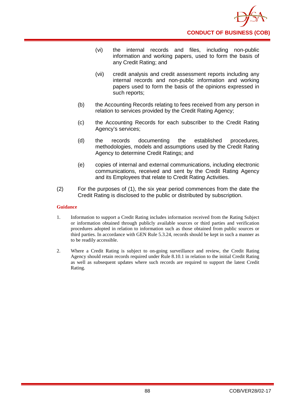

- (vi) the internal records and files, including non-public information and working papers, used to form the basis of any Credit Rating; and
- (vii) credit analysis and credit assessment reports including any internal records and non-public information and working papers used to form the basis of the opinions expressed in such reports;
- (b) the Accounting Records relating to fees received from any person in relation to services provided by the Credit Rating Agency;
- (c) the Accounting Records for each subscriber to the Credit Rating Agency's services;
- (d) the records documenting the established procedures, methodologies, models and assumptions used by the Credit Rating Agency to determine Credit Ratings; and
- (e) copies of internal and external communications, including electronic communications, received and sent by the Credit Rating Agency and its Employees that relate to Credit Rating Activities.
- (2) For the purposes of (1), the six year period commences from the date the Credit Rating is disclosed to the public or distributed by subscription.

- 1. Information to support a Credit Rating includes information received from the Rating Subject or information obtained through publicly available sources or third parties and verification procedures adopted in relation to information such as those obtained from public sources or third parties. In accordance with GEN Rule 5.3.24, records should be kept in such a manner as to be readily accessible.
- 2. Where a Credit Rating is subject to on-going surveillance and review, the Credit Rating Agency should retain records required under Rule 8.10.1 in relation to the initial Credit Rating as well as subsequent updates where such records are required to support the latest Credit Rating.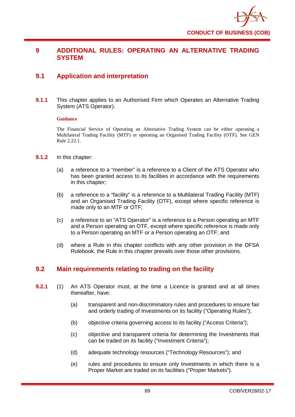

# **9 ADDITIONAL RULES: OPERATING AN ALTERNATIVE TRADING SYSTEM**

# **9.1 Application and interpretation**

**9.1.1** This chapter applies to an Authorised Firm which Operates an Alternative Trading System (ATS Operator).

## **Guidance**

The Financial Service of Operating an Alternative Trading System can be either operating a Multilateral Trading Facility (MTF) or operating an Organised Trading Facility (OTF). See GEN Rule 2.22.1.

- **9.1.2** In this chapter:
	- (a) a reference to a "member" is a reference to a Client of the ATS Operator who has been granted access to its facilities in accordance with the requirements in this chapter;
	- (b) a reference to a "facility" is a reference to a Multilateral Trading Facility (MTF) and an Organised Trading Facility (OTF), except where specific reference is made only to an MTF or OTF;
	- (c) a reference to an "ATS Operator" is a reference to a Person operating an MTF and a Person operating an OTF, except where specific reference is made only to a Person operating an MTF or a Person operating an OTF; and
	- (d) where a Rule in this chapter conflicts with any other provision in the DFSA Rulebook, the Rule in this chapter prevails over those other provisions.

# **9.2 Main requirements relating to trading on the facility**

- **9.2.1** (1) An ATS Operator must, at the time a Licence is granted and at all times thereafter, have:
	- (a) transparent and non-discriminatory rules and procedures to ensure fair and orderly trading of Investments on its facility ("Operating Rules");
	- (b) objective criteria governing access to its facility ("Access Criteria");
	- (c) objective and transparent criteria for determining the Investments that can be traded on its facility ("Investment Criteria");
	- (d) adequate technology resources ("Technology Resources"); and
	- (e) rules and procedures to ensure only Investments in which there is a Proper Market are traded on its facilities ("Proper Markets").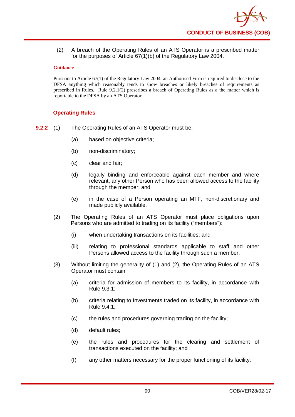(2) A breach of the Operating Rules of an ATS Operator is a prescribed matter for the purposes of Article 67(1)(b) of the Regulatory Law 2004.

## **Guidance**

Pursuant to Article 67(1) of the Regulatory Law 2004, an Authorised Firm is required to disclose to the DFSA anything which reasonably tends to show breaches or likely breaches of requirements as prescribed in Rules. Rule 9.2.1(2) prescribes a breach of Operating Rules as a the matter which is reportable to the DFSA by an ATS Operator.

## **Operating Rules**

- **9.2.2** (1) The Operating Rules of an ATS Operator must be:
	- (a) based on objective criteria;
	- (b) non-discriminatory;
	- (c) clear and fair;
	- (d) legally binding and enforceable against each member and where relevant, any other Person who has been allowed access to the facility through the member; and
	- (e) in the case of a Person operating an MTF, non-discretionary and made publicly available.
	- (2) The Operating Rules of an ATS Operator must place obligations upon Persons who are admitted to trading on its facility ("members"):
		- (i) when undertaking transactions on its facilities; and
		- (iii) relating to professional standards applicable to staff and other Persons allowed access to the facility through such a member.
	- (3) Without limiting the generality of (1) and (2), the Operating Rules of an ATS Operator must contain:
		- (a) criteria for admission of members to its facility, in accordance with Rule 9.3.1;
		- (b) criteria relating to Investments traded on its facility, in accordance with Rule 9.4.1;
		- (c) the rules and procedures governing trading on the facility;
		- (d) default rules;
		- (e) the rules and procedures for the clearing and settlement of transactions executed on the facility; and
		- (f) any other matters necessary for the proper functioning of its facility.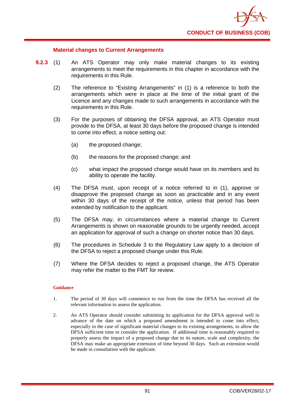

## **Material changes to Current Arrangements**

- **9.2.3** (1) An ATS Operator may only make material changes to its existing arrangements to meet the requirements in this chapter in accordance with the requirements in this Rule.
	- (2) The reference to "Existing Arrangements" in (1) is a reference to both the arrangements which were in place at the time of the initial grant of the Licence and any changes made to such arrangements in accordance with the requirements in this Rule.
	- (3) For the purposes of obtaining the DFSA approval, an ATS Operator must provide to the DFSA, at least 30 days before the proposed change is intended to come into effect, a notice setting out:
		- (a) the proposed change;
		- (b) the reasons for the proposed change; and
		- (c) what impact the proposed change would have on its members and its ability to operate the facility.
	- (4) The DFSA must, upon receipt of a notice referred to in (1), approve or disapprove the proposed change as soon as practicable and in any event within 30 days of the receipt of the notice, unless that period has been extended by notification to the applicant.
	- (5) The DFSA may, in circumstances where a material change to Current Arrangements is shown on reasonable grounds to be urgently needed, accept an application for approval of such a change on shorter notice than 30 days.
	- (6) The procedures in Schedule 3 to the Regulatory Law apply to a decision of the DFSA to reject a proposed change under this Rule.
	- (7) Where the DFSA decides to reject a proposed change, the ATS Operator may refer the matter to the FMT for review.

#### **Guidance**

- 1. The period of 30 days will commence to run from the time the DFSA has received all the relevant information to assess the application.
- 2. An ATS Operator should consider submitting its application for the DFSA approval well in advance of the date on which a proposed amendment is intended to come into effect, especially in the case of significant material changes to its existing arrangements, to allow the DFSA sufficient time to consider the application. If additional time is reasonably required to properly assess the impact of a proposed change due to its nature, scale and complexity, the DFSA may make an appropriate extension of time beyond 30 days. Such an extension would be made in consultation with the applicant.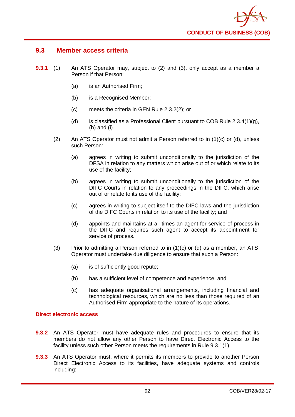

## **9.3 Member access criteria**

- **9.3.1** (1) An ATS Operator may, subject to (2) and (3), only accept as a member a Person if that Person:
	- (a) is an Authorised Firm;
	- (b) is a Recognised Member;
	- (c) meets the criteria in GEN Rule 2.3.2(2); or
	- (d) is classified as a Professional Client pursuant to COB Rule  $2.3.4(1)(g)$ , (h) and (i).
	- (2) An ATS Operator must not admit a Person referred to in (1)(c) or (d), unless such Person:
		- (a) agrees in writing to submit unconditionally to the jurisdiction of the DFSA in relation to any matters which arise out of or which relate to its use of the facility;
		- (b) agrees in writing to submit unconditionally to the jurisdiction of the DIFC Courts in relation to any proceedings in the DIFC, which arise out of or relate to its use of the facility;
		- (c) agrees in writing to subject itself to the DIFC laws and the jurisdiction of the DIFC Courts in relation to its use of the facility; and
		- (d) appoints and maintains at all times an agent for service of process in the DIFC and requires such agent to accept its appointment for service of process.
	- (3) Prior to admitting a Person referred to in  $(1)(c)$  or  $(d)$  as a member, an ATS Operator must undertake due diligence to ensure that such a Person:
		- (a) is of sufficiently good repute;
		- (b) has a sufficient level of competence and experience; and
		- (c) has adequate organisational arrangements, including financial and technological resources, which are no less than those required of an Authorised Firm appropriate to the nature of its operations.

## **Direct electronic access**

- **9.3.2** An ATS Operator must have adequate rules and procedures to ensure that its members do not allow any other Person to have Direct Electronic Access to the facility unless such other Person meets the requirements in Rule 9.3.1(1).
- **9.3.3** An ATS Operator must, where it permits its members to provide to another Person Direct Electronic Access to its facilities, have adequate systems and controls including: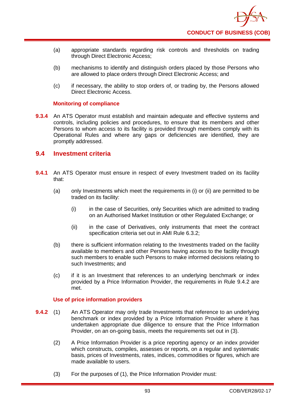- (a) appropriate standards regarding risk controls and thresholds on trading through Direct Electronic Access;
- (b) mechanisms to identify and distinguish orders placed by those Persons who are allowed to place orders through Direct Electronic Access; and
- (c) if necessary, the ability to stop orders of, or trading by, the Persons allowed Direct Electronic Access.

## **Monitoring of compliance**

**9.3.4** An ATS Operator must establish and maintain adequate and effective systems and controls, including policies and procedures, to ensure that its members and other Persons to whom access to its facility is provided through members comply with its Operational Rules and where any gaps or deficiencies are identified, they are promptly addressed.

# **9.4 Investment criteria**

- **9.4.1** An ATS Operator must ensure in respect of every Investment traded on its facility that:
	- (a) only Investments which meet the requirements in (i) or (ii) are permitted to be traded on its facility:
		- (i) in the case of Securities, only Securities which are admitted to trading on an Authorised Market Institution or other Regulated Exchange; or
		- (ii) in the case of Derivatives, only instruments that meet the contract specification criteria set out in AMI Rule 6.3.2;
	- (b) there is sufficient information relating to the Investments traded on the facility available to members and other Persons having access to the facility through such members to enable such Persons to make informed decisions relating to such Investments; and
	- (c) if it is an Investment that references to an underlying benchmark or index provided by a Price Information Provider, the requirements in Rule 9.4.2 are met.

## **Use of price information providers**

- **9.4.2** (1) An ATS Operator may only trade Investments that reference to an underlying benchmark or index provided by a Price Information Provider where it has undertaken appropriate due diligence to ensure that the Price Information Provider, on an on-going basis, meets the requirements set out in (3).
	- (2) A Price Information Provider is a price reporting agency or an index provider which constructs, compiles, assesses or reports, on a regular and systematic basis, prices of Investments, rates, indices, commodities or figures, which are made available to users.
	- (3) For the purposes of (1), the Price Information Provider must: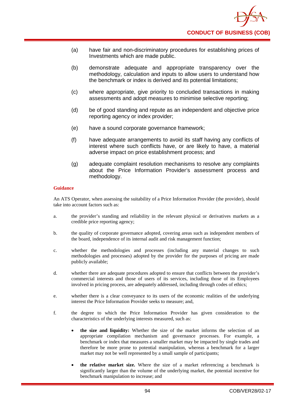- (a) have fair and non-discriminatory procedures for establishing prices of Investments which are made public.
- (b) demonstrate adequate and appropriate transparency over the methodology, calculation and inputs to allow users to understand how the benchmark or index is derived and its potential limitations;
- (c) where appropriate, give priority to concluded transactions in making assessments and adopt measures to minimise selective reporting;
- (d) be of good standing and repute as an independent and objective price reporting agency or index provider;
- (e) have a sound corporate governance framework;
- (f) have adequate arrangements to avoid its staff having any conflicts of interest where such conflicts have, or are likely to have, a material adverse impact on price establishment process; and
- (g) adequate complaint resolution mechanisms to resolve any complaints about the Price Information Provider's assessment process and methodology.

An ATS Operator, when assessing the suitability of a Price Information Provider (the provider), should take into account factors such as:

- a. the provider's standing and reliability in the relevant physical or derivatives markets as a credible price reporting agency;
- b. the quality of corporate governance adopted, covering areas such as independent members of the board, independence of its internal audit and risk management function;
- c. whether the methodologies and processes (including any material changes to such methodologies and processes) adopted by the provider for the purposes of pricing are made publicly available;
- d. whether there are adequate procedures adopted to ensure that conflicts between the provider's commercial interests and those of users of its services, including those of its Employees involved in pricing process, are adequately addressed, including through codes of ethics;
- e. whether there is a clear conveyance to its users of the economic realities of the underlying interest the Price Information Provider seeks to measure; and,
- f. the degree to which the Price Information Provider has given consideration to the characteristics of the underlying interests measured, such as:
	- **the size and liquidity:** Whether the size of the market informs the selection of an appropriate compilation mechanism and governance processes. For example, a benchmark or index that measures a smaller market may be impacted by single trades and therefore be more prone to potential manipulation, whereas a benchmark for a larger market may not be well represented by a small sample of participants;
	- **the relative market size.** Where the size of a market referencing a benchmark is significantly larger than the volume of the underlying market, the potential incentive for benchmark manipulation to increase; and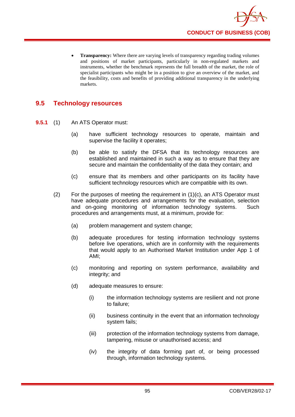

**Transparency:** Where there are varying levels of transparency regarding trading volumes and positions of market participants, particularly in non-regulated markets and instruments, whether the benchmark represents the full breadth of the market, the role of specialist participants who might be in a position to give an overview of the market, and the feasibility, costs and benefits of providing additional transparency in the underlying markets.

# **9.5 Technology resources**

- **9.5.1** (1) An ATS Operator must:
	- (a) have sufficient technology resources to operate, maintain and supervise the facility it operates;
	- (b) be able to satisfy the DFSA that its technology resources are established and maintained in such a way as to ensure that they are secure and maintain the confidentiality of the data they contain; and
	- (c) ensure that its members and other participants on its facility have sufficient technology resources which are compatible with its own.
	- (2) For the purposes of meeting the requirement in (1)(c), an ATS Operator must have adequate procedures and arrangements for the evaluation, selection and on-going monitoring of information technology systems. Such procedures and arrangements must, at a minimum, provide for:
		- (a) problem management and system change;
		- (b) adequate procedures for testing information technology systems before live operations, which are in conformity with the requirements that would apply to an Authorised Market Institution under App 1 of AMI;
		- (c) monitoring and reporting on system performance, availability and integrity; and
		- (d) adequate measures to ensure:
			- (i) the information technology systems are resilient and not prone to failure;
			- (ii) business continuity in the event that an information technology system fails;
			- (iii) protection of the information technology systems from damage, tampering, misuse or unauthorised access; and
			- (iv) the integrity of data forming part of, or being processed through, information technology systems.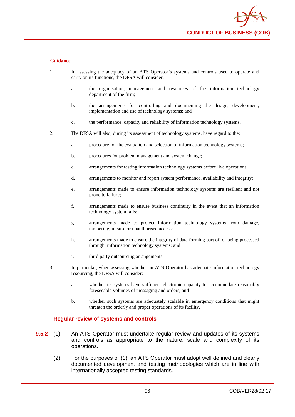

- 1. In assessing the adequacy of an ATS Operator's systems and controls used to operate and carry on its functions, the DFSA will consider:
	- a. the organisation, management and resources of the information technology department of the firm;
	- b. the arrangements for controlling and documenting the design, development, implementation and use of technology systems; and
	- c. the performance, capacity and reliability of information technology systems.
- 2. The DFSA will also, during its assessment of technology systems, have regard to the:
	- a. procedure for the evaluation and selection of information technology systems;
	- b. procedures for problem management and system change;
	- c. arrangements for testing information technology systems before live operations;
	- d. arrangements to monitor and report system performance, availability and integrity;
	- e. arrangements made to ensure information technology systems are resilient and not prone to failure;
	- f. arrangements made to ensure business continuity in the event that an information technology system fails;
	- g arrangements made to protect information technology systems from damage, tampering, misuse or unauthorised access;
	- h. arrangements made to ensure the integrity of data forming part of, or being processed through, information technology systems; and
	- i. third party outsourcing arrangements.
- 3. In particular, when assessing whether an ATS Operator has adequate information technology resourcing, the DFSA will consider:
	- a. whether its systems have sufficient electronic capacity to accommodate reasonably foreseeable volumes of messaging and orders, and
	- b. whether such systems are adequately scalable in emergency conditions that might threaten the orderly and proper operations of its facility.

#### **Regular review of systems and controls**

- **9.5.2** (1) An ATS Operator must undertake regular review and updates of its systems and controls as appropriate to the nature, scale and complexity of its operations.
	- (2) For the purposes of (1), an ATS Operator must adopt well defined and clearly documented development and testing methodologies which are in line with internationally accepted testing standards.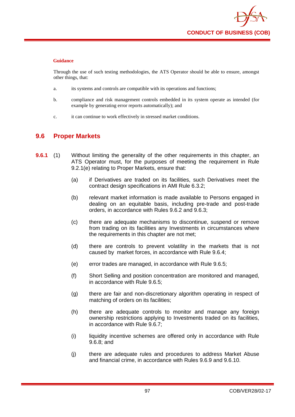Through the use of such testing methodologies, the ATS Operator should be able to ensure, amongst other things, that:

- a. its systems and controls are compatible with its operations and functions;
- b. compliance and risk management controls embedded in its system operate as intended (for example by generating error reports automatically); and
- c. it can continue to work effectively in stressed market conditions.

# **9.6 Proper Markets**

- **9.6.1** (1) Without limiting the generality of the other requirements in this chapter, an ATS Operator must, for the purposes of meeting the requirement in Rule 9.2.1(e) relating to Proper Markets, ensure that:
	- (a) if Derivatives are traded on its facilities, such Derivatives meet the contract design specifications in AMI Rule 6.3.2;
	- (b) relevant market information is made available to Persons engaged in dealing on an equitable basis, including pre-trade and post-trade orders, in accordance with Rules 9.6.2 and 9.6.3;
	- (c) there are adequate mechanisms to discontinue, suspend or remove from trading on its facilities any Investments in circumstances where the requirements in this chapter are not met;
	- (d) there are controls to prevent volatility in the markets that is not caused by market forces, in accordance with Rule 9.6.4;
	- (e) error trades are managed, in accordance with Rule 9.6.5;
	- (f) Short Selling and position concentration are monitored and managed, in accordance with Rule 9.6.5;
	- (g) there are fair and non-discretionary algorithm operating in respect of matching of orders on its facilities;
	- (h) there are adequate controls to monitor and manage any foreign ownership restrictions applying to Investments traded on its facilities, in accordance with Rule 9.6.7;
	- (i) liquidity incentive schemes are offered only in accordance with Rule 9.6.8; and
	- (j) there are adequate rules and procedures to address Market Abuse and financial crime, in accordance with Rules 9.6.9 and 9.6.10.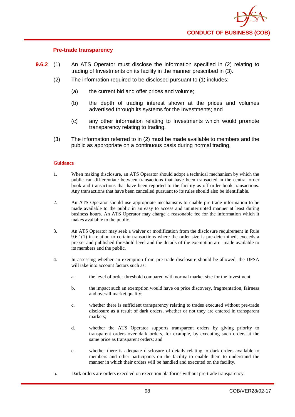

## **Pre-trade transparency**

- **9.6.2** (1) An ATS Operator must disclose the information specified in (2) relating to trading of Investments on its facility in the manner prescribed in (3).
	- (2) The information required to be disclosed pursuant to (1) includes:
		- (a) the current bid and offer prices and volume;
		- (b) the depth of trading interest shown at the prices and volumes advertised through its systems for the Investments; and
		- (c) any other information relating to Investments which would promote transparency relating to trading.
	- (3) The information referred to in (2) must be made available to members and the public as appropriate on a continuous basis during normal trading.

#### **Guidance**

- 1. When making disclosure, an ATS Operator should adopt a technical mechanism by which the public can differentiate between transactions that have been transacted in the central order book and transactions that have been reported to the facility as off-order book transactions. Any transactions that have been cancelled pursuant to its rules should also be identifiable.
- 2. An ATS Operator should use appropriate mechanisms to enable pre-trade information to be made available to the public in an easy to access and uninterrupted manner at least during business hours. An ATS Operator may charge a reasonable fee for the information which it makes available to the public.
- 3. An ATS Operator may seek a waiver or modification from the disclosure requirement in Rule  $9.6.1(1)$  in relation to certain transactions where the order size is pre-determined, exceeds a pre-set and published threshold level and the details of the exemption are made available to its members and the public.
- 4. In assessing whether an exemption from pre-trade disclosure should be allowed, the DFSA will take into account factors such as:
	- a. the level of order threshold compared with normal market size for the Investment;
	- b. the impact such an exemption would have on price discovery, fragmentation, fairness and overall market quality;
	- c. whether there is sufficient transparency relating to trades executed without pre-trade disclosure as a result of dark orders, whether or not they are entered in transparent markets;
	- d. whether the ATS Operator supports transparent orders by giving priority to transparent orders over dark orders, for example, by executing such orders at the same price as transparent orders; and
	- e. whether there is adequate disclosure of details relating to dark orders available to members and other participants on the facility to enable them to understand the manner in which their orders will be handled and executed on the facility.
- 5. Dark orders are orders executed on execution platforms without pre-trade transparency.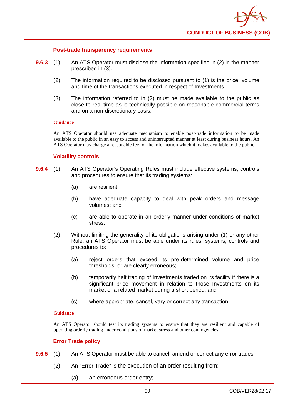

### **Post-trade transparency requirements**

- **9.6.3** (1) An ATS Operator must disclose the information specified in (2) in the manner prescribed in (3).
	- (2) The information required to be disclosed pursuant to (1) is the price, volume and time of the transactions executed in respect of Investments.
	- (3) The information referred to in (2) must be made available to the public as close to real-time as is technically possible on reasonable commercial terms and on a non-discretionary basis.

#### **Guidance**

An ATS Operator should use adequate mechanism to enable post-trade information to be made available to the public in an easy to access and uninterrupted manner at least during business hours. An ATS Operator may charge a reasonable fee for the information which it makes available to the public.

## **Volatility controls**

- **9.6.4** (1) An ATS Operator's Operating Rules must include effective systems, controls and procedures to ensure that its trading systems:
	- (a) are resilient;
	- (b) have adequate capacity to deal with peak orders and message volumes; and
	- (c) are able to operate in an orderly manner under conditions of market stress.
	- (2) Without limiting the generality of its obligations arising under (1) or any other Rule, an ATS Operator must be able under its rules, systems, controls and procedures to:
		- (a) reject orders that exceed its pre-determined volume and price thresholds, or are clearly erroneous;
		- (b) temporarily halt trading of Investments traded on its facility if there is a significant price movement in relation to those Investments on its market or a related market during a short period; and
		- (c) where appropriate, cancel, vary or correct any transaction.

### **Guidance**

An ATS Operator should test its trading systems to ensure that they are resilient and capable of operating orderly trading under conditions of market stress and other contingencies.

## **Error Trade policy**

- **9.6.5** (1) An ATS Operator must be able to cancel, amend or correct any error trades.
	- (2) An "Error Trade" is the execution of an order resulting from:
		- (a) an erroneous order entry;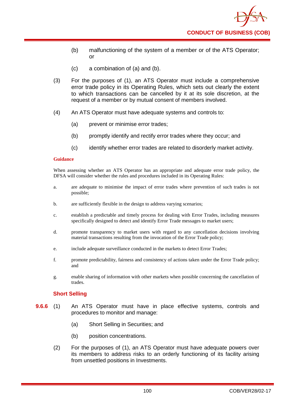- (b) malfunctioning of the system of a member or of the ATS Operator; or
- (c) a combination of (a) and (b).
- (3) For the purposes of (1), an ATS Operator must include a comprehensive error trade policy in its Operating Rules, which sets out clearly the extent to which transactions can be cancelled by it at its sole discretion, at the request of a member or by mutual consent of members involved.
- (4) An ATS Operator must have adequate systems and controls to:
	- (a) prevent or minimise error trades;
	- (b) promptly identify and rectify error trades where they occur; and
	- (c) identify whether error trades are related to disorderly market activity.

When assessing whether an ATS Operator has an appropriate and adequate error trade policy, the DFSA will consider whether the rules and procedures included in its Operating Rules:

- a. are adequate to minimise the impact of error trades where prevention of such trades is not possible;
- b. are sufficiently flexible in the design to address varying scenarios;
- c. establish a predictable and timely process for dealing with Error Trades, including measures specifically designed to detect and identify Error Trade messages to market users;
- d. promote transparency to market users with regard to any cancellation decisions involving material transactions resulting from the invocation of the Error Trade policy;
- e. include adequate surveillance conducted in the markets to detect Error Trades;
- f. promote predictability, fairness and consistency of actions taken under the Error Trade policy; and
- g. enable sharing of information with other markets when possible concerning the cancellation of trades.

## **Short Selling**

- **9.6.6** (1) An ATS Operator must have in place effective systems, controls and procedures to monitor and manage:
	- (a) Short Selling in Securities; and
	- (b) position concentrations.
	- (2) For the purposes of (1), an ATS Operator must have adequate powers over its members to address risks to an orderly functioning of its facility arising from unsettled positions in Investments.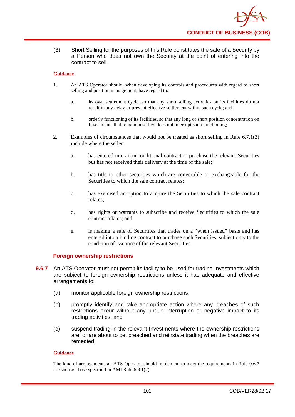

(3) Short Selling for the purposes of this Rule constitutes the sale of a Security by a Person who does not own the Security at the point of entering into the contract to sell.

### **Guidance**

- 1. An ATS Operator should, when developing its controls and procedures with regard to short selling and position management, have regard to:
	- a. its own settlement cycle, so that any short selling activities on its facilities do not result in any delay or prevent effective settlement within such cycle; and
	- b. orderly functioning of its facilities, so that any long or short position concentration on Investments that remain unsettled does not interrupt such functioning;
- 2. Examples of circumstances that would not be treated as short selling in Rule 6.7.1(3) include where the seller:
	- a. has entered into an unconditional contract to purchase the relevant Securities but has not received their delivery at the time of the sale;
	- b. has title to other securities which are convertible or exchangeable for the Securities to which the sale contract relates:
	- c. has exercised an option to acquire the Securities to which the sale contract relates;
	- d. has rights or warrants to subscribe and receive Securities to which the sale contract relates; and
	- e. is making a sale of Securities that trades on a "when issued" basis and has entered into a binding contract to purchase such Securities, subject only to the condition of issuance of the relevant Securities.

## **Foreign ownership restrictions**

- **9.6.7** An ATS Operator must not permit its facility to be used for trading Investments which are subject to foreign ownership restrictions unless it has adequate and effective arrangements to:
	- (a) monitor applicable foreign ownership restrictions;
	- (b) promptly identify and take appropriate action where any breaches of such restrictions occur without any undue interruption or negative impact to its trading activities; and
	- (c) suspend trading in the relevant Investments where the ownership restrictions are, or are about to be, breached and reinstate trading when the breaches are remedied.

#### **Guidance**

The kind of arrangements an ATS Operator should implement to meet the requirements in Rule 9.6.7 are such as those specified in AMI Rule 6.8.1(2).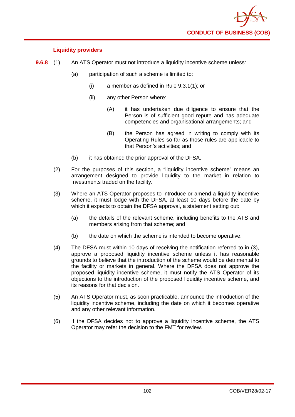

## **Liquidity providers**

- **9.6.8** (1) An ATS Operator must not introduce a liquidity incentive scheme unless:
	- (a) participation of such a scheme is limited to:
		- (i) a member as defined in Rule 9.3.1(1); or
		- (ii) any other Person where:
			- (A) it has undertaken due diligence to ensure that the Person is of sufficient good repute and has adequate competencies and organisational arrangements; and
			- (B) the Person has agreed in writing to comply with its Operating Rules so far as those rules are applicable to that Person's activities; and
	- (b) it has obtained the prior approval of the DFSA.
	- (2) For the purposes of this section, a "liquidity incentive scheme" means an arrangement designed to provide liquidity to the market in relation to Investments traded on the facility.
	- (3) Where an ATS Operator proposes to introduce or amend a liquidity incentive scheme, it must lodge with the DFSA, at least 10 days before the date by which it expects to obtain the DFSA approval, a statement setting out:
		- (a) the details of the relevant scheme, including benefits to the ATS and members arising from that scheme; and
		- (b) the date on which the scheme is intended to become operative.
	- (4) The DFSA must within 10 days of receiving the notification referred to in (3), approve a proposed liquidity incentive scheme unless it has reasonable grounds to believe that the introduction of the scheme would be detrimental to the facility or markets in general. Where the DFSA does not approve the proposed liquidity incentive scheme, it must notify the ATS Operator of its objections to the introduction of the proposed liquidity incentive scheme, and its reasons for that decision.
	- (5) An ATS Operator must, as soon practicable, announce the introduction of the liquidity incentive scheme, including the date on which it becomes operative and any other relevant information.
	- (6) If the DFSA decides not to approve a liquidity incentive scheme, the ATS Operator may refer the decision to the FMT for review.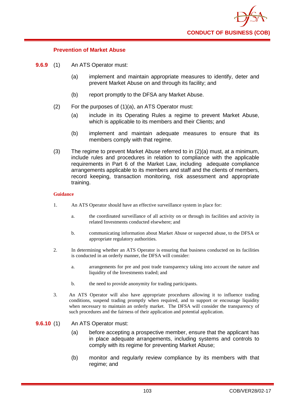

## **Prevention of Market Abuse**

- **9.6.9** (1) An ATS Operator must:
	- (a) implement and maintain appropriate measures to identify, deter and prevent Market Abuse on and through its facility; and
	- (b) report promptly to the DFSA any Market Abuse.
	- (2) For the purposes of (1)(a), an ATS Operator must:
		- (a) include in its Operating Rules a regime to prevent Market Abuse, which is applicable to its members and their Clients; and
		- (b) implement and maintain adequate measures to ensure that its members comply with that regime.
	- (3) The regime to prevent Market Abuse referred to in (2)(a) must, at a minimum, include rules and procedures in relation to compliance with the applicable requirements in Part 6 of the Market Law, including adequate compliance arrangements applicable to its members and staff and the clients of members, record keeping, transaction monitoring, risk assessment and appropriate training.

### **Guidance**

- 1. An ATS Operator should have an effective surveillance system in place for:
	- a. the coordinated surveillance of all activity on or through its facilities and activity in related Investments conducted elsewhere; and
	- b. communicating information about Market Abuse or suspected abuse, to the DFSA or appropriate regulatory authorities.
- 2. In determining whether an ATS Operator is ensuring that business conducted on its facilities is conducted in an orderly manner, the DFSA will consider:
	- a. arrangements for pre and post trade transparency taking into account the nature and liquidity of the Investments traded; and
	- b. the need to provide anonymity for trading participants.
- 3. An ATS Operator will also have appropriate procedures allowing it to influence trading conditions, suspend trading promptly when required, and to support or encourage liquidity when necessary to maintain an orderly market. The DFSA will consider the transparency of such procedures and the fairness of their application and potential application.
- **9.6.10** (1) An ATS Operator must:
	- (a) before accepting a prospective member, ensure that the applicant has in place adequate arrangements, including systems and controls to comply with its regime for preventing Market Abuse;
	- (b) monitor and regularly review compliance by its members with that regime; and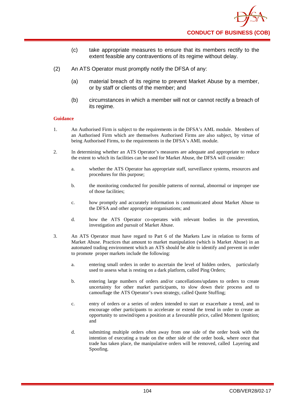- (c) take appropriate measures to ensure that its members rectify to the extent feasible any contraventions of its regime without delay.
- (2) An ATS Operator must promptly notify the DFSA of any:
	- (a) material breach of its regime to prevent Market Abuse by a member, or by staff or clients of the member; and
	- (b) circumstances in which a member will not or cannot rectify a breach of its regime.

- 1. An Authorised Firm is subject to the requirements in the DFSA's AML module. Members of an Authorised Firm which are themselves Authorised Firms are also subject, by virtue of being Authorised Firms, to the requirements in the DFSA's AML module.
- 2. In determining whether an ATS Operator's measures are adequate and appropriate to reduce the extent to which its facilities can be used for Market Abuse, the DFSA will consider:
	- a. whether the ATS Operator has appropriate staff, surveillance systems, resources and procedures for this purpose;
	- b. the monitoring conducted for possible patterns of normal, abnormal or improper use of those facilities;
	- c. how promptly and accurately information is communicated about Market Abuse to the DFSA and other appropriate organisations; and
	- d. how the ATS Operator co-operates with relevant bodies in the prevention, investigation and pursuit of Market Abuse.
- 3. An ATS Operator must have regard to Part 6 of the Markets Law in relation to forms of Market Abuse. Practices that amount to market manipulation (which is Market Abuse) in an automated trading environment which an ATS should be able to identify and prevent in order to promote proper markets include the following:
	- a. entering small orders in order to ascertain the level of hidden orders, particularly used to assess what is resting on a dark platform, called Ping Orders;
	- b. entering large numbers of orders and/or cancellations/updates to orders to create uncertainty for other market participants, to slow down their process and to camouflage the ATS Operator's own strategy, called Quote Stuffing;
	- c. entry of orders or a series of orders intended to start or exacerbate a trend, and to encourage other participants to accelerate or extend the trend in order to create an opportunity to unwind/open a position at a favourable price, called Moment Ignition; and
	- d. submitting multiple orders often away from one side of the order book with the intention of executing a trade on the other side of the order book, where once that trade has taken place, the manipulative orders will be removed, called Layering and Spoofing.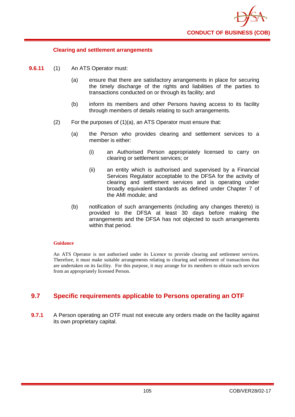

### **Clearing and settlement arrangements**

- **9.6.11** (1) An ATS Operator must:
	- (a) ensure that there are satisfactory arrangements in place for securing the timely discharge of the rights and liabilities of the parties to transactions conducted on or through its facility; and
	- (b) inform its members and other Persons having access to its facility through members of details relating to such arrangements.
	- (2) For the purposes of (1)(a), an ATS Operator must ensure that:
		- (a) the Person who provides clearing and settlement services to a member is either:
			- (i) an Authorised Person appropriately licensed to carry on clearing or settlement services; or
			- (ii) an entity which is authorised and supervised by a Financial Services Regulator acceptable to the DFSA for the activity of clearing and settlement services and is operating under broadly equivalent standards as defined under Chapter 7 of the AMI module; and
		- (b) notification of such arrangements (including any changes thereto) is provided to the DFSA at least 30 days before making the arrangements and the DFSA has not objected to such arrangements within that period.

#### **Guidance**

An ATS Operator is not authorised under its Licence to provide clearing and settlement services. Therefore, it must make suitable arrangements relating to clearing and settlement of transactions that are undertaken on its facility. For this purpose, it may arrange for its members to obtain such services from an appropriately licensed Person.

### **9.7 Specific requirements applicable to Persons operating an OTF**

**9.7.1** A Person operating an OTF must not execute any orders made on the facility against its own proprietary capital.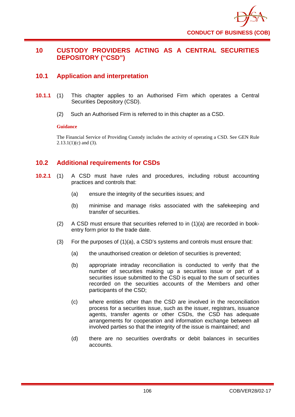

# **10 CUSTODY PROVIDERS ACTING AS A CENTRAL SECURITIES DEPOSITORY ("CSD")**

# **10.1 Application and interpretation**

- **10.1.1** (1) This chapter applies to an Authorised Firm which operates a Central Securities Depository (CSD).
	- (2) Such an Authorised Firm is referred to in this chapter as a CSD.

### **Guidance**

The Financial Service of Providing Custody includes the activity of operating a CSD. See GEN Rule  $2.13.1(1)(c)$  and (3).

# **10.2 Additional requirements for CSDs**

- **10.2.1** (1) A CSD must have rules and procedures, including robust accounting practices and controls that:
	- (a) ensure the integrity of the securities issues; and
	- (b) minimise and manage risks associated with the safekeeping and transfer of securities.
	- (2) A CSD must ensure that securities referred to in (1)(a) are recorded in bookentry form prior to the trade date.
	- (3) For the purposes of (1)(a), a CSD's systems and controls must ensure that:
		- (a) the unauthorised creation or deletion of securities is prevented;
		- (b) appropriate intraday reconciliation is conducted to verify that the number of securities making up a securities issue or part of a securities issue submitted to the CSD is equal to the sum of securities recorded on the securities accounts of the Members and other participants of the CSD;
		- (c) where entities other than the CSD are involved in the reconciliation process for a securities issue, such as the issuer, registrars, issuance agents, transfer agents or other CSDs, the CSD has adequate arrangements for cooperation and information exchange between all involved parties so that the integrity of the issue is maintained; and
		- (d) there are no securities overdrafts or debit balances in securities accounts.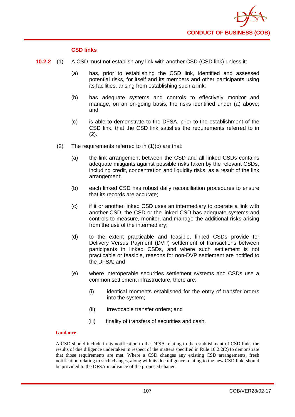

### **CSD links**

- **10.2.2** (1) A CSD must not establish any link with another CSD (CSD link) unless it:
	- (a) has, prior to establishing the CSD link, identified and assessed potential risks, for itself and its members and other participants using its facilities, arising from establishing such a link:
	- (b) has adequate systems and controls to effectively monitor and manage, on an on-going basis, the risks identified under (a) above; and
	- (c) is able to demonstrate to the DFSA, prior to the establishment of the CSD link, that the CSD link satisfies the requirements referred to in (2).
	- (2) The requirements referred to in (1)(c) are that:
		- (a) the link arrangement between the CSD and all linked CSDs contains adequate mitigants against possible risks taken by the relevant CSDs, including credit, concentration and liquidity risks, as a result of the link arrangement;
		- (b) each linked CSD has robust daily reconciliation procedures to ensure that its records are accurate;
		- (c) if it or another linked CSD uses an intermediary to operate a link with another CSD, the CSD or the linked CSD has adequate systems and controls to measure, monitor, and manage the additional risks arising from the use of the intermediary;
		- (d) to the extent practicable and feasible, linked CSDs provide for Delivery Versus Payment (DVP) settlement of transactions between participants in linked CSDs, and where such settlement is not practicable or feasible, reasons for non-DVP settlement are notified to the DFSA; and
		- (e) where interoperable securities settlement systems and CSDs use a common settlement infrastructure, there are:
			- (i) identical moments established for the entry of transfer orders into the system;
			- (ii) irrevocable transfer orders; and
			- (iii) finality of transfers of securities and cash.

### **Guidance**

A CSD should include in its notification to the DFSA relating to the establishment of CSD links the results of due diligence undertaken in respect of the matters specified in Rule 10.2.2(2) to demonstrate that those requirements are met. Where a CSD changes any existing CSD arrangements, fresh notification relating to such changes, along with its due diligence relating to the new CSD link, should be provided to the DFSA in advance of the proposed change.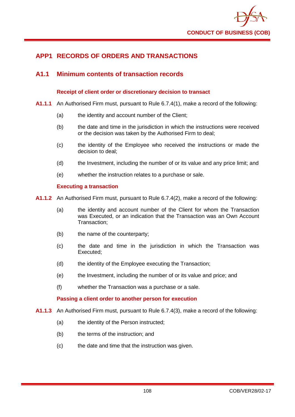

# **APP1 RECORDS OF ORDERS AND TRANSACTIONS**

## **A1.1 Minimum contents of transaction records**

### **Receipt of client order or discretionary decision to transact**

- **A1.1.1** An Authorised Firm must, pursuant to Rule 6.7.4(1), make a record of the following:
	- (a) the identity and account number of the Client;
	- (b) the date and time in the jurisdiction in which the instructions were received or the decision was taken by the Authorised Firm to deal;
	- (c) the identity of the Employee who received the instructions or made the decision to deal;
	- (d) the Investment, including the number of or its value and any price limit; and
	- (e) whether the instruction relates to a purchase or sale.

### **Executing a transaction**

- **A1.1.2** An Authorised Firm must, pursuant to Rule 6.7.4(2), make a record of the following:
	- (a) the identity and account number of the Client for whom the Transaction was Executed, or an indication that the Transaction was an Own Account Transaction;
	- (b) the name of the counterparty;
	- (c) the date and time in the jurisdiction in which the Transaction was Executed;
	- (d) the identity of the Employee executing the Transaction;
	- (e) the Investment, including the number of or its value and price; and
	- (f) whether the Transaction was a purchase or a sale.

### **Passing a client order to another person for execution**

- **A1.1.3** An Authorised Firm must, pursuant to Rule 6.7.4(3), make a record of the following:
	- (a) the identity of the Person instructed;
	- (b) the terms of the instruction; and
	- (c) the date and time that the instruction was given.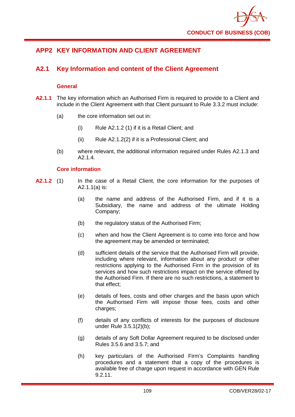

# **APP2 KEY INFORMATION AND CLIENT AGREEMENT**

# **A2.1 Key Information and content of the Client Agreement**

### **General**

- **A2.1.1** The key information which an Authorised Firm is required to provide to a Client and include in the Client Agreement with that Client pursuant to Rule 3.3.2 must include:
	- (a) the core information set out in:
		- (i) Rule A2.1.2 (1) if it is a Retail Client; and
		- (ii) Rule A2.1.2(2) if it is a Professional Client; and
	- (b) where relevant, the additional information required under Rules A2.1.3 and A2.1.4.

### **Core information**

- **A2.1.2** (1) In the case of a Retail Client, the core information for the purposes of A2.1.1(a) is:
	- (a) the name and address of the Authorised Firm, and if it is a Subsidiary, the name and address of the ultimate Holding Company;
	- (b) the regulatory status of the Authorised Firm;
	- (c) when and how the Client Agreement is to come into force and how the agreement may be amended or terminated;
	- (d) sufficient details of the service that the Authorised Firm will provide, including where relevant, information about any product or other restrictions applying to the Authorised Firm in the provision of its services and how such restrictions impact on the service offered by the Authorised Firm. If there are no such restrictions, a statement to that effect;
	- (e) details of fees, costs and other charges and the basis upon which the Authorised Firm will impose those fees, costs and other charges;
	- (f) details of any conflicts of interests for the purposes of disclosure under Rule 3.5.1(2)(b);
	- (g) details of any Soft Dollar Agreement required to be disclosed under Rules 3.5.6 and 3.5.7; and
	- (h) key particulars of the Authorised Firm's Complaints handling procedures and a statement that a copy of the procedures is available free of charge upon request in accordance with GEN Rule 9.2.11.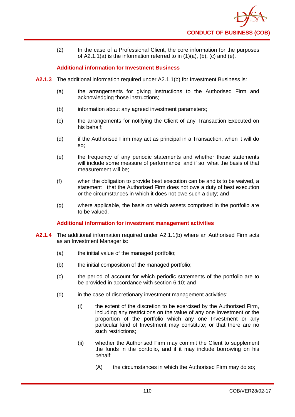

(2) In the case of a Professional Client, the core information for the purposes of  $A2.1.1(a)$  is the information referred to in  $(1)(a)$ ,  $(b)$ ,  $(c)$  and  $(e)$ .

### **Additional information for Investment Business**

- **A2.1.3** The additional information required under A2.1.1(b) for Investment Business is:
	- (a) the arrangements for giving instructions to the Authorised Firm and acknowledging those instructions;
	- (b) information about any agreed investment parameters;
	- (c) the arrangements for notifying the Client of any Transaction Executed on his behalf;
	- (d) if the Authorised Firm may act as principal in a Transaction, when it will do so;
	- (e) the frequency of any periodic statements and whether those statements will include some measure of performance, and if so, what the basis of that measurement will be;
	- (f) when the obligation to provide best execution can be and is to be waived, a statement that the Authorised Firm does not owe a duty of best execution or the circumstances in which it does not owe such a duty; and
	- (g) where applicable, the basis on which assets comprised in the portfolio are to be valued.

### **Additional information for investment management activities**

- **A2.1.4** The additional information required under A2.1.1(b) where an Authorised Firm acts as an Investment Manager is:
	- (a) the initial value of the managed portfolio;
	- (b) the initial composition of the managed portfolio;
	- (c) the period of account for which periodic statements of the portfolio are to be provided in accordance with section 6.10; and
	- (d) in the case of discretionary investment management activities:
		- (i) the extent of the discretion to be exercised by the Authorised Firm, including any restrictions on the value of any one Investment or the proportion of the portfolio which any one Investment or any particular kind of Investment may constitute; or that there are no such restrictions;
		- (ii) whether the Authorised Firm may commit the Client to supplement the funds in the portfolio, and if it may include borrowing on his behalf:
			- (A) the circumstances in which the Authorised Firm may do so;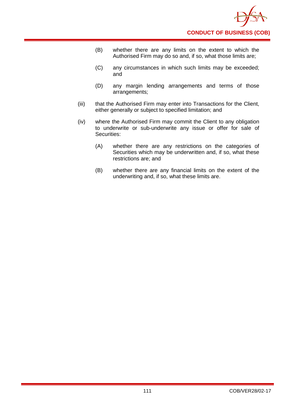- (B) whether there are any limits on the extent to which the Authorised Firm may do so and, if so, what those limits are;
- (C) any circumstances in which such limits may be exceeded; and
- (D) any margin lending arrangements and terms of those arrangements;
- (iii) that the Authorised Firm may enter into Transactions for the Client, either generally or subject to specified limitation; and
- (iv) where the Authorised Firm may commit the Client to any obligation to underwrite or sub-underwrite any issue or offer for sale of Securities:
	- (A) whether there are any restrictions on the categories of Securities which may be underwritten and, if so, what these restrictions are; and
	- (B) whether there are any financial limits on the extent of the underwriting and, if so, what these limits are.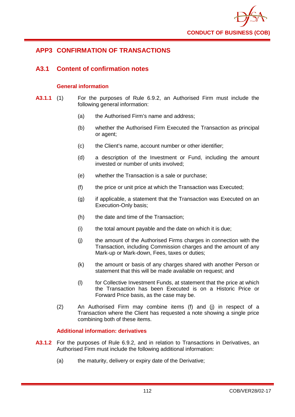

# **APP3 CONFIRMATION OF TRANSACTIONS**

## **A3.1 Content of confirmation notes**

### **General information**

- **A3.1.1** (1) For the purposes of Rule 6.9.2, an Authorised Firm must include the following general information:
	- (a) the Authorised Firm's name and address;
	- (b) whether the Authorised Firm Executed the Transaction as principal or agent;
	- (c) the Client's name, account number or other identifier;
	- (d) a description of the Investment or Fund, including the amount invested or number of units involved;
	- (e) whether the Transaction is a sale or purchase;
	- (f) the price or unit price at which the Transaction was Executed;
	- (g) if applicable, a statement that the Transaction was Executed on an Execution-Only basis;
	- (h) the date and time of the Transaction;
	- (i) the total amount payable and the date on which it is due;
	- (j) the amount of the Authorised Firms charges in connection with the Transaction, including Commission charges and the amount of any Mark-up or Mark-down, Fees, taxes or duties;
	- (k) the amount or basis of any charges shared with another Person or statement that this will be made available on request; and
	- (l) for Collective Investment Funds, at statement that the price at which the Transaction has been Executed is on a Historic Price or Forward Price basis, as the case may be.
	- (2) An Authorised Firm may combine items (f) and (j) in respect of a Transaction where the Client has requested a note showing a single price combining both of these items.

### **Additional information: derivatives**

- **A3.1.2** For the purposes of Rule 6.9.2, and in relation to Transactions in Derivatives, an Authorised Firm must include the following additional information:
	- (a) the maturity, delivery or expiry date of the Derivative;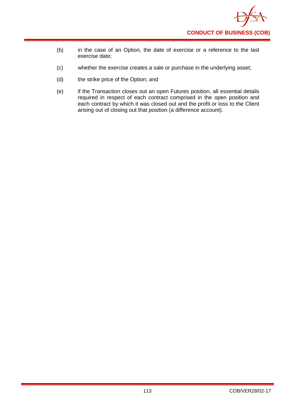

- (b) in the case of an Option, the date of exercise or a reference to the last exercise date;
- (c) whether the exercise creates a sale or purchase in the underlying asset;
- (d) the strike price of the Option; and
- (e) if the Transaction closes out an open Futures position, all essential details required in respect of each contract comprised in the open position and each contract by which it was closed out and the profit or loss to the Client arising out of closing out that position (a difference account).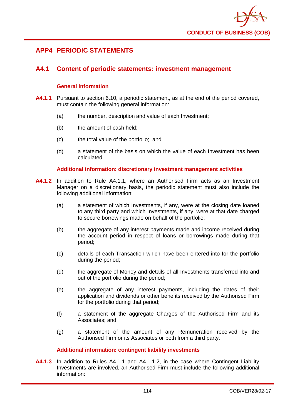

## **APP4 PERIODIC STATEMENTS**

## **A4.1 Content of periodic statements: investment management**

### **General information**

- **A4.1.1** Pursuant to section 6.10, a periodic statement, as at the end of the period covered, must contain the following general information:
	- (a) the number, description and value of each Investment;
	- (b) the amount of cash held;
	- (c) the total value of the portfolio; and
	- (d) a statement of the basis on which the value of each Investment has been calculated.

### **Additional information: discretionary investment management activities**

- **A4.1.2** In addition to Rule A4.1.1, where an Authorised Firm acts as an Investment Manager on a discretionary basis, the periodic statement must also include the following additional information:
	- (a) a statement of which Investments, if any, were at the closing date loaned to any third party and which Investments, if any, were at that date charged to secure borrowings made on behalf of the portfolio;
	- (b) the aggregate of any interest payments made and income received during the account period in respect of loans or borrowings made during that period;
	- (c) details of each Transaction which have been entered into for the portfolio during the period;
	- (d) the aggregate of Money and details of all Investments transferred into and out of the portfolio during the period;
	- (e) the aggregate of any interest payments, including the dates of their application and dividends or other benefits received by the Authorised Firm for the portfolio during that period;
	- (f) a statement of the aggregate Charges of the Authorised Firm and its Associates; and
	- (g) a statement of the amount of any Remuneration received by the Authorised Firm or its Associates or both from a third party.

### **Additional information: contingent liability investments**

**A4.1.3** In addition to Rules A4.1.1 and A4.1.1.2, in the case where Contingent Liability Investments are involved, an Authorised Firm must include the following additional information: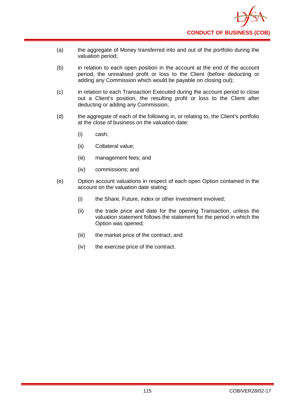

- (a) the aggregate of Money transferred into and out of the portfolio during the valuation period;
- (b) in relation to each open position in the account at the end of the account period, the unrealised profit or loss to the Client (before deducting or adding any Commission which would be payable on closing out);
- (c) in relation to each Transaction Executed during the account period to close out a Client's position, the resulting profit or loss to the Client after deducting or adding any Commission;
- (d) the aggregate of each of the following in, or relating to, the Client's portfolio at the close of business on the valuation date:
	- (i) cash;
	- (ii) Collateral value;
	- (iii) management fees; and
	- (iv) commissions; and
- (e) Option account valuations in respect of each open Option contained in the account on the valuation date stating:
	- (i) the Share, Future, index or other Investment involved;
	- (ii) the trade price and date for the opening Transaction, unless the valuation statement follows the statement for the period in which the Option was opened;
	- (iii) the market price of the contract; and
	- (iv) the exercise price of the contract.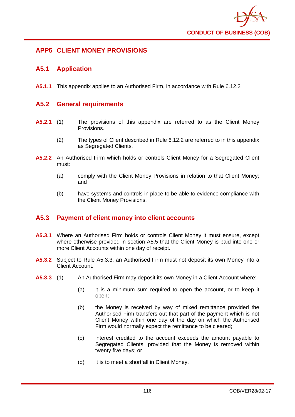

# **APP5 CLIENT MONEY PROVISIONS**

## **A5.1 Application**

**A5.1.1** This appendix applies to an Authorised Firm, in accordance with Rule 6.12.2

## **A5.2 General requirements**

- **A5.2.1** (1) The provisions of this appendix are referred to as the Client Money Provisions.
	- (2) The types of Client described in Rule 6.12.2 are referred to in this appendix as Segregated Clients.
- **A5.2.2** An Authorised Firm which holds or controls Client Money for a Segregated Client must:
	- (a) comply with the Client Money Provisions in relation to that Client Money; and
	- (b) have systems and controls in place to be able to evidence compliance with the Client Money Provisions.

# **A5.3 Payment of client money into client accounts**

- **A5.3.1** Where an Authorised Firm holds or controls Client Money it must ensure, except where otherwise provided in section A5.5 that the Client Money is paid into one or more Client Accounts within one day of receipt.
- **A5.3.2** Subject to Rule A5.3.3, an Authorised Firm must not deposit its own Money into a Client Account.
- **A5.3.3** (1) An Authorised Firm may deposit its own Money in a Client Account where:
	- (a) it is a minimum sum required to open the account, or to keep it open;
	- (b) the Money is received by way of mixed remittance provided the Authorised Firm transfers out that part of the payment which is not Client Money within one day of the day on which the Authorised Firm would normally expect the remittance to be cleared;
	- (c) interest credited to the account exceeds the amount payable to Segregated Clients, provided that the Money is removed within twenty five days; or
	- (d) it is to meet a shortfall in Client Money.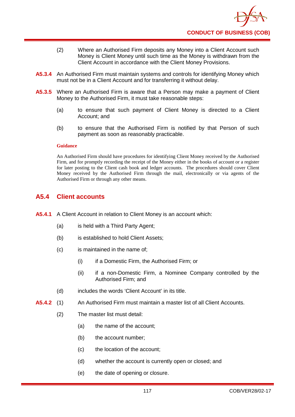- (2) Where an Authorised Firm deposits any Money into a Client Account such Money is Client Money until such time as the Money is withdrawn from the Client Account in accordance with the Client Money Provisions.
- **A5.3.4** An Authorised Firm must maintain systems and controls for identifying Money which must not be in a Client Account and for transferring it without delay.
- **A5.3.5** Where an Authorised Firm is aware that a Person may make a payment of Client Money to the Authorised Firm, it must take reasonable steps:
	- (a) to ensure that such payment of Client Money is directed to a Client Account; and
	- (b) to ensure that the Authorised Firm is notified by that Person of such payment as soon as reasonably practicable.

An Authorised Firm should have procedures for identifying Client Money received by the Authorised Firm, and for promptly recording the receipt of the Money either in the books of account or a register for later posting to the Client cash book and ledger accounts. The procedures should cover Client Money received by the Authorised Firm through the mail, electronically or via agents of the Authorised Firm or through any other means.

## **A5.4 Client accounts**

- **A5.4.1** A Client Account in relation to Client Money is an account which:
	- (a) is held with a Third Party Agent;
	- (b) is established to hold Client Assets;
	- (c) is maintained in the name of;
		- (i) if a Domestic Firm, the Authorised Firm; or
		- (ii) if a non-Domestic Firm, a Nominee Company controlled by the Authorised Firm; and
	- (d) includes the words 'Client Account' in its title.
- **A5.4.2** (1) An Authorised Firm must maintain a master list of all Client Accounts.
	- (2) The master list must detail:
		- (a) the name of the account;
		- (b) the account number;
		- (c) the location of the account;
		- (d) whether the account is currently open or closed; and
		- (e) the date of opening or closure.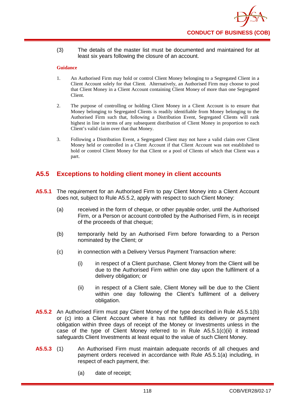(3) The details of the master list must be documented and maintained for at least six years following the closure of an account.

#### **Guidance**

- 1. An Authorised Firm may hold or control Client Money belonging to a Segregated Client in a Client Account solely for that Client. Alternatively, an Authorised Firm may choose to pool that Client Money in a Client Account containing Client Money of more than one Segregated Client.
- 2. The purpose of controlling or holding Client Money in a Client Account is to ensure that Money belonging to Segregated Clients is readily identifiable from Money belonging to the Authorised Firm such that, following a Distribution Event, Segregated Clients will rank highest in line in terms of any subsequent distribution of Client Money in proportion to each Client's valid claim over that that Money.
- 3. Following a Distribution Event, a Segregated Client may not have a valid claim over Client Money held or controlled in a Client Account if that Client Account was not established to hold or control Client Money for that Client or a pool of Clients of which that Client was a part.

# **A5.5 Exceptions to holding client money in client accounts**

- **A5.5.1** The requirement for an Authorised Firm to pay Client Money into a Client Account does not, subject to Rule A5.5.2, apply with respect to such Client Money:
	- (a) received in the form of cheque, or other payable order, until the Authorised Firm, or a Person or account controlled by the Authorised Firm, is in receipt of the proceeds of that cheque;
	- (b) temporarily held by an Authorised Firm before forwarding to a Person nominated by the Client; or
	- (c) in connection with a Delivery Versus Payment Transaction where:
		- (i) in respect of a Client purchase, Client Money from the Client will be due to the Authorised Firm within one day upon the fulfilment of a delivery obligation; or
		- (ii) in respect of a Client sale, Client Money will be due to the Client within one day following the Client's fulfilment of a delivery obligation.
- **A5.5.2** An Authorised Firm must pay Client Money of the type described in Rule A5.5.1(b) or (c) into a Client Account where it has not fulfilled its delivery or payment obligation within three days of receipt of the Money or Investments unless in the case of the type of Client Money referred to in Rule A5.5.1(c)(ii) it instead safeguards Client Investments at least equal to the value of such Client Money.
- **A5.5.3** (1) An Authorised Firm must maintain adequate records of all cheques and payment orders received in accordance with Rule A5.5.1(a) including, in respect of each payment, the:
	- (a) date of receipt;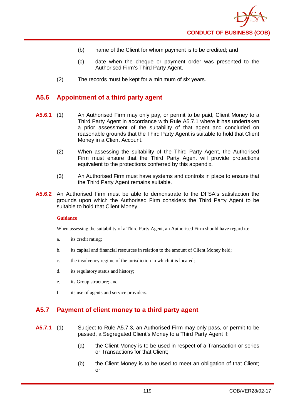- (b) name of the Client for whom payment is to be credited; and
- (c) date when the cheque or payment order was presented to the Authorised Firm's Third Party Agent.
- (2) The records must be kept for a minimum of six years.

## **A5.6 Appointment of a third party agent**

- **A5.6.1** (1) An Authorised Firm may only pay, or permit to be paid, Client Money to a Third Party Agent in accordance with Rule A5.7.1 where it has undertaken a prior assessment of the suitability of that agent and concluded on reasonable grounds that the Third Party Agent is suitable to hold that Client Money in a Client Account.
	- (2) When assessing the suitability of the Third Party Agent, the Authorised Firm must ensure that the Third Party Agent will provide protections equivalent to the protections conferred by this appendix.
	- (3) An Authorised Firm must have systems and controls in place to ensure that the Third Party Agent remains suitable.
- **A5.6.2** An Authorised Firm must be able to demonstrate to the DFSA's satisfaction the grounds upon which the Authorised Firm considers the Third Party Agent to be suitable to hold that Client Money.

#### **Guidance**

When assessing the suitability of a Third Party Agent, an Authorised Firm should have regard to:

- a. its credit rating;
- b. its capital and financial resources in relation to the amount of Client Money held;
- c. the insolvency regime of the jurisdiction in which it is located;
- d. its regulatory status and history;
- e. its Group structure; and
- f. its use of agents and service providers.

# **A5.7 Payment of client money to a third party agent**

- **A5.7.1** (1) Subject to Rule A5.7.3, an Authorised Firm may only pass, or permit to be passed, a Segregated Client's Money to a Third Party Agent if:
	- (a) the Client Money is to be used in respect of a Transaction or series or Transactions for that Client;
	- (b) the Client Money is to be used to meet an obligation of that Client; or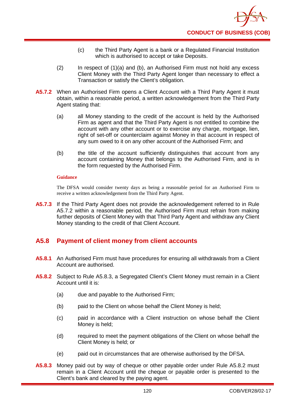- (c) the Third Party Agent is a bank or a Regulated Financial Institution which is authorised to accept or take Deposits.
- (2) In respect of (1)(a) and (b), an Authorised Firm must not hold any excess Client Money with the Third Party Agent longer than necessary to effect a Transaction or satisfy the Client's obligation.
- **A5.7.2** When an Authorised Firm opens a Client Account with a Third Party Agent it must obtain, within a reasonable period, a written acknowledgement from the Third Party Agent stating that:
	- (a) all Money standing to the credit of the account is held by the Authorised Firm as agent and that the Third Party Agent is not entitled to combine the account with any other account or to exercise any charge, mortgage, lien, right of set-off or counterclaim against Money in that account in respect of any sum owed to it on any other account of the Authorised Firm; and
	- (b) the title of the account sufficiently distinguishes that account from any account containing Money that belongs to the Authorised Firm, and is in the form requested by the Authorised Firm.

The DFSA would consider twenty days as being a reasonable period for an Authorised Firm to receive a written acknowledgement from the Third Party Agent.

**A5.7.3** If the Third Party Agent does not provide the acknowledgement referred to in Rule A5.7.2 within a reasonable period, the Authorised Firm must refrain from making further deposits of Client Money with that Third Party Agent and withdraw any Client Money standing to the credit of that Client Account.

# **A5.8 Payment of client money from client accounts**

- **A5.8.1** An Authorised Firm must have procedures for ensuring all withdrawals from a Client Account are authorised.
- **A5.8.2** Subject to Rule A5.8.3, a Segregated Client's Client Money must remain in a Client Account until it is:
	- (a) due and payable to the Authorised Firm;
	- (b) paid to the Client on whose behalf the Client Money is held;
	- (c) paid in accordance with a Client instruction on whose behalf the Client Money is held;
	- (d) required to meet the payment obligations of the Client on whose behalf the Client Money is held; or
	- (e) paid out in circumstances that are otherwise authorised by the DFSA.
- **A5.8.3** Money paid out by way of cheque or other payable order under Rule A5.8.2 must remain in a Client Account until the cheque or payable order is presented to the Client's bank and cleared by the paying agent.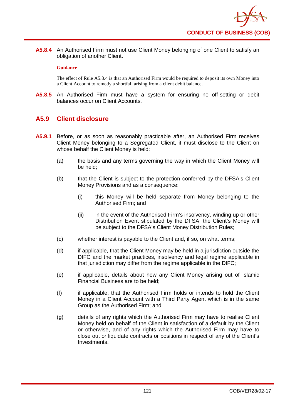**A5.8.4** An Authorised Firm must not use Client Money belonging of one Client to satisfy an obligation of another Client.

### **Guidance**

The effect of Rule A5.8.4 is that an Authorised Firm would be required to deposit its own Money into a Client Account to remedy a shortfall arising from a client debit balance.

**A5.8.5** An Authorised Firm must have a system for ensuring no off-setting or debit balances occur on Client Accounts.

## **A5.9 Client disclosure**

- **A5.9.1** Before, or as soon as reasonably practicable after, an Authorised Firm receives Client Money belonging to a Segregated Client, it must disclose to the Client on whose behalf the Client Money is held:
	- (a) the basis and any terms governing the way in which the Client Money will be held;
	- (b) that the Client is subject to the protection conferred by the DFSA's Client Money Provisions and as a consequence:
		- (i) this Money will be held separate from Money belonging to the Authorised Firm; and
		- (ii) in the event of the Authorised Firm's insolvency, winding up or other Distribution Event stipulated by the DFSA, the Client's Money will be subject to the DFSA's Client Money Distribution Rules;
	- (c) whether interest is payable to the Client and, if so, on what terms;
	- (d) if applicable, that the Client Money may be held in a jurisdiction outside the DIFC and the market practices, insolvency and legal regime applicable in that jurisdiction may differ from the regime applicable in the DIFC;
	- (e) if applicable, details about how any Client Money arising out of Islamic Financial Business are to be held;
	- (f) if applicable, that the Authorised Firm holds or intends to hold the Client Money in a Client Account with a Third Party Agent which is in the same Group as the Authorised Firm; and
	- (g) details of any rights which the Authorised Firm may have to realise Client Money held on behalf of the Client in satisfaction of a default by the Client or otherwise, and of any rights which the Authorised Firm may have to close out or liquidate contracts or positions in respect of any of the Client's Investments.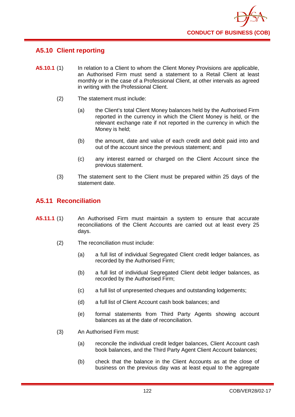

# **A5.10 Client reporting**

- **A5.10.1** (1) In relation to a Client to whom the Client Money Provisions are applicable, an Authorised Firm must send a statement to a Retail Client at least monthly or in the case of a Professional Client, at other intervals as agreed in writing with the Professional Client.
	- (2) The statement must include:
		- (a) the Client's total Client Money balances held by the Authorised Firm reported in the currency in which the Client Money is held, or the relevant exchange rate if not reported in the currency in which the Money is held;
		- (b) the amount, date and value of each credit and debit paid into and out of the account since the previous statement; and
		- (c) any interest earned or charged on the Client Account since the previous statement.
	- (3) The statement sent to the Client must be prepared within 25 days of the statement date.

## **A5.11 Reconciliation**

- **A5.11.1** (1) An Authorised Firm must maintain a system to ensure that accurate reconciliations of the Client Accounts are carried out at least every 25 days.
	- (2) The reconciliation must include:
		- (a) a full list of individual Segregated Client credit ledger balances, as recorded by the Authorised Firm;
		- (b) a full list of individual Segregated Client debit ledger balances, as recorded by the Authorised Firm;
		- (c) a full list of unpresented cheques and outstanding lodgements;
		- (d) a full list of Client Account cash book balances; and
		- (e) formal statements from Third Party Agents showing account balances as at the date of reconciliation.
	- (3) An Authorised Firm must:
		- (a) reconcile the individual credit ledger balances, Client Account cash book balances, and the Third Party Agent Client Account balances;
		- (b) check that the balance in the Client Accounts as at the close of business on the previous day was at least equal to the aggregate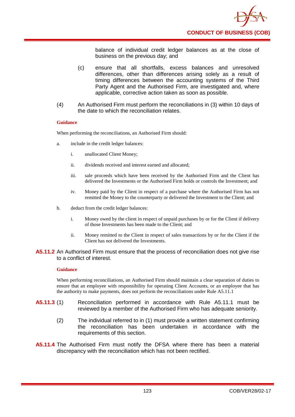

balance of individual credit ledger balances as at the close of business on the previous day; and

- (c) ensure that all shortfalls, excess balances and unresolved differences, other than differences arising solely as a result of timing differences between the accounting systems of the Third Party Agent and the Authorised Firm, are investigated and, where applicable, corrective action taken as soon as possible.
- (4) An Authorised Firm must perform the reconciliations in (3) within 10 days of the date to which the reconciliation relates.

### **Guidance**

When performing the reconciliations, an Authorised Firm should:

- a. include in the credit ledger balances:
	- i. unallocated Client Money;
	- ii. dividends received and interest earned and allocated;
	- iii. sale proceeds which have been received by the Authorised Firm and the Client has delivered the Investments or the Authorised Firm holds or controls the Investment; and
	- iv. Money paid by the Client in respect of a purchase where the Authorised Firm has not remitted the Money to the counterparty or delivered the Investment to the Client; and
- b. deduct from the credit ledger balances:
	- i. Money owed by the client in respect of unpaid purchases by or for the Client if delivery of those Investments has been made to the Client; and
	- ii. Money remitted to the Client in respect of sales transactions by or for the Client if the Client has not delivered the Investments.

#### **A5.11.2** An Authorised Firm must ensure that the process of reconciliation does not give rise to a conflict of interest.

#### **Guidance**

When performing reconciliations, an Authorised Firm should maintain a clear separation of duties to ensure that an employee with responsibility for operating Client Accounts, or an employee that has the authority to make payments, does not perform the reconciliations under Rule A5.11.1

- **A5.11.3** (1) Reconciliation performed in accordance with Rule A5.11.1 must be reviewed by a member of the Authorised Firm who has adequate seniority.
	- (2) The individual referred to in (1) must provide a written statement confirming the reconciliation has been undertaken in accordance with the requirements of this section.
- **A5.11.4** The Authorised Firm must notify the DFSA where there has been a material discrepancy with the reconciliation which has not been rectified.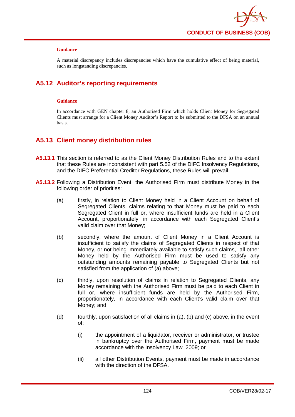

A material discrepancy includes discrepancies which have the cumulative effect of being material, such as longstanding discrepancies.

# **A5.12 Auditor's reporting requirements**

### **Guidance**

In accordance with GEN chapter 8, an Authorised Firm which holds Client Money for Segregated Clients must arrange for a Client Money Auditor's Report to be submitted to the DFSA on an annual basis.

## **A5.13 Client money distribution rules**

- **A5.13.1** This section is referred to as the Client Money Distribution Rules and to the extent that these Rules are inconsistent with part 5.52 of the DIFC Insolvency Regulations, and the DIFC Preferential Creditor Regulations, these Rules will prevail.
- **A5.13.2** Following a Distribution Event, the Authorised Firm must distribute Money in the following order of priorities:
	- (a) firstly, in relation to Client Money held in a Client Account on behalf of Segregated Clients, claims relating to that Money must be paid to each Segregated Client in full or, where insufficient funds are held in a Client Account, proportionately, in accordance with each Segregated Client's valid claim over that Money;
	- (b) secondly, where the amount of Client Money in a Client Account is insufficient to satisfy the claims of Segregated Clients in respect of that Money, or not being immediately available to satisfy such claims, all other Money held by the Authorised Firm must be used to satisfy any outstanding amounts remaining payable to Segregated Clients but not satisfied from the application of (a) above;
	- (c) thirdly, upon resolution of claims in relation to Segregated Clients, any Money remaining with the Authorised Firm must be paid to each Client in full or, where insufficient funds are held by the Authorised Firm, proportionately, in accordance with each Client's valid claim over that Money; and
	- (d) fourthly, upon satisfaction of all claims in (a), (b) and (c) above, in the event of:
		- (i) the appointment of a liquidator, receiver or administrator, or trustee in bankruptcy over the Authorised Firm, payment must be made accordance with the Insolvency Law 2009; or
		- (ii) all other Distribution Events, payment must be made in accordance with the direction of the DFSA.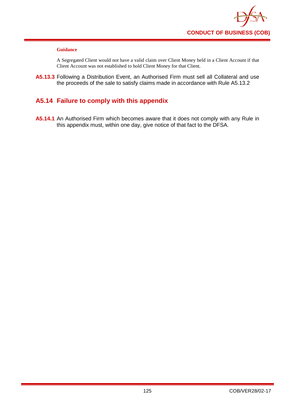

A Segregated Client would not have a valid claim over Client Money held in a Client Account if that Client Account was not established to hold Client Money for that Client.

**A5.13.3** Following a Distribution Event, an Authorised Firm must sell all Collateral and use the proceeds of the sale to satisfy claims made in accordance with Rule A5.13.2

# **A5.14 Failure to comply with this appendix**

**A5.14.1** An Authorised Firm which becomes aware that it does not comply with any Rule in this appendix must, within one day, give notice of that fact to the DFSA.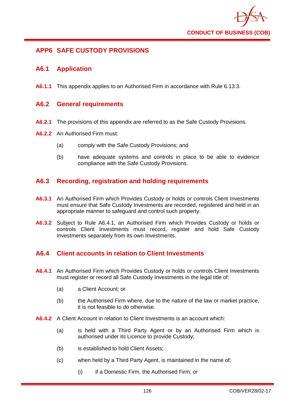

# **APP6 SAFE CUSTODY PROVISIONS**

## **A6.1 Application**

**A6.1.1** This appendix applies to an Authorised Firm in accordance with Rule 6.13.3.

### **A6.2 General requirements**

- **A6.2.1** The provisions of this appendix are referred to as the Safe Custody Provisions.
- **A6.2.2** An Authorised Firm must:
	- (a) comply with the Safe Custody Provisions; and
	- (b) have adequate systems and controls in place to be able to evidence compliance with the Safe Custody Provisions.

# **A6.3 Recording, registration and holding requirements**

- **A6.3.1** An Authorised Firm which Provides Custody or holds or controls Client Investments must ensure that Safe Custody Investments are recorded, registered and held in an appropriate manner to safeguard and control such property.
- **A6.3.2** Subject to Rule A6.4.1, an Authorised Firm which Provides Custody or holds or controls Client Investments must record, register and hold Safe Custody Investments separately from its own Investments.

### **A6.4 Client accounts in relation to Client Investments**

- **A6.4.1** An Authorised Firm which Provides Custody or holds or controls Client Investments must register or record all Safe Custody Investments in the legal title of:
	- (a) a Client Account; or
	- (b) the Authorised Firm where, due to the nature of the law or market practice, it is not feasible to do otherwise.
- **A6.4.2** A Client Account in relation to Client Investments is an account which:
	- (a) is held with a Third Party Agent or by an Authorised Firm which is authorised under its Licence to provide Custody;
	- (b) is established to hold Client Assets;
	- (c) when held by a Third Party Agent, is maintained in the name of;
		- (i) if a Domestic Firm, the Authorised Firm; or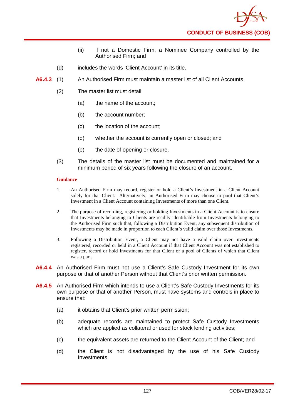

- (ii) if not a Domestic Firm, a Nominee Company controlled by the Authorised Firm; and
- (d) includes the words 'Client Account' in its title.
- **A6.4.3** (1) An Authorised Firm must maintain a master list of all Client Accounts.
	- (2) The master list must detail:
		- (a) the name of the account;
		- (b) the account number;
		- (c) the location of the account;
		- (d) whether the account is currently open or closed; and
		- (e) the date of opening or closure.
	- (3) The details of the master list must be documented and maintained for a minimum period of six years following the closure of an account.

- 1. An Authorised Firm may record, register or hold a Client's Investment in a Client Account solely for that Client. Alternatively, an Authorised Firm may choose to pool that Client's Investment in a Client Account containing Investments of more than one Client.
- 2. The purpose of recording, registering or holding Investments in a Client Account is to ensure that Investments belonging to Clients are readily identifiable from Investments belonging to the Authorised Firm such that, following a Distribution Event, any subsequent distribution of Investments may be made in proportion to each Client's valid claim over those Investments.
- 3. Following a Distribution Event, a Client may not have a valid claim over Investments registered, recorded or held in a Client Account if that Client Account was not established to register, record or hold Investments for that Client or a pool of Clients of which that Client was a part.
- **A6.4.4** An Authorised Firm must not use a Client's Safe Custody Investment for its own purpose or that of another Person without that Client's prior written permission.
- **A6.4.5** An Authorised Firm which intends to use a Client's Safe Custody Investments for its own purpose or that of another Person, must have systems and controls in place to ensure that:
	- (a) it obtains that Client's prior written permission;
	- (b) adequate records are maintained to protect Safe Custody Investments which are applied as collateral or used for stock lending activities;
	- (c) the equivalent assets are returned to the Client Account of the Client; and
	- (d) the Client is not disadvantaged by the use of his Safe Custody Investments.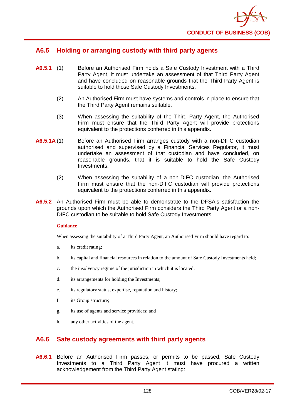

## **A6.5 Holding or arranging custody with third party agents**

- **A6.5.1** (1) Before an Authorised Firm holds a Safe Custody Investment with a Third Party Agent, it must undertake an assessment of that Third Party Agent and have concluded on reasonable grounds that the Third Party Agent is suitable to hold those Safe Custody Investments.
	- (2) An Authorised Firm must have systems and controls in place to ensure that the Third Party Agent remains suitable.
	- (3) When assessing the suitability of the Third Party Agent, the Authorised Firm must ensure that the Third Party Agent will provide protections equivalent to the protections conferred in this appendix.
- **A6.5.1A** (1) Before an Authorised Firm arranges custody with a non-DIFC custodian authorised and supervised by a Financial Services Regulator, it must undertake an assessment of that custodian and have concluded, on reasonable grounds, that it is suitable to hold the Safe Custody Investments.
	- (2) When assessing the suitability of a non-DIFC custodian, the Authorised Firm must ensure that the non-DIFC custodian will provide protections equivalent to the protections conferred in this appendix.
- **A6.5.2** An Authorised Firm must be able to demonstrate to the DFSA's satisfaction the grounds upon which the Authorised Firm considers the Third Party Agent or a non-DIFC custodian to be suitable to hold Safe Custody Investments.

### **Guidance**

When assessing the suitability of a Third Party Agent, an Authorised Firm should have regard to:

- a. its credit rating;
- b. its capital and financial resources in relation to the amount of Safe Custody Investments held;
- c. the insolvency regime of the jurisdiction in which it is located;
- d. its arrangements for holding the Investments;
- e. its regulatory status, expertise, reputation and history;
- f. its Group structure;
- g. its use of agents and service providers; and
- h. any other activities of the agent.

### **A6.6 Safe custody agreements with third party agents**

**A6.6.1** Before an Authorised Firm passes, or permits to be passed, Safe Custody Investments to a Third Party Agent it must have procured a written acknowledgement from the Third Party Agent stating: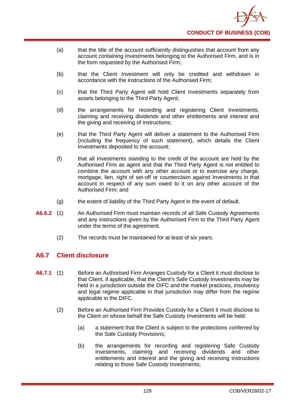- (a) that the title of the account sufficiently distinguishes that account from any account containing Investments belonging to the Authorised Firm, and is in the form requested by the Authorised Firm;
- (b) that the Client Investment will only be credited and withdrawn in accordance with the instructions of the Authorised Firm;
- (c) that the Third Party Agent will hold Client Investments separately from assets belonging to the Third Party Agent;
- (d) the arrangements for recording and registering Client Investments, claiming and receiving dividends and other entitlements and interest and the giving and receiving of instructions;
- (e) that the Third Party Agent will deliver a statement to the Authorised Firm (including the frequency of such statement), which details the Client Investments deposited to the account;
- (f) that all Investments standing to the credit of the account are held by the Authorised Firm as agent and that the Third Party Agent is not entitled to combine the account with any other account or to exercise any charge, mortgage, lien, right of set-off or counterclaim against Investments in that account in respect of any sum owed to it on any other account of the Authorised Firm; and
- (g) the extent of liability of the Third Party Agent in the event of default.
- **A6.6.2** (1) An Authorised Firm must maintain records of all Safe Custody Agreements and any instructions given by the Authorised Firm to the Third Party Agent under the terms of the agreement.
	- (2) The records must be maintained for at least of six years.

# **A6.7 Client disclosure**

- **A6.7.1** (1) Before an Authorised Firm Arranges Custody for a Client it must disclose to that Client, if applicable, that the Client's Safe Custody Investments may be held in a jurisdiction outside the DIFC and the market practices, insolvency and legal regime applicable in that jurisdiction may differ from the regime applicable in the DIFC.
	- (2) Before an Authorised Firm Provides Custody for a Client it must disclose to the Client on whose behalf the Safe Custody Investments will be held:
		- (a) a statement that the Client is subject to the protections conferred by the Safe Custody Provisions;
		- (b) the arrangements for recording and registering Safe Custody Investments, claiming and receiving dividends and other entitlements and interest and the giving and receiving instructions relating to those Safe Custody Investments;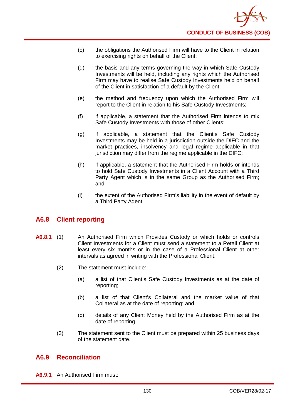- (c) the obligations the Authorised Firm will have to the Client in relation to exercising rights on behalf of the Client;
- (d) the basis and any terms governing the way in which Safe Custody Investments will be held, including any rights which the Authorised Firm may have to realise Safe Custody Investments held on behalf of the Client in satisfaction of a default by the Client;
- (e) the method and frequency upon which the Authorised Firm will report to the Client in relation to his Safe Custody Investments;
- (f) if applicable, a statement that the Authorised Firm intends to mix Safe Custody Investments with those of other Clients;
- (g) if applicable, a statement that the Client's Safe Custody Investments may be held in a jurisdiction outside the DIFC and the market practices, insolvency and legal regime applicable in that jurisdiction may differ from the regime applicable in the DIFC;
- (h) if applicable, a statement that the Authorised Firm holds or intends to hold Safe Custody Investments in a Client Account with a Third Party Agent which is in the same Group as the Authorised Firm; and
- (i) the extent of the Authorised Firm's liability in the event of default by a Third Party Agent.

# **A6.8 Client reporting**

- **A6.8.1** (1) An Authorised Firm which Provides Custody or which holds or controls Client Investments for a Client must send a statement to a Retail Client at least every six months or in the case of a Professional Client at other intervals as agreed in writing with the Professional Client.
	- (2) The statement must include:
		- (a) a list of that Client's Safe Custody Investments as at the date of reporting;
		- (b) a list of that Client's Collateral and the market value of that Collateral as at the date of reporting; and
		- (c) details of any Client Money held by the Authorised Firm as at the date of reporting.
	- (3) The statement sent to the Client must be prepared within 25 business days of the statement date.

### **A6.9 Reconciliation**

**A6.9.1** An Authorised Firm must: